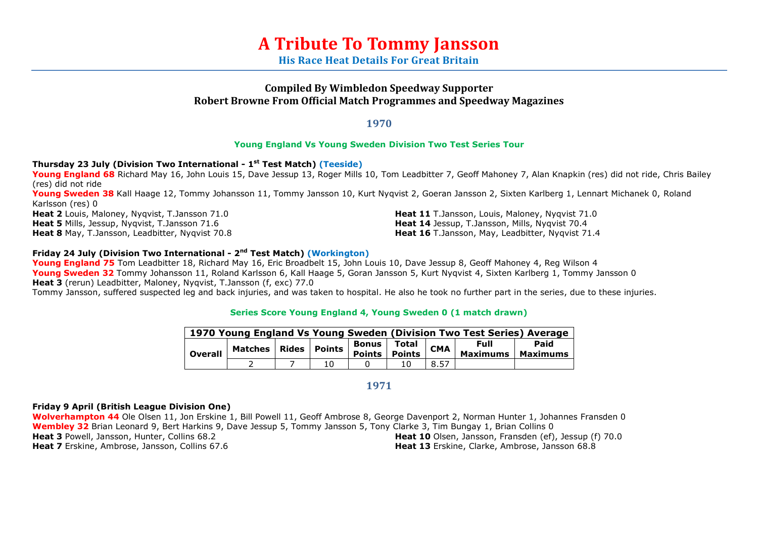# **A Tribute To Tommy Jansson**

**His Race Heat Details For Great Britain**

## **Compiled By Wimbledon Speedway Supporter Robert Browne From Official Match Programmes and Speedway Magazines**

**1970**

## **Young England Vs Young Sweden Division Two Test Series Tour**

## **Thursday 23 July (Division Two International - 1 st Test Match) (Teeside)**

**Young England 68** Richard May 16, John Louis 15, Dave Jessup 13, Roger Mills 10, Tom Leadbitter 7, Geoff Mahoney 7, Alan Knapkin (res) did not ride, Chris Bailey (res) did not ride

**Young Sweden 38** Kall Haage 12, Tommy Johansson 11, Tommy Jansson 10, Kurt Nyqvist 2, Goeran Jansson 2, Sixten Karlberg 1, Lennart Michanek 0, Roland Karlsson (res) 0

**Heat 2** Louis, Maloney, Nyqvist, T.Jansson 71.0 **Heat 5** Mills, Jessup, Nyqvist, T.Jansson 71.6 **Heat 8** May, T.Jansson, Leadbitter, Nyqvist 70.8 **Heat 11** T.Jansson, Louis, Maloney, Nyqvist 71.0 **Heat 14** Jessup, T.Jansson, Mills, Nyqvist 70.4 **Heat 16** T.Jansson, May, Leadbitter, Nyqvist 71.4

## **Friday 24 July (Division Two International - 2 nd Test Match) (Workington)**

**Young England 75** Tom Leadbitter 18, Richard May 16, Eric Broadbelt 15, John Louis 10, Dave Jessup 8, Geoff Mahoney 4, Reg Wilson 4 **Young Sweden 32** Tommy Johansson 11, Roland Karlsson 6, Kall Haage 5, Goran Jansson 5, Kurt Nyqvist 4, Sixten Karlberg 1, Tommy Jansson 0 **Heat 3** (rerun) Leadbitter, Maloney, Nyqvist, T.Jansson (f, exc) 77.0

Tommy Jansson, suffered suspected leg and back injuries, and was taken to hospital. He also he took no further part in the series, due to these injuries.

#### **Series Score Young England 4, Young Sweden 0 (1 match drawn)**

|                | 1970 Young England Vs Young Sweden (Division Two Test Series) Average |  |  |                                               |                        |            |                         |                  |  |  |  |
|----------------|-----------------------------------------------------------------------|--|--|-----------------------------------------------|------------------------|------------|-------------------------|------------------|--|--|--|
| <b>Overall</b> | <b>Matches</b>                                                        |  |  | Bonus I<br>es   Rides   Points   points   pai | Total<br><b>Points</b> | <b>CMA</b> | <b>Full</b><br>Maximums | Paid<br>Maximums |  |  |  |
|                |                                                                       |  |  |                                               |                        | 8.57       |                         |                  |  |  |  |

**1971**

#### **Friday 9 April (British League Division One)**

**Wolverhampton 44** Ole Olsen 11, Jon Erskine 1, Bill Powell 11, Geoff Ambrose 8, George Davenport 2, Norman Hunter 1, Johannes Fransden 0 **Wembley 32** Brian Leonard 9, Bert Harkins 9, Dave Jessup 5, Tommy Jansson 5, Tony Clarke 3, Tim Bungay 1, Brian Collins 0 **Heat 3** Powell, Jansson, Hunter, Collins 68.2 **Heat 7** Erskine, Ambrose, Jansson, Collins 67.6 **Heat 10** Olsen, Jansson, Fransden (ef), Jessup (f) 70.0 **Heat 13** Erskine, Clarke, Ambrose, Jansson 68.8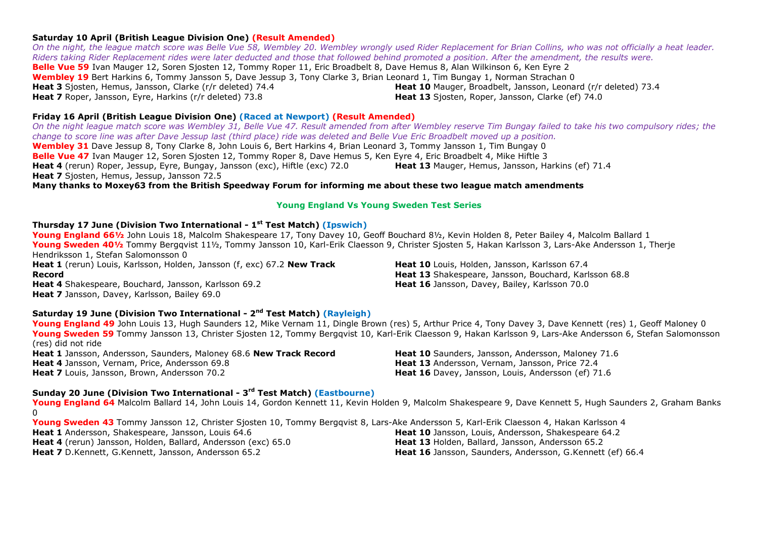#### **Saturday 10 April (British League Division One) (Result Amended)**

*On the night, the league match score was Belle Vue 58, Wembley 20. Wembley wrongly used Rider Replacement for Brian Collins, who was not officially a heat leader. Riders taking Rider Replacement rides were later deducted and those that followed behind promoted a position. After the amendment, the results were.* **Belle Vue 59** Ivan Mauger 12, Soren Sjosten 12, Tommy Roper 11, Eric Broadbelt 8, Dave Hemus 8, Alan Wilkinson 6, Ken Eyre 2 **Wembley 19** Bert Harkins 6, Tommy Jansson 5, Dave Jessup 3, Tony Clarke 3, Brian Leonard 1, Tim Bungay 1, Norman Strachan 0 **Heat 3** Sjosten, Hemus, Jansson, Clarke (r/r deleted) 74.4 **Heat 7** Roper, Jansson, Eyre, Harkins (r/r deleted) 73.8 **Heat 10** Mauger, Broadbelt, Jansson, Leonard (r/r deleted) 73.4 **Heat 13** Sjosten, Roper, Jansson, Clarke (ef) 74.0

#### **Friday 16 April (British League Division One) (Raced at Newport) (Result Amended)**

*On the night league match score was Wembley 31, Belle Vue 47. Result amended from after Wembley reserve Tim Bungay failed to take his two compulsory rides; the change to score line was after Dave Jessup last (third place) ride was deleted and Belle Vue Eric Broadbelt moved up a position.* **Wembley 31** Dave Jessup 8, Tony Clarke 8, John Louis 6, Bert Harkins 4, Brian Leonard 3, Tommy Jansson 1, Tim Bungay 0 **Belle Vue 47** Ivan Mauger 12, Soren Sjosten 12, Tommy Roper 8, Dave Hemus 5, Ken Eyre 4, Eric Broadbelt 4, Mike Hiftle 3 **Heat 4** (rerun) Roper, Jessup, Eyre, Bungay, Jansson (exc), Hiftle (exc) 72.0 **Heat 7** Sjosten, Hemus, Jessup, Jansson 72.5 **Heat 13** Mauger, Hemus, Jansson, Harkins (ef) 71.4

**Many thanks to Moxey63 from the British Speedway Forum for informing me about these two league match amendments**

#### **Young England Vs Young Sweden Test Series**

#### **Thursday 17 June (Division Two International - 1 st Test Match) (Ipswich)**

**Young England 66½** John Louis 18, Malcolm Shakespeare 17, Tony Davey 10, Geoff Bouchard 8½, Kevin Holden 8, Peter Bailey 4, Malcolm Ballard 1 Young Sweden 401/<sub>2</sub> Tommy Bergqvist 111/<sub>2</sub>, Tommy Jansson 10, Karl-Erik Claesson 9, Christer Siosten 5, Hakan Karlsson 3, Lars-Ake Andersson 1, Therie Hendriksson 1, Stefan Salomonsson 0

**Heat 1** (rerun) Louis, Karlsson, Holden, Jansson (f, exc) 67.2 **New Track Record Heat 4** Shakespeare, Bouchard, Jansson, Karlsson 69.2 **Heat 7** Jansson, Davey, Karlsson, Bailey 69.0

**Heat 10** Louis, Holden, Jansson, Karlsson 67.4 **Heat 13** Shakespeare, Jansson, Bouchard, Karlsson 68.8 **Heat 16** Jansson, Davey, Bailey, Karlsson 70.0

#### **Saturday 19 June (Division Two International - 2 nd Test Match) (Rayleigh)**

Young England 49 John Louis 13, Hugh Saunders 12, Mike Vernam 11, Dingle Brown (res) 5, Arthur Price 4, Tony Davey 3, Dave Kennett (res) 1, Geoff Maloney 0 **Young Sweden 59** Tommy Jansson 13, Christer Sjosten 12, Tommy Bergqvist 10, Karl-Erik Claesson 9, Hakan Karlsson 9, Lars-Ake Andersson 6, Stefan Salomonsson (res) did not ride **Heat 1** Jansson, Andersson, Saunders, Maloney 68.6 **New Track Record Heat 4** Jansson, Vernam, Price, Andersson 69.8 **Heat 7** Louis, Jansson, Brown, Andersson 70.2 **Heat 10** Saunders, Jansson, Andersson, Maloney 71.6 **Heat 13** Andersson, Vernam, Jansson, Price 72.4 **Heat 16** Davey, Jansson, Louis, Andersson (ef) 71.6

#### **Sunday 20 June (Division Two International - 3 rd Test Match) (Eastbourne)**

**Young England 64** Malcolm Ballard 14, John Louis 14, Gordon Kennett 11, Kevin Holden 9, Malcolm Shakespeare 9, Dave Kennett 5, Hugh Saunders 2, Graham Banks  $\Omega$ 

**Young Sweden 43** Tommy Jansson 12, Christer Sjosten 10, Tommy Bergqvist 8, Lars-Ake Andersson 5, Karl-Erik Claesson 4, Hakan Karlsson 4 **Heat 1** Andersson, Shakespeare, Jansson, Louis 64.6 **Heat 4** (rerun) Jansson, Holden, Ballard, Andersson (exc) 65.0 **Heat 7** D.Kennett, G.Kennett, Jansson, Andersson 65.2 **Heat 10** Jansson, Louis, Andersson, Shakespeare 64.2 **Heat 13** Holden, Ballard, Jansson, Andersson 65.2 **Heat 16** Jansson, Saunders, Andersson, G.Kennett (ef) 66.4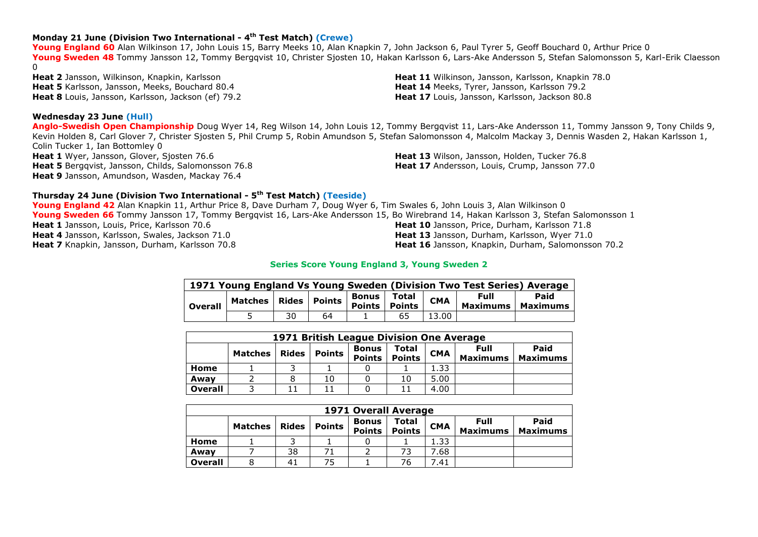## **Monday 21 June (Division Two International - 4 th Test Match) (Crewe)**

**Young England 60** Alan Wilkinson 17, John Louis 15, Barry Meeks 10, Alan Knapkin 7, John Jackson 6, Paul Tyrer 5, Geoff Bouchard 0, Arthur Price 0 **Young Sweden 48** Tommy Jansson 12, Tommy Bergqvist 10, Christer Sjosten 10, Hakan Karlsson 6, Lars-Ake Andersson 5, Stefan Salomonsson 5, Karl-Erik Claesson  $\Omega$ 

**Heat 2** Jansson, Wilkinson, Knapkin, Karlsson **Heat 5** Karlsson, Jansson, Meeks, Bouchard 80.4 **Heat 8** Louis, Jansson, Karlsson, Jackson (ef) 79.2

#### **Wednesday 23 June (Hull)**

**Anglo-Swedish Open Championship** Doug Wyer 14, Reg Wilson 14, John Louis 12, Tommy Bergqvist 11, Lars-Ake Andersson 11, Tommy Jansson 9, Tony Childs 9, Kevin Holden 8, Carl Glover 7, Christer Sjosten 5, Phil Crump 5, Robin Amundson 5, Stefan Salomonsson 4, Malcolm Mackay 3, Dennis Wasden 2, Hakan Karlsson 1, Colin Tucker 1, Ian Bottomley 0 **Heat 1** Wyer, Jansson, Glover, Sjosten 76.6 **Heat 5** Bergqvist, Jansson, Childs, Salomonsson 76.8 **Heat 9** Jansson, Amundson, Wasden, Mackay 76.4 **Heat 13** Wilson, Jansson, Holden, Tucker 76.8 **Heat 17** Andersson, Louis, Crump, Jansson 77.0

#### **Thursday 24 June (Division Two International - 5 th Test Match) (Teeside)**

**Young England 42** Alan Knapkin 11, Arthur Price 8, Dave Durham 7, Doug Wyer 6, Tim Swales 6, John Louis 3, Alan Wilkinson 0 **Young Sweden 66** Tommy Jansson 17, Tommy Bergqvist 16, Lars-Ake Andersson 15, Bo Wirebrand 14, Hakan Karlsson 3, Stefan Salomonsson 1 **Heat 1** Jansson, Louis, Price, Karlsson 70.6 **Heat 4** Jansson, Karlsson, Swales, Jackson 71.0 **Heat 7** Knapkin, Jansson, Durham, Karlsson 70.8 **Heat 10** Jansson, Price, Durham, Karlsson 71.8 **Heat 13** Jansson, Durham, Karlsson, Wyer 71.0 **Heat 16** Jansson, Knapkin, Durham, Salomonsson 70.2

#### **Series Score Young England 3, Young Sweden 2**

| 1971 Young England Vs Young Sweden (Division Two Test Series) Average |                                                 |    |    |  |    |            |                             |      |  |  |
|-----------------------------------------------------------------------|-------------------------------------------------|----|----|--|----|------------|-----------------------------|------|--|--|
| <b>Overall</b>                                                        | Matches   Rides   Points   Points   Points   CM |    |    |  |    | <b>CMA</b> | Full<br>Maximums   Maximums | Paid |  |  |
|                                                                       |                                                 | 30 | 64 |  | 65 | 13.00      |                             |      |  |  |

|                | 1971 British League Division One Average |              |               |                               |                        |            |                         |                         |  |  |  |
|----------------|------------------------------------------|--------------|---------------|-------------------------------|------------------------|------------|-------------------------|-------------------------|--|--|--|
|                | <b>Matches</b>                           | <b>Rides</b> | <b>Points</b> | <b>Bonus</b><br><b>Points</b> | Total<br><b>Points</b> | <b>CMA</b> | Full<br><b>Maximums</b> | Paid<br><b>Maximums</b> |  |  |  |
| Home           |                                          |              |               |                               |                        | 1.33       |                         |                         |  |  |  |
| Awav           |                                          |              | 10            |                               | 10                     | 5.00       |                         |                         |  |  |  |
| <b>Overall</b> |                                          |              |               |                               |                        | 4.00       |                         |                         |  |  |  |

|                | <b>1971 Overall Average</b> |              |               |                               |                               |            |                                |                         |  |  |  |
|----------------|-----------------------------|--------------|---------------|-------------------------------|-------------------------------|------------|--------------------------------|-------------------------|--|--|--|
|                | <b>Matches</b>              | <b>Rides</b> | <b>Points</b> | <b>Bonus</b><br><b>Points</b> | <b>Total</b><br><b>Points</b> | <b>CMA</b> | <b>Full</b><br><b>Maximums</b> | Paid<br><b>Maximums</b> |  |  |  |
| Home           |                             |              |               |                               |                               | 1.33       |                                |                         |  |  |  |
| Awav           |                             | 38           |               |                               |                               | 7.68       |                                |                         |  |  |  |
| <b>Overall</b> |                             | 41           | 75            |                               | 76                            | 7.41       |                                |                         |  |  |  |

**Heat 11** Wilkinson, Jansson, Karlsson, Knapkin 78.0 **Heat 14** Meeks, Tyrer, Jansson, Karlsson 79.2 **Heat 17** Louis, Jansson, Karlsson, Jackson 80.8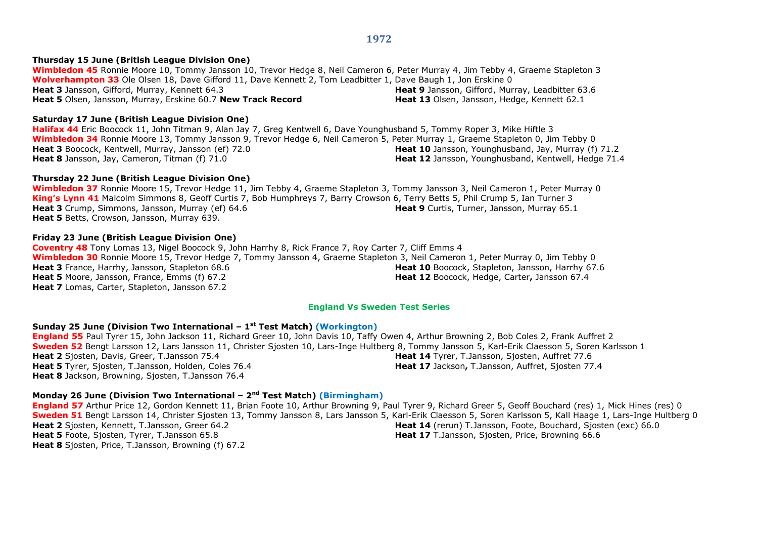#### **Thursday 15 June (British League Division One)**

**Wimbledon 45** Ronnie Moore 10, Tommy Jansson 10, Trevor Hedge 8, Neil Cameron 6, Peter Murray 4, Jim Tebby 4, Graeme Stapleton 3 **Wolverhampton 33** Ole Olsen 18, Dave Gifford 11, Dave Kennett 2, Tom Leadbitter 1, Dave Baugh 1, Jon Erskine 0 **Heat 3** Jansson, Gifford, Murray, Kennett 64.3 **Heat 5** Olsen, Jansson, Murray, Erskine 60.7 **New Track Record Heat 9** Jansson, Gifford, Murray, Leadbitter 63.6 **Heat 13** Olsen, Jansson, Hedge, Kennett 62.1

#### **Saturday 17 June (British League Division One)**

**Halifax 44** Eric Boocock 11, John Titman 9, Alan Jay 7, Greg Kentwell 6, Dave Younghusband 5, Tommy Roper 3, Mike Hiftle 3 **Wimbledon 34** Ronnie Moore 13, Tommy Jansson 9, Trevor Hedge 6, Neil Cameron 5, Peter Murray 1, Graeme Stapleton 0, Jim Tebby 0 **Heat 3** Boocock, Kentwell, Murray, Jansson (ef) 72.0 **Heat 8** Jansson, Jay, Cameron, Titman (f) 71.0 **Heat 10** Jansson, Younghusband, Jay, Murray (f) 71.2 Heat 12 Jansson, Younghusband, Kentwell, Hedge 71.4

#### **Thursday 22 June (British League Division One)**

**Wimbledon 37** Ronnie Moore 15, Trevor Hedge 11, Jim Tebby 4, Graeme Stapleton 3, Tommy Jansson 3, Neil Cameron 1, Peter Murray 0 **King's Lynn 41** Malcolm Simmons 8, Geoff Curtis 7, Bob Humphreys 7, Barry Crowson 6, Terry Betts 5, Phil Crump 5, Ian Turner 3 **Heat 3** Crump, Simmons, Jansson, Murray (ef) 64.6 **Heat 5** Betts, Crowson, Jansson, Murray 639. **Heat 9** Curtis, Turner, Jansson, Murray 65.1

#### **Friday 23 June (British League Division One)**

**Coventry 48** Tony Lomas 13, Nigel Boocock 9, John Harrhy 8, Rick France 7, Roy Carter 7, Cliff Emms 4 **Wimbledon 30** Ronnie Moore 15, Trevor Hedge 7, Tommy Jansson 4, Graeme Stapleton 3, Neil Cameron 1, Peter Murray 0, Jim Tebby 0 **Heat 3** France, Harrhy, Jansson, Stapleton 68.6 **Heat 5** Moore, Jansson, France, Emms (f) 67.2 **Heat 7** Lomas, Carter, Stapleton, Jansson 67.2 **Heat 10** Boocock, Stapleton, Jansson, Harrhy 67.6 **Heat 12** Boocock, Hedge, Carter**,** Jansson 67.4

#### **England Vs Sweden Test Series**

#### **Sunday 25 June (Division Two International – 1 st Test Match) (Workington)**

**England 55** Paul Tyrer 15, John Jackson 11, Richard Greer 10, John Davis 10, Taffy Owen 4, Arthur Browning 2, Bob Coles 2, Frank Auffret 2 **Sweden 52** Bengt Larsson 12, Lars Jansson 11, Christer Sjosten 10, Lars-Inge Hultberg 8, Tommy Jansson 5, Karl-Erik Claesson 5, Soren Karlsson 1 **Heat 2** Sjosten, Davis, Greer, T.Jansson 75.4 **Heat 5** Tyrer, Sjosten, T.Jansson, Holden, Coles 76.4 **Heat 8** Jackson, Browning, Sjosten, T.Jansson 76.4 **Heat 14** Tyrer, T.Jansson, Sjosten, Auffret 77.6 **Heat 17** Jackson**,** T.Jansson, Auffret, Sjosten 77.4

#### **Monday 26 June (Division Two International – 2 nd Test Match) (Birmingham)**

**England 57** Arthur Price 12, Gordon Kennett 11, Brian Foote 10, Arthur Browning 9, Paul Tyrer 9, Richard Greer 5, Geoff Bouchard (res) 1, Mick Hines (res) 0 **Sweden 51** Bengt Larsson 14, Christer Sjosten 13, Tommy Jansson 8, Lars Jansson 5, Karl-Erik Claesson 5, Soren Karlsson 5, Kall Haage 1, Lars-Inge Hultberg 0 **Heat 2** Sjosten, Kennett, T.Jansson, Greer 64.2 **Heat 5** Foote, Sjosten, Tyrer, T.Jansson 65.8 **Heat 8** Sjosten, Price, T.Jansson, Browning (f) 67.2 **Heat 14** (rerun) T.Jansson, Foote, Bouchard, Sjosten (exc) 66.0 **Heat 17** T.Jansson, Sjosten, Price, Browning 66.6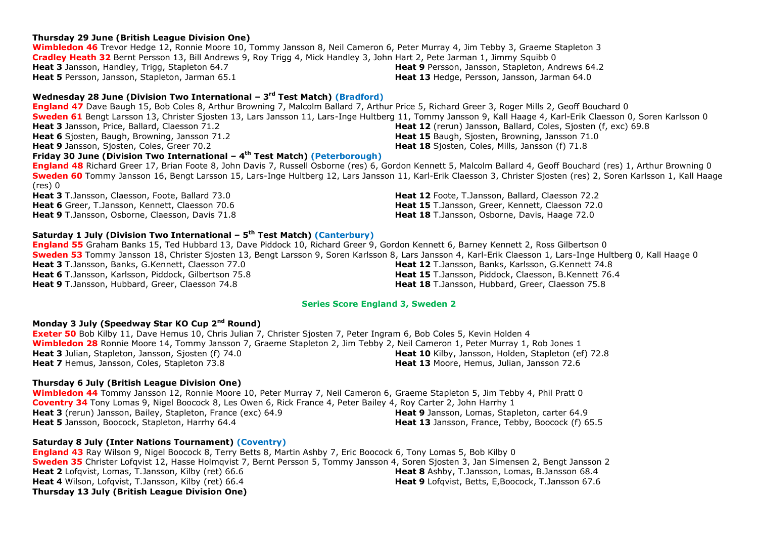## **Thursday 29 June (British League Division One)**

**Wimbledon 46** Trevor Hedge 12, Ronnie Moore 10, Tommy Jansson 8, Neil Cameron 6, Peter Murray 4, Jim Tebby 3, Graeme Stapleton 3 **Cradley Heath 32** Bernt Persson 13, Bill Andrews 9, Roy Trigg 4, Mick Handley 3, John Hart 2, Pete Jarman 1, Jimmy Squibb 0 **Heat 3** Jansson, Handley, Trigg, Stapleton 64.7 **Heat 5** Persson, Jansson, Stapleton, Jarman 65.1 **Heat 9** Persson, Jansson, Stapleton, Andrews 64.2 **Heat 13** Hedge, Persson, Jansson, Jarman 64.0

## **Wednesday 28 June (Division Two International – 3 rd Test Match) (Bradford)**

**England 47** Dave Baugh 15, Bob Coles 8, Arthur Browning 7, Malcolm Ballard 7, Arthur Price 5, Richard Greer 3, Roger Mills 2, Geoff Bouchard 0 **Sweden 61** Bengt Larsson 13, Christer Sjosten 13, Lars Jansson 11, Lars-Inge Hultberg 11, Tommy Jansson 9, Kall Haage 4, Karl-Erik Claesson 0, Soren Karlsson 0 **Heat 3** Jansson, Price, Ballard, Claesson 71.2 **Heat 6** Sjosten, Baugh, Browning, Jansson 71.2 **Heat 9** Jansson, Sjosten, Coles, Greer 70.2 **Heat 12** (rerun) Jansson, Ballard, Coles, Sjosten (f, exc) 69.8 **Heat 15** Baugh, Sjosten, Browning, Jansson 71.0 **Heat 18** Sjosten, Coles, Mills, Jansson (f) 71.8

## **Friday 30 June (Division Two International – 4 th Test Match) (Peterborough)**

**England 48** Richard Greer 17, Brian Foote 8, John Davis 7, Russell Osborne (res) 6, Gordon Kennett 5, Malcolm Ballard 4, Geoff Bouchard (res) 1, Arthur Browning 0 **Sweden 60** Tommy Jansson 16, Bengt Larsson 15, Lars-Inge Hultberg 12, Lars Jansson 11, Karl-Erik Claesson 3, Christer Sjosten (res) 2, Soren Karlsson 1, Kall Haage (res) 0

**Heat 3** T.Jansson, Claesson, Foote, Ballard 73.0 **Heat 6** Greer, T.Jansson, Kennett, Claesson 70.6 **Heat 9** T.Jansson, Osborne, Claesson, Davis 71.8

## **Saturday 1 July (Division Two International – 5 th Test Match) (Canterbury)**

**England 55** Graham Banks 15, Ted Hubbard 13, Dave Piddock 10, Richard Greer 9, Gordon Kennett 6, Barney Kennett 2, Ross Gilbertson 0 **Sweden 53** Tommy Jansson 18, Christer Sjosten 13, Bengt Larsson 9, Soren Karlsson 8, Lars Jansson 4, Karl-Erik Claesson 1, Lars-Inge Hultberg 0, Kall Haage 0 **Heat 3** T.Jansson, Banks, G.Kennett, Claesson 77.0 **Heat 6** T.Jansson, Karlsson, Piddock, Gilbertson 75.8 **Heat 9** T.Jansson, Hubbard, Greer, Claesson 74.8 **Heat 12** T.Jansson, Banks, Karlsson, G.Kennett 74.8 **Heat 15** T.Jansson, Piddock, Claesson, B.Kennett 76.4 **Heat 18** T.Jansson, Hubbard, Greer, Claesson 75.8

## **Series Score England 3, Sweden 2**

## **Monday 3 July (Speedway Star KO Cup 2nd Round)**

**Exeter 50** Bob Kilby 11, Dave Hemus 10, Chris Julian 7, Christer Sjosten 7, Peter Ingram 6, Bob Coles 5, Kevin Holden 4 **Wimbledon 28** Ronnie Moore 14, Tommy Jansson 7, Graeme Stapleton 2, Jim Tebby 2, Neil Cameron 1, Peter Murray 1, Rob Jones 1 **Heat 3** Julian, Stapleton, Jansson, Sjosten (f) 74.0 **Heat 7** Hemus, Jansson, Coles, Stapleton 73.8 **Heat 10** Kilby, Jansson, Holden, Stapleton (ef) 72.8 **Heat 13** Moore, Hemus, Julian, Jansson 72.6

## **Thursday 6 July (British League Division One)**

**Wimbledon 44** Tommy Jansson 12, Ronnie Moore 10, Peter Murray 7, Neil Cameron 6, Graeme Stapleton 5, Jim Tebby 4, Phil Pratt 0 **Coventry 34** Tony Lomas 9, Nigel Boocock 8, Les Owen 6, Rick France 4, Peter Bailey 4, Roy Carter 2, John Harrhy 1 **Heat 3** (rerun) Jansson, Bailey, Stapleton, France (exc) 64.9 **Heat 5** Jansson, Boocock, Stapleton, Harrhy 64.4 **Heat 9** Jansson, Lomas, Stapleton, carter 64.9 **Heat 13** Jansson, France, Tebby, Boocock (f) 65.5

## **Saturday 8 July (Inter Nations Tournament) (Coventry)**

**England 43** Ray Wilson 9, Nigel Boocock 8, Terry Betts 8, Martin Ashby 7, Eric Boocock 6, Tony Lomas 5, Bob Kilby 0 **Sweden 35** Christer Lofqvist 12, Hasse Holmqvist 7, Bernt Persson 5, Tommy Jansson 4, Soren Sjosten 3, Jan Simensen 2, Bengt Jansson 2 **Heat 2** Lofqvist, Lomas, T.Jansson, Kilby (ret) 66.6 **Heat 4** Wilson, Lofqvist, T.Jansson, Kilby (ret) 66.4 **Heat 8** Ashby, T.Jansson, Lomas, B.Jansson 68.4 **Heat 9** Lofqvist, Betts, E,Boocock, T.Jansson 67.6 **Thursday 13 July (British League Division One)**

**Heat 12** Foote, T.Jansson, Ballard, Claesson 72.2 **Heat 15** T.Jansson, Greer, Kennett, Claesson 72.0 **Heat 18** T.Jansson, Osborne, Davis, Haage 72.0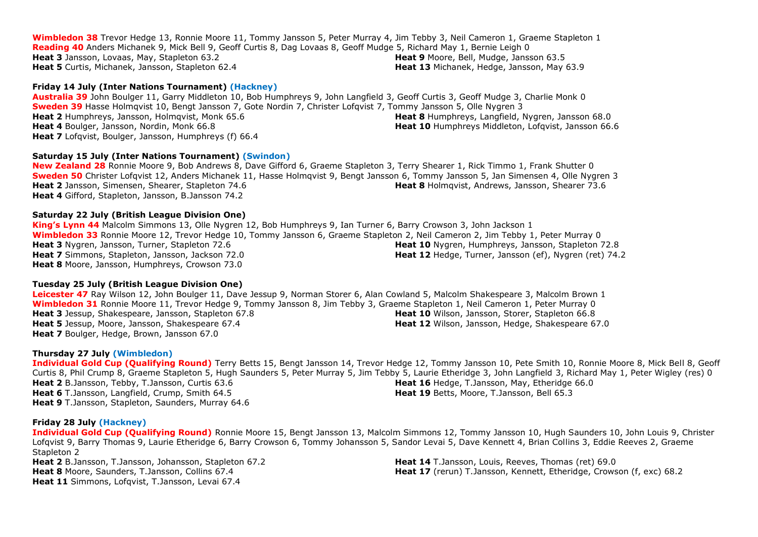**Wimbledon 38** Trevor Hedge 13, Ronnie Moore 11, Tommy Jansson 5, Peter Murray 4, Jim Tebby 3, Neil Cameron 1, Graeme Stapleton 1 **Reading 40** Anders Michanek 9, Mick Bell 9, Geoff Curtis 8, Dag Lovaas 8, Geoff Mudge 5, Richard May 1, Bernie Leigh 0 **Heat 3** Jansson, Lovaas, May, Stapleton 63.2 **Heat 5** Curtis, Michanek, Jansson, Stapleton 62.4 **Heat 9** Moore, Bell, Mudge, Jansson 63.5 **Heat 13** Michanek, Hedge, Jansson, May 63.9

#### **Friday 14 July (Inter Nations Tournament) (Hackney)**

**Australia 39** John Boulger 11, Garry Middleton 10, Bob Humphreys 9, John Langfield 3, Geoff Curtis 3, Geoff Mudge 3, Charlie Monk 0 **Sweden 39** Hasse Holmqvist 10, Bengt Jansson 7, Gote Nordin 7, Christer Lofqvist 7, Tommy Jansson 5, Olle Nygren 3 **Heat 2** Humphreys, Jansson, Holmqvist, Monk 65.6 **Heat 4** Boulger, Jansson, Nordin, Monk 66.8 **Heat 7** Lofqvist, Boulger, Jansson, Humphreys (f) 66.4 **Heat 8** Humphreys, Langfield, Nygren, Jansson 68.0 **Heat 10** Humphreys Middleton, Lofgyist, Jansson 66.6

## **Saturday 15 July (Inter Nations Tournament) (Swindon)**

**New Zealand 28** Ronnie Moore 9, Bob Andrews 8, Dave Gifford 6, Graeme Stapleton 3, Terry Shearer 1, Rick Timmo 1, Frank Shutter 0 **Sweden 50** Christer Lofqvist 12, Anders Michanek 11, Hasse Holmqvist 9, Bengt Jansson 6, Tommy Jansson 5, Jan Simensen 4, Olle Nygren 3 **Heat 2** Jansson, Simensen, Shearer, Stapleton 74.6 **Heat 4** Gifford, Stapleton, Jansson, B.Jansson 74.2 **Heat 8** Holmqvist, Andrews, Jansson, Shearer 73.6

## **Saturday 22 July (British League Division One)**

**King's Lynn 44** Malcolm Simmons 13, Olle Nygren 12, Bob Humphreys 9, Ian Turner 6, Barry Crowson 3, John Jackson 1 **Wimbledon 33** Ronnie Moore 12, Trevor Hedge 10, Tommy Jansson 6, Graeme Stapleton 2, Neil Cameron 2, Jim Tebby 1, Peter Murray 0 **Heat 3** Nygren, Jansson, Turner, Stapleton 72.6 **Heat 7** Simmons, Stapleton, Jansson, Jackson 72.0 **Heat 8** Moore, Jansson, Humphreys, Crowson 73.0 **Heat 10** Nygren, Humphreys, Jansson, Stapleton 72.8 **Heat 12** Hedge, Turner, Jansson (ef), Nygren (ret) 74.2

## **Tuesday 25 July (British League Division One)**

**Leicester 47** Ray Wilson 12, John Boulger 11, Dave Jessup 9, Norman Storer 6, Alan Cowland 5, Malcolm Shakespeare 3, Malcolm Brown 1 **Wimbledon 31** Ronnie Moore 11, Trevor Hedge 9, Tommy Jansson 8, Jim Tebby 3, Graeme Stapleton 1, Neil Cameron 1, Peter Murray 0 **Heat 3** Jessup, Shakespeare, Jansson, Stapleton 67.8 **Heat 5** Jessup, Moore, Jansson, Shakespeare 67.4 **Heat 7** Boulger, Hedge, Brown, Jansson 67.0 **Heat 10** Wilson, Jansson, Storer, Stapleton 66.8 **Heat 12** Wilson, Jansson, Hedge, Shakespeare 67.0

## **Thursday 27 July (Wimbledon)**

**Individual Gold Cup (Qualifying Round)** Terry Betts 15, Bengt Jansson 14, Trevor Hedge 12, Tommy Jansson 10, Pete Smith 10, Ronnie Moore 8, Mick Bell 8, Geoff Curtis 8, Phil Crump 8, Graeme Stapleton 5, Hugh Saunders 5, Peter Murray 5, Jim Tebby 5, Laurie Etheridge 3, John Langfield 3, Richard May 1, Peter Wigley (res) 0 **Heat 2** B.Jansson, Tebby, T.Jansson, Curtis 63.6 **Heat 6** T.Jansson, Langfield, Crump, Smith 64.5 **Heat 9** T.Jansson, Stapleton, Saunders, Murray 64.6 **Heat 16** Hedge, T.Jansson, May, Etheridge 66.0 **Heat 19** Betts, Moore, T.Jansson, Bell 65.3

## **Friday 28 July (Hackney)**

**Individual Gold Cup (Qualifying Round)** Ronnie Moore 15, Bengt Jansson 13, Malcolm Simmons 12, Tommy Jansson 10, Hugh Saunders 10, John Louis 9, Christer Lofqvist 9, Barry Thomas 9, Laurie Etheridge 6, Barry Crowson 6, Tommy Johansson 5, Sandor Levai 5, Dave Kennett 4, Brian Collins 3, Eddie Reeves 2, Graeme Stapleton 2

**Heat 2** B.Jansson, T.Jansson, Johansson, Stapleton 67.2 **Heat 8** Moore, Saunders, T.Jansson, Collins 67.4 **Heat 11** Simmons, Lofqvist, T.Jansson, Levai 67.4

**Heat 14** T.Jansson, Louis, Reeves, Thomas (ret) 69.0 **Heat 17** (rerun) T.Jansson, Kennett, Etheridge, Crowson (f, exc) 68.2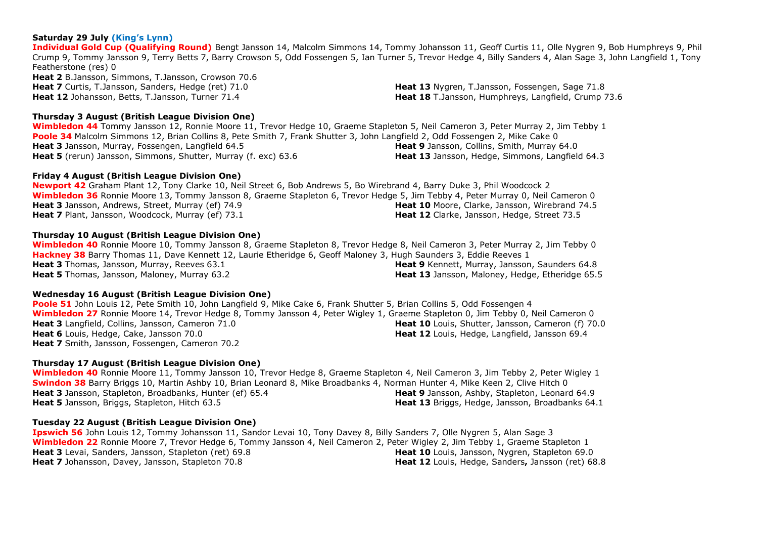## **Saturday 29 July (King's Lynn)**

**Individual Gold Cup (Qualifying Round)** Bengt Jansson 14, Malcolm Simmons 14, Tommy Johansson 11, Geoff Curtis 11, Olle Nygren 9, Bob Humphreys 9, Phil Crump 9, Tommy Jansson 9, Terry Betts 7, Barry Crowson 5, Odd Fossengen 5, Ian Turner 5, Trevor Hedge 4, Billy Sanders 4, Alan Sage 3, John Langfield 1, Tony Featherstone (res) 0 **Heat 2** B.Jansson, Simmons, T.Jansson, Crowson 70.6 **Heat 7** Curtis, T.Jansson, Sanders, Hedge (ret) 71.0 **Heat 12** Johansson, Betts, T.Jansson, Turner 71.4 **Heat 13** Nygren, T.Jansson, Fossengen, Sage 71.8 **Heat 18** T.Jansson, Humphreys, Langfield, Crump 73.6

## **Thursday 3 August (British League Division One)**

**Wimbledon 44** Tommy Jansson 12, Ronnie Moore 11, Trevor Hedge 10, Graeme Stapleton 5, Neil Cameron 3, Peter Murray 2, Jim Tebby 1 **Poole 34** Malcolm Simmons 12, Brian Collins 8, Pete Smith 7, Frank Shutter 3, John Langfield 2, Odd Fossengen 2, Mike Cake 0 **Heat 3** Jansson, Murray, Fossengen, Langfield 64.5 **Heat 5** (rerun) Jansson, Simmons, Shutter, Murray (f. exc) 63.6 **Heat 9** Jansson, Collins, Smith, Murray 64.0 **Heat 13** Jansson, Hedge, Simmons, Langfield 64.3

## **Friday 4 August (British League Division One)**

**Newport 42** Graham Plant 12, Tony Clarke 10, Neil Street 6, Bob Andrews 5, Bo Wirebrand 4, Barry Duke 3, Phil Woodcock 2 **Wimbledon 36** Ronnie Moore 13, Tommy Jansson 8, Graeme Stapleton 6, Trevor Hedge 5, Jim Tebby 4, Peter Murray 0, Neil Cameron 0 **Heat 3** Jansson, Andrews, Street, Murray (ef) 74.9 **Heat 7** Plant, Jansson, Woodcock, Murray (ef) 73.1 **Heat 10** Moore, Clarke, Jansson, Wirebrand 74.5 **Heat 12** Clarke, Jansson, Hedge, Street 73.5

## **Thursday 10 August (British League Division One)**

**Wimbledon 40** Ronnie Moore 10, Tommy Jansson 8, Graeme Stapleton 8, Trevor Hedge 8, Neil Cameron 3, Peter Murray 2, Jim Tebby 0 **Hackney 38** Barry Thomas 11, Dave Kennett 12, Laurie Etheridge 6, Geoff Maloney 3, Hugh Saunders 3, Eddie Reeves 1 **Heat 3** Thomas, Jansson, Murray, Reeves 63.1 **Heat 5** Thomas, Jansson, Maloney, Murray 63.2 **Heat 9** Kennett, Murray, Jansson, Saunders 64.8 **Heat 13** Jansson, Maloney, Hedge, Etheridge 65.5

## **Wednesday 16 August (British League Division One)**

**Poole 51** John Louis 12, Pete Smith 10, John Langfield 9, Mike Cake 6, Frank Shutter 5, Brian Collins 5, Odd Fossengen 4 **Wimbledon 27** Ronnie Moore 14, Trevor Hedge 8, Tommy Jansson 4, Peter Wigley 1, Graeme Stapleton 0, Jim Tebby 0, Neil Cameron 0 **Heat 3** Langfield, Collins, Jansson, Cameron 71.0 **Heat 6** Louis, Hedge, Cake, Jansson 70.0 **Heat 7** Smith, Jansson, Fossengen, Cameron 70.2 **Heat 10** Louis, Shutter, Jansson, Cameron (f) 70.0 **Heat 12** Louis, Hedge, Langfield, Jansson 69.4

## **Thursday 17 August (British League Division One)**

**Wimbledon 40** Ronnie Moore 11, Tommy Jansson 10, Trevor Hedge 8, Graeme Stapleton 4, Neil Cameron 3, Jim Tebby 2, Peter Wigley 1 **Swindon 38** Barry Briggs 10, Martin Ashby 10, Brian Leonard 8, Mike Broadbanks 4, Norman Hunter 4, Mike Keen 2, Clive Hitch 0 **Heat 3** Jansson, Stapleton, Broadbanks, Hunter (ef) 65.4 **Heat 5** Jansson, Briggs, Stapleton, Hitch 63.5 **Heat 9** Jansson, Ashby, Stapleton, Leonard 64.9 **Heat 13** Briggs, Hedge, Jansson, Broadbanks 64.1

## **Tuesday 22 August (British League Division One)**

**Ipswich 56** John Louis 12, Tommy Johansson 11, Sandor Levai 10, Tony Davey 8, Billy Sanders 7, Olle Nygren 5, Alan Sage 3 **Wimbledon 22** Ronnie Moore 7, Trevor Hedge 6, Tommy Jansson 4, Neil Cameron 2, Peter Wigley 2, Jim Tebby 1, Graeme Stapleton 1 **Heat 3** Levai, Sanders, Jansson, Stapleton (ret) 69.8 **Heat 7** Johansson, Davey, Jansson, Stapleton 70.8 **Heat 10** Louis, Jansson, Nygren, Stapleton 69.0 **Heat 12** Louis, Hedge, Sanders**,** Jansson (ret) 68.8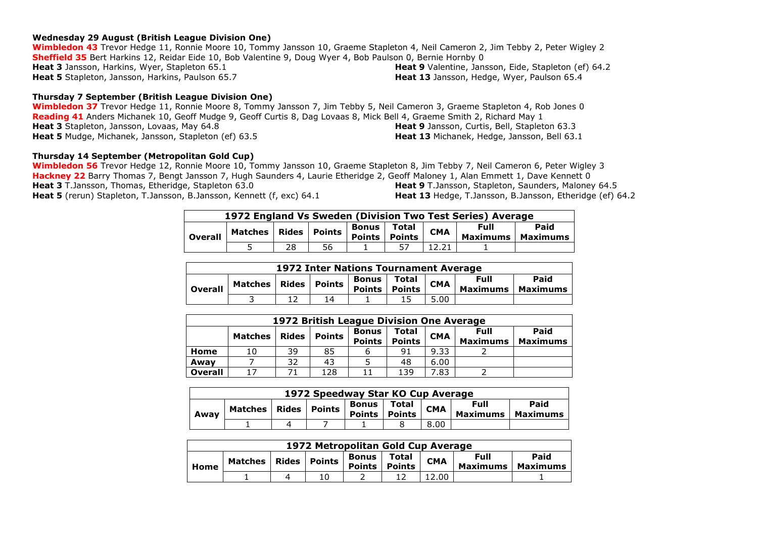#### **Wednesday 29 August (British League Division One)**

**Wimbledon 43** Trevor Hedge 11, Ronnie Moore 10, Tommy Jansson 10, Graeme Stapleton 4, Neil Cameron 2, Jim Tebby 2, Peter Wigley 2 **Sheffield 35** Bert Harkins 12, Reidar Eide 10, Bob Valentine 9, Doug Wyer 4, Bob Paulson 0, Bernie Hornby 0 **Heat 3** Jansson, Harkins, Wyer, Stapleton 65.1 **Heat 5** Stapleton, Jansson, Harkins, Paulson 65.7 **Heat 9** Valentine, Jansson, Eide, Stapleton (ef) 64.2 **Heat 13** Jansson, Hedge, Wyer, Paulson 65.4

#### **Thursday 7 September (British League Division One)**

**Wimbledon 37** Trevor Hedge 11, Ronnie Moore 8, Tommy Jansson 7, Jim Tebby 5, Neil Cameron 3, Graeme Stapleton 4, Rob Jones 0 **Reading 41** Anders Michanek 10, Geoff Mudge 9, Geoff Curtis 8, Dag Lovaas 8, Mick Bell 4, Graeme Smith 2, Richard May 1 **Heat 3** Stapleton, Jansson, Lovaas, May 64.8 **Heat 5** Mudge, Michanek, Jansson, Stapleton (ef) 63.5 **Heat 9** Jansson, Curtis, Bell, Stapleton 63.3 **Heat 13** Michanek, Hedge, Jansson, Bell 63.1

#### **Thursday 14 September (Metropolitan Gold Cup)**

**Wimbledon 56** Trevor Hedge 12, Ronnie Moore 10, Tommy Jansson 10, Graeme Stapleton 8, Jim Tebby 7, Neil Cameron 6, Peter Wigley 3 **Hackney 22** Barry Thomas 7, Bengt Jansson 7, Hugh Saunders 4, Laurie Etheridge 2, Geoff Maloney 1, Alan Emmett 1, Dave Kennett 0 **Heat 3** T.Jansson, Thomas, Etheridge, Stapleton 63.0 **Heat 5** (rerun) Stapleton, T.Jansson, B.Jansson, Kennett (f, exc) 64.1 **Heat 9** T.Jansson, Stapleton, Saunders, Maloney 64.5 **Heat 13** Hedge, T.Jansson, B.Jansson, Etheridge (ef) 64.2

| 1972 England Vs Sweden (Division Two Test Series) Average |                                                              |    |    |  |  |            |                                            |  |  |  |  |
|-----------------------------------------------------------|--------------------------------------------------------------|----|----|--|--|------------|--------------------------------------------|--|--|--|--|
| <b>Overall</b>                                            | Matches   Rides   Points   Points   Points   C <sup>pr</sup> |    |    |  |  | <b>CMA</b> | Paid<br><b>Full</b><br>Maximums   Maximums |  |  |  |  |
|                                                           |                                                              | 28 | 56 |  |  |            |                                            |  |  |  |  |

|                | 1972 Inter Nations Tournament Average |  |                                                                                                                                                                                                             |  |  |      |  |  |  |  |
|----------------|---------------------------------------|--|-------------------------------------------------------------------------------------------------------------------------------------------------------------------------------------------------------------|--|--|------|--|--|--|--|
| <b>Overall</b> | <b>Matches</b>                        |  | Paid<br>Full<br>Total<br>Bonus<br><b>CMA</b><br>ares   Rides   Points   $\frac{50018}{P^2}$   Paints   Paints   Paints   Paints   Paints   Paints   Paints   $\frac{1}{2}$<br>Points<br>Maximums   Maximums |  |  |      |  |  |  |  |
|                |                                       |  | 14                                                                                                                                                                                                          |  |  | 5.00 |  |  |  |  |

|                | 1972 British League Division One Average |              |               |                               |                        |            |                                |                         |  |  |  |
|----------------|------------------------------------------|--------------|---------------|-------------------------------|------------------------|------------|--------------------------------|-------------------------|--|--|--|
|                | <b>Matches</b>                           | <b>Rides</b> | <b>Points</b> | <b>Bonus</b><br><b>Points</b> | <b>Total</b><br>Points | <b>CMA</b> | <b>Full</b><br><b>Maximums</b> | Paid<br><b>Maximums</b> |  |  |  |
| Home           | 10                                       | 39           | 85            | ь                             | 91                     | 9.33       |                                |                         |  |  |  |
| Awav           |                                          | 32           | 43            |                               | 48                     | 6.00       |                                |                         |  |  |  |
| <b>Overall</b> |                                          |              | 128           | 11                            | 139                    | 7.83       |                                |                         |  |  |  |

| 1972 Speedway Star KO Cup Average |         |       |        |                               |                        |            |                                                    |  |  |  |
|-----------------------------------|---------|-------|--------|-------------------------------|------------------------|------------|----------------------------------------------------|--|--|--|
| Awav                              | Matches | Rides | Points | <b>Bonus</b><br><b>Points</b> | Total<br><b>Points</b> | <b>CMA</b> | Paid<br>Full<br><b>Maximums</b><br><b>Maximums</b> |  |  |  |
|                                   |         |       |        |                               |                        | 8.00       |                                                    |  |  |  |

|      | 1972 Metropolitan Gold Cup Average |       |               |                               |                        |            |                         |                  |  |  |
|------|------------------------------------|-------|---------------|-------------------------------|------------------------|------------|-------------------------|------------------|--|--|
| Home | Matches                            | Rides | <b>Points</b> | <b>Bonus</b><br><b>Points</b> | Total<br><b>Points</b> | <b>CMA</b> | Full<br><b>Maximums</b> | Paid<br>Maximums |  |  |
|      |                                    |       | 10            |                               |                        | 12.00      |                         |                  |  |  |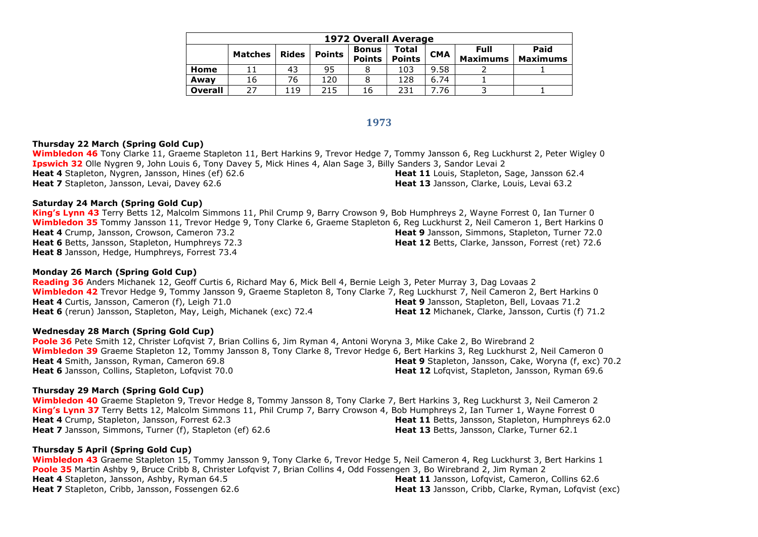|                | <b>1972 Overall Average</b> |              |               |                               |                               |            |                                |                         |  |  |  |  |
|----------------|-----------------------------|--------------|---------------|-------------------------------|-------------------------------|------------|--------------------------------|-------------------------|--|--|--|--|
|                | <b>Matches</b>              | <b>Rides</b> | <b>Points</b> | <b>Bonus</b><br><b>Points</b> | <b>Total</b><br><b>Points</b> | <b>CMA</b> | <b>Full</b><br><b>Maximums</b> | Paid<br><b>Maximums</b> |  |  |  |  |
| Home           |                             | 43           | 95            |                               | 103                           | 9.58       |                                |                         |  |  |  |  |
| Away           | 16                          | 76           | 120           |                               | 128                           | 6.74       |                                |                         |  |  |  |  |
| <b>Overall</b> | 27                          | 119          | 215           | 16                            | 231                           | . .76      |                                |                         |  |  |  |  |

#### **1973**

#### **Thursday 22 March (Spring Gold Cup)**

**Wimbledon 46** Tony Clarke 11, Graeme Stapleton 11, Bert Harkins 9, Trevor Hedge 7, Tommy Jansson 6, Reg Luckhurst 2, Peter Wigley 0 **Ipswich 32** Olle Nygren 9, John Louis 6, Tony Davey 5, Mick Hines 4, Alan Sage 3, Billy Sanders 3, Sandor Levai 2 **Heat 4** Stapleton, Nygren, Jansson, Hines (ef) 62.6 **Heat 7** Stapleton, Jansson, Levai, Davey 62.6 **Heat 11** Louis, Stapleton, Sage, Jansson 62.4 **Heat 13** Jansson, Clarke, Louis, Levai 63.2

#### **Saturday 24 March (Spring Gold Cup)**

**King's Lynn 43** Terry Betts 12, Malcolm Simmons 11, Phil Crump 9, Barry Crowson 9, Bob Humphreys 2, Wayne Forrest 0, Ian Turner 0 **Wimbledon 35** Tommy Jansson 11, Trevor Hedge 9, Tony Clarke 6, Graeme Stapleton 6, Reg Luckhurst 2, Neil Cameron 1, Bert Harkins 0 **Heat 4** Crump, Jansson, Crowson, Cameron 73.2 **Heat 6** Betts, Jansson, Stapleton, Humphreys 72.3 **Heat 8** Jansson, Hedge, Humphreys, Forrest 73.4 **Heat 9** Jansson, Simmons, Stapleton, Turner 72.0 **Heat 12** Betts, Clarke, Jansson, Forrest (ret) 72.6

#### **Monday 26 March (Spring Gold Cup)**

**Reading 36** Anders Michanek 12, Geoff Curtis 6, Richard May 6, Mick Bell 4, Bernie Leigh 3, Peter Murray 3, Dag Lovaas 2 **Wimbledon 42** Trevor Hedge 9, Tommy Jansson 9, Graeme Stapleton 8, Tony Clarke 7, Reg Luckhurst 7, Neil Cameron 2, Bert Harkins 0 **Heat 4** Curtis, Jansson, Cameron (f), Leigh 71.0 **Heat 6** (rerun) Jansson, Stapleton, May, Leigh, Michanek (exc) 72.4 **Heat 9** Jansson, Stapleton, Bell, Lovaas 71.2 **Heat 12** Michanek, Clarke, Jansson, Curtis (f) 71.2

#### **Wednesday 28 March (Spring Gold Cup)**

**Poole 36** Pete Smith 12, Christer Lofqvist 7, Brian Collins 6, Jim Ryman 4, Antoni Woryna 3, Mike Cake 2, Bo Wirebrand 2 **Wimbledon 39** Graeme Stapleton 12, Tommy Jansson 8, Tony Clarke 8, Trevor Hedge 6, Bert Harkins 3, Reg Luckhurst 2, Neil Cameron 0 **Heat 4** Smith, Jansson, Ryman, Cameron 69.8 **Heat 6** Jansson, Collins, Stapleton, Lofqvist 70.0 **Heat 9** Stapleton, Jansson, Cake, Woryna (f, exc) 70.2 Heat 12 Lofqvist, Stapleton, Jansson, Ryman 69.6

#### **Thursday 29 March (Spring Gold Cup)**

**Wimbledon 40** Graeme Stapleton 9, Trevor Hedge 8, Tommy Jansson 8, Tony Clarke 7, Bert Harkins 3, Reg Luckhurst 3, Neil Cameron 2 **King's Lynn 37** Terry Betts 12, Malcolm Simmons 11, Phil Crump 7, Barry Crowson 4, Bob Humphreys 2, Ian Turner 1, Wayne Forrest 0 **Heat 4** Crump, Stapleton, Jansson, Forrest 62.3 **Heat 7** Jansson, Simmons, Turner (f), Stapleton (ef) 62.6 **Heat 11** Betts, Jansson, Stapleton, Humphreys 62.0 **Heat 13** Betts, Jansson, Clarke, Turner 62.1

#### **Thursday 5 April (Spring Gold Cup)**

**Wimbledon 43** Graeme Stapleton 15, Tommy Jansson 9, Tony Clarke 6, Trevor Hedge 5, Neil Cameron 4, Reg Luckhurst 3, Bert Harkins 1 **Poole 35** Martin Ashby 9, Bruce Cribb 8, Christer Lofqvist 7, Brian Collins 4, Odd Fossengen 3, Bo Wirebrand 2, Jim Ryman 2 **Heat 4** Stapleton, Jansson, Ashby, Ryman 64.5 **Heat 7** Stapleton, Cribb, Jansson, Fossengen 62.6 **Heat 11** Jansson, Lofqvist, Cameron, Collins 62.6 **Heat 13** Jansson, Cribb, Clarke, Ryman, Lofqvist (exc)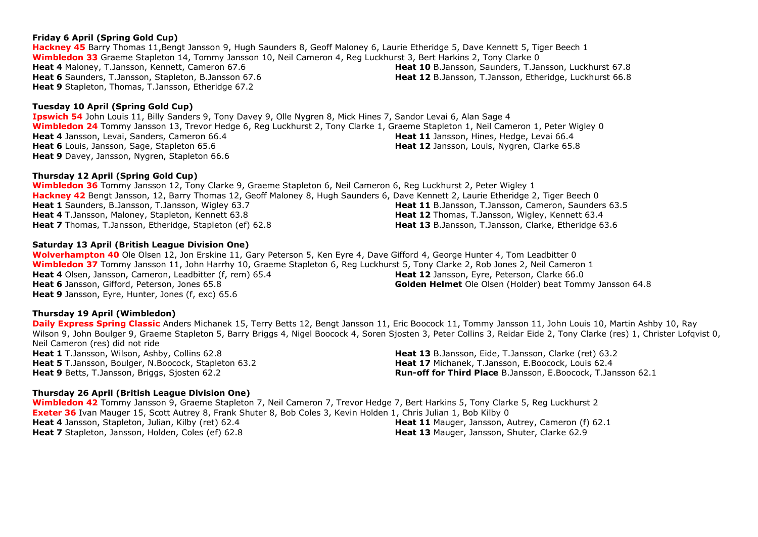## **Friday 6 April (Spring Gold Cup)**

**Hackney 45** Barry Thomas 11,Bengt Jansson 9, Hugh Saunders 8, Geoff Maloney 6, Laurie Etheridge 5, Dave Kennett 5, Tiger Beech 1 **Wimbledon 33** Graeme Stapleton 14, Tommy Jansson 10, Neil Cameron 4, Reg Luckhurst 3, Bert Harkins 2, Tony Clarke 0 **Heat 4** Maloney, T.Jansson, Kennett, Cameron 67.6 **Heat 6** Saunders, T.Jansson, Stapleton, B.Jansson 67.6 **Heat 9** Stapleton, Thomas, T.Jansson, Etheridge 67.2

## **Tuesday 10 April (Spring Gold Cup)**

**Ipswich 54** John Louis 11, Billy Sanders 9, Tony Davey 9, Olle Nygren 8, Mick Hines 7, Sandor Levai 6, Alan Sage 4 **Wimbledon 24** Tommy Jansson 13, Trevor Hedge 6, Reg Luckhurst 2, Tony Clarke 1, Graeme Stapleton 1, Neil Cameron 1, Peter Wigley 0 **Heat 4** Jansson, Levai, Sanders, Cameron 66.4 **Heat 6** Louis, Jansson, Sage, Stapleton 65.6 **Heat 9** Davey, Jansson, Nygren, Stapleton 66.6 **Heat 11** Jansson, Hines, Hedge, Levai 66.4 **Heat 12** Jansson, Louis, Nygren, Clarke 65.8

## **Thursday 12 April (Spring Gold Cup)**

**Wimbledon 36** Tommy Jansson 12, Tony Clarke 9, Graeme Stapleton 6, Neil Cameron 6, Reg Luckhurst 2, Peter Wigley 1 **Hackney 42** Bengt Jansson, 12, Barry Thomas 12, Geoff Maloney 8, Hugh Saunders 6, Dave Kennett 2, Laurie Etheridge 2, Tiger Beech 0 **Heat 1** Saunders, B.Jansson, T.Jansson, Wigley 63.7 **Heat 4** T.Jansson, Maloney, Stapleton, Kennett 63.8 **Heat 7** Thomas, T.Jansson, Etheridge, Stapleton (ef) 62.8 **Heat 12** Thomas, T.Jansson, Wigley, Kennett 63.4 **Heat 13** B.Jansson, T.Jansson, Clarke, Etheridge 63.6

## **Saturday 13 April (British League Division One)**

**Wolverhampton 40** Ole Olsen 12, Jon Erskine 11, Gary Peterson 5, Ken Eyre 4, Dave Gifford 4, George Hunter 4, Tom Leadbitter 0 **Wimbledon 37** Tommy Jansson 11, John Harrhy 10, Graeme Stapleton 6, Reg Luckhurst 5, Tony Clarke 2, Rob Jones 2, Neil Cameron 1 **Heat 4** Olsen, Jansson, Cameron, Leadbitter (f, rem) 65.4 **Heat 6** Jansson, Gifford, Peterson, Jones 65.8 **Heat 9** Jansson, Eyre, Hunter, Jones (f, exc) 65.6 **Heat 12** Jansson, Eyre, Peterson, Clarke 66.0 **Golden Helmet** Ole Olsen (Holder) beat Tommy Jansson 64.8

## **Thursday 19 April (Wimbledon)**

**Daily Express Spring Classic** Anders Michanek 15, Terry Betts 12, Bengt Jansson 11, Eric Boocock 11, Tommy Jansson 11, John Louis 10, Martin Ashby 10, Ray Wilson 9, John Boulger 9, Graeme Stapleton 5, Barry Briggs 4, Nigel Boocock 4, Soren Siosten 3, Peter Collins 3, Reidar Eide 2, Tony Clarke (res) 1, Christer Lofgvist 0, Neil Cameron (res) did not ride **Heat 1** T.Jansson, Wilson, Ashby, Collins 62.8 **Heat 13** B.Jansson, Eide, T.Jansson, Clarke (ret) 63.2

**Heat 5** T.Jansson, Boulger, N.Boocock, Stapleton 63.2 **Heat 9** Betts, T.Jansson, Briggs, Sjosten 62.2

## **Thursday 26 April (British League Division One)**

**Wimbledon 42** Tommy Jansson 9, Graeme Stapleton 7, Neil Cameron 7, Trevor Hedge 7, Bert Harkins 5, Tony Clarke 5, Reg Luckhurst 2 **Exeter 36** Ivan Mauger 15, Scott Autrey 8, Frank Shuter 8, Bob Coles 3, Kevin Holden 1, Chris Julian 1, Bob Kilby 0 **Heat 4** Jansson, Stapleton, Julian, Kilby (ret) 62.4 **Heat 7** Stapleton, Jansson, Holden, Coles (ef) 62.8 **Heat 11** Mauger, Jansson, Autrey, Cameron (f) 62.1 **Heat 13** Mauger, Jansson, Shuter, Clarke 62.9

**Heat 10** B.Jansson, Saunders, T.Jansson, Luckhurst 67.8 **Heat 12** B.Jansson, T.Jansson, Etheridge, Luckhurst 66.8

**Heat 11** B.Jansson, T.Jansson, Cameron, Saunders 63.5

**Heat 17** Michanek, T.Jansson, E.Boocock, Louis 62.4

**Run-off for Third Place** B.Jansson, E.Boocock, T.Jansson 62.1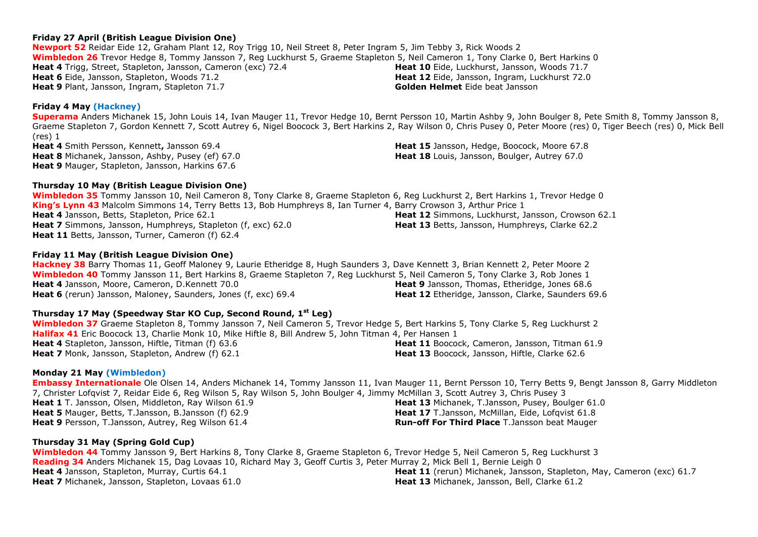## **Friday 27 April (British League Division One)**

**Newport 52** Reidar Eide 12, Graham Plant 12, Roy Trigg 10, Neil Street 8, Peter Ingram 5, Jim Tebby 3, Rick Woods 2 **Wimbledon 26** Trevor Hedge 8, Tommy Jansson 7, Reg Luckhurst 5, Graeme Stapleton 5, Neil Cameron 1, Tony Clarke 0, Bert Harkins 0 **Heat 4** Trigg, Street, Stapleton, Jansson, Cameron (exc) 72.4 **Heat 6** Eide, Jansson, Stapleton, Woods 71.2 **Heat 9** Plant, Jansson, Ingram, Stapleton 71.7 **Heat 10** Eide, Luckhurst, Jansson, Woods 71.7 **Heat 12** Eide, Jansson, Ingram, Luckhurst 72.0 **Golden Helmet** Eide beat Jansson

## **Friday 4 May (Hackney)**

**Superama** Anders Michanek 15, John Louis 14, Ivan Mauger 11, Trevor Hedge 10, Bernt Persson 10, Martin Ashby 9, John Boulger 8, Pete Smith 8, Tommy Jansson 8, Graeme Stapleton 7, Gordon Kennett 7, Scott Autrey 6, Nigel Boocock 3, Bert Harkins 2, Ray Wilson 0, Chris Pusey 0, Peter Moore (res) 0, Tiger Beech (res) 0, Mick Bell (res) 1 **Heat 4** Smith Persson, Kennett**,** Jansson 69.4 **Heat 15** Jansson, Hedge, Boocock, Moore 67.8

**Heat 8** Michanek, Jansson, Ashby, Pusey (ef) 67.0 **Heat 9** Mauger, Stapleton, Jansson, Harkins 67.6

#### **Thursday 10 May (British League Division One)**

**Wimbledon 35** Tommy Jansson 10, Neil Cameron 8, Tony Clarke 8, Graeme Stapleton 6, Reg Luckhurst 2, Bert Harkins 1, Trevor Hedge 0 **King's Lynn 43** Malcolm Simmons 14, Terry Betts 13, Bob Humphreys 8, Ian Turner 4, Barry Crowson 3, Arthur Price 1 **Heat 4** Jansson, Betts, Stapleton, Price 62.1 **Heat 7** Simmons, Jansson, Humphreys, Stapleton (f, exc) 62.0 **Heat 11** Betts, Jansson, Turner, Cameron (f) 62.4 **Heat 13** Betts, Jansson, Humphreys, Clarke 62.2

#### **Friday 11 May (British League Division One)**

**Hackney 38** Barry Thomas 11, Geoff Maloney 9, Laurie Etheridge 8, Hugh Saunders 3, Dave Kennett 3, Brian Kennett 2, Peter Moore 2 **Wimbledon 40** Tommy Jansson 11, Bert Harkins 8, Graeme Stapleton 7, Reg Luckhurst 5, Neil Cameron 5, Tony Clarke 3, Rob Jones 1 **Heat 4** Jansson, Moore, Cameron, D.Kennett 70.0 **Heat 6** (rerun) Jansson, Maloney, Saunders, Jones (f, exc) 69.4 **Heat 9** Jansson, Thomas, Etheridge, Jones 68.6 **Heat 12** Etheridge, Jansson, Clarke, Saunders 69.6

#### **Thursday 17 May (Speedway Star KO Cup, Second Round, 1 st Leg)**

**Wimbledon 37** Graeme Stapleton 8, Tommy Jansson 7, Neil Cameron 5, Trevor Hedge 5, Bert Harkins 5, Tony Clarke 5, Reg Luckhurst 2 **Halifax 41** Eric Boocock 13, Charlie Monk 10, Mike Hiftle 8, Bill Andrew 5, John Titman 4, Per Hansen 1 **Heat 4** Stapleton, Jansson, Hiftle, Titman (f) 63.6 **Heat 7** Monk, Jansson, Stapleton, Andrew (f) 62.1 **Heat 11** Boocock, Cameron, Jansson, Titman 61.9 **Heat 13** Boocock, Jansson, Hiftle, Clarke 62.6

#### **Monday 21 May (Wimbledon)**

**Embassy Internationale** Ole Olsen 14, Anders Michanek 14, Tommy Jansson 11, Ivan Mauger 11, Bernt Persson 10, Terry Betts 9, Bengt Jansson 8, Garry Middleton 7, Christer Lofqvist 7, Reidar Eide 6, Reg Wilson 5, Ray Wilson 5, John Boulger 4, Jimmy McMillan 3, Scott Autrey 3, Chris Pusey 3 **Heat 1** T. Jansson, Olsen, Middleton, Ray Wilson 61.9 **Heat 5** Mauger, Betts, T.Jansson, B.Jansson (f) 62.9 **Heat 9** Persson, T.Jansson, Autrey, Reg Wilson 61.4 **Heat 13** Michanek, T.Jansson, Pusey, Boulger 61.0 **Heat 17** T.Jansson, McMillan, Eide, Lofavist 61.8 **Run-off For Third Place** T.Jansson beat Mauger

#### **Thursday 31 May (Spring Gold Cup)**

**Wimbledon 44** Tommy Jansson 9, Bert Harkins 8, Tony Clarke 8, Graeme Stapleton 6, Trevor Hedge 5, Neil Cameron 5, Reg Luckhurst 3 **Reading 34** Anders Michanek 15, Dag Lovaas 10, Richard May 3, Geoff Curtis 3, Peter Murray 2, Mick Bell 1, Bernie Leigh 0 **Heat 4** Jansson, Stapleton, Murray, Curtis 64.1 **Heat 7** Michanek, Jansson, Stapleton, Lovaas 61.0 **Heat 11** (rerun) Michanek, Jansson, Stapleton, May, Cameron (exc) 61.7 **Heat 13** Michanek, Jansson, Bell, Clarke 61.2

**Heat 12** Simmons, Luckhurst, Jansson, Crowson 62.1

**Heat 18** Louis, Jansson, Boulger, Autrey 67.0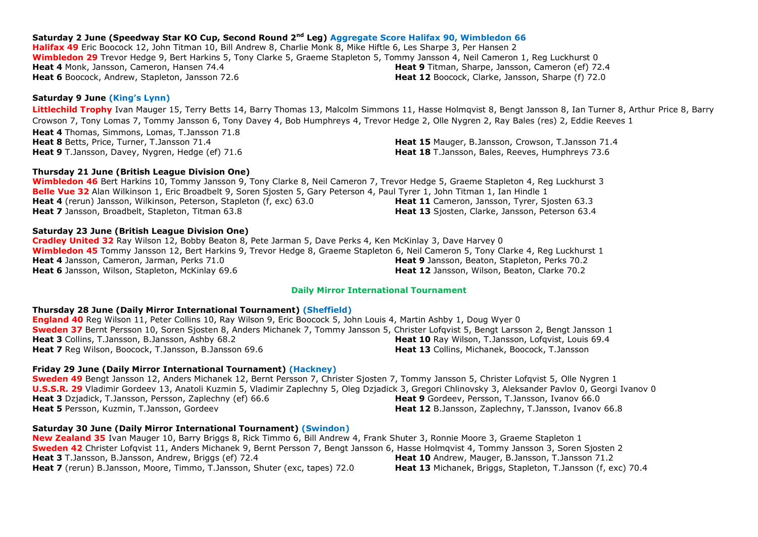## **Saturday 2 June (Speedway Star KO Cup, Second Round 2 nd Leg) Aggregate Score Halifax 90, Wimbledon 66**

**Halifax 49** Eric Boocock 12, John Titman 10, Bill Andrew 8, Charlie Monk 8, Mike Hiftle 6, Les Sharpe 3, Per Hansen 2 **Wimbledon 29** Trevor Hedge 9, Bert Harkins 5, Tony Clarke 5, Graeme Stapleton 5, Tommy Jansson 4, Neil Cameron 1, Reg Luckhurst 0 **Heat 4** Monk, Jansson, Cameron, Hansen 74.4 **Heat 6** Boocock, Andrew, Stapleton, Jansson 72.6 **Heat 9** Titman, Sharpe, Jansson, Cameron (ef) 72.4 **Heat 12** Boocock, Clarke, Jansson, Sharpe (f) 72.0

## **Saturday 9 June (King's Lynn)**

**Littlechild Trophy** Ivan Mauger 15, Terry Betts 14, Barry Thomas 13, Malcolm Simmons 11, Hasse Holmqvist 8, Bengt Jansson 8, Ian Turner 8, Arthur Price 8, Barry Crowson 7, Tony Lomas 7, Tommy Jansson 6, Tony Davey 4, Bob Humphreys 4, Trevor Hedge 2, Olle Nygren 2, Ray Bales (res) 2, Eddie Reeves 1 **Heat 4** Thomas, Simmons, Lomas, T.Jansson 71.8 **Heat 8** Betts, Price, Turner, T.Jansson 71.4 **Heat 9** T.Jansson, Davey, Nygren, Hedge (ef) 71.6 **Heat 15** Mauger, B.Jansson, Crowson, T.Jansson 71.4 **Heat 18** T.Jansson, Bales, Reeves, Humphreys 73.6

## **Thursday 21 June (British League Division One)**

**Wimbledon 46** Bert Harkins 10, Tommy Jansson 9, Tony Clarke 8, Neil Cameron 7, Trevor Hedge 5, Graeme Stapleton 4, Reg Luckhurst 3 **Belle Vue 32** Alan Wilkinson 1, Eric Broadbelt 9, Soren Sjosten 5, Gary Peterson 4, Paul Tyrer 1, John Titman 1, Ian Hindle 1 **Heat 4** (rerun) Jansson, Wilkinson, Peterson, Stapleton (f, exc) 63.0 **Heat 7** Jansson, Broadbelt, Stapleton, Titman 63.8 Heat 11 Cameron, Jansson, Tyrer, Siosten 63.3 **Heat 13** Sjosten, Clarke, Jansson, Peterson 63.4

## **Saturday 23 June (British League Division One)**

**Cradley United 32** Ray Wilson 12, Bobby Beaton 8, Pete Jarman 5, Dave Perks 4, Ken McKinlay 3, Dave Harvey 0 **Wimbledon 45** Tommy Jansson 12, Bert Harkins 9, Trevor Hedge 8, Graeme Stapleton 6, Neil Cameron 5, Tony Clarke 4, Reg Luckhurst 1 **Heat 4** Jansson, Cameron, Jarman, Perks 71.0 **Heat 6** Jansson, Wilson, Stapleton, McKinlay 69.6 **Heat 9** Jansson, Beaton, Stapleton, Perks 70.2 **Heat 12** Jansson, Wilson, Beaton, Clarke 70.2

## **Daily Mirror International Tournament**

## **Thursday 28 June (Daily Mirror International Tournament) (Sheffield)**

**England 40** Reg Wilson 11, Peter Collins 10, Ray Wilson 9, Eric Boocock 5, John Louis 4, Martin Ashby 1, Doug Wyer 0 **Sweden 37** Bernt Persson 10, Soren Sjosten 8, Anders Michanek 7, Tommy Jansson 5, Christer Lofqvist 5, Bengt Larsson 2, Bengt Jansson 1 **Heat 3** Collins, T.Jansson, B.Jansson, Ashby 68.2 **Heat 7** Reg Wilson, Boocock, T.Jansson, B.Jansson 69.6 **Heat 10** Ray Wilson, T.Jansson, Lofqvist, Louis 69.4 **Heat 13** Collins, Michanek, Boocock, T.Jansson

## **Friday 29 June (Daily Mirror International Tournament) (Hackney)**

**Sweden 49** Bengt Jansson 12, Anders Michanek 12, Bernt Persson 7, Christer Sjosten 7, Tommy Jansson 5, Christer Lofqvist 5, Olle Nygren 1 **U.S.S.R. 29** Vladimir Gordeev 13, Anatoli Kuzmin 5, Vladimir Zaplechny 5, Oleg Dzjadick 3, Gregori Chlinovsky 3, Aleksander Pavlov 0, Georgi Ivanov 0 **Heat 3** Dzjadick, T.Jansson, Persson, Zaplechny (ef) 66.6 **Heat 5** Persson, Kuzmin, T.Jansson, Gordeev **Heat 9** Gordeev, Persson, T.Jansson, Ivanov 66.0 **Heat 12** B.Jansson, Zaplechny, T.Jansson, Ivanov 66.8

## **Saturday 30 June (Daily Mirror International Tournament) (Swindon)**

**New Zealand 35** Ivan Mauger 10, Barry Briggs 8, Rick Timmo 6, Bill Andrew 4, Frank Shuter 3, Ronnie Moore 3, Graeme Stapleton 1 **Sweden 42** Christer Lofqvist 11, Anders Michanek 9, Bernt Persson 7, Bengt Jansson 6, Hasse Holmqvist 4, Tommy Jansson 3, Soren Sjosten 2 **Heat 3** T.Jansson, B.Jansson, Andrew, Briggs (ef) 72.4 **Heat 7** (rerun) B.Jansson, Moore, Timmo, T.Jansson, Shuter (exc, tapes) 72.0 **Heat 10** Andrew, Mauger, B.Jansson, T.Jansson 71.2 **Heat 13** Michanek, Briggs, Stapleton, T.Jansson (f, exc) 70.4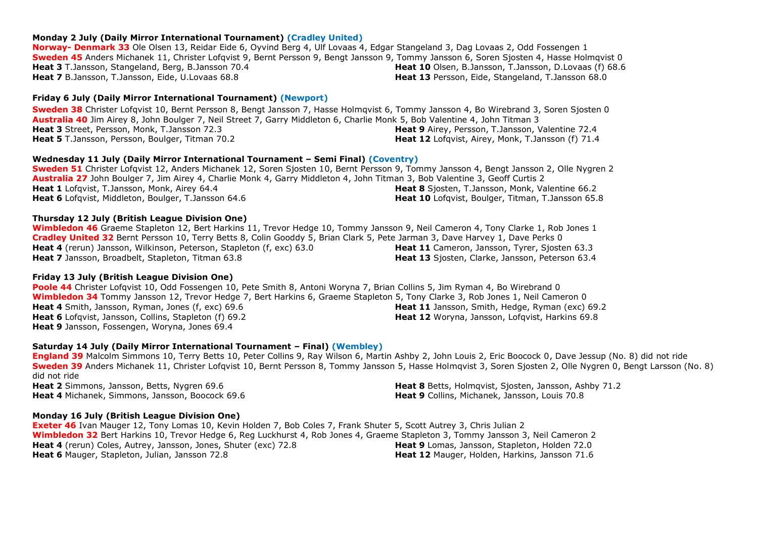#### **Monday 2 July (Daily Mirror International Tournament) (Cradley United)**

**Norway- Denmark 33** Ole Olsen 13, Reidar Eide 6, Oyvind Berg 4, Ulf Lovaas 4, Edgar Stangeland 3, Dag Lovaas 2, Odd Fossengen 1 **Sweden 45** Anders Michanek 11, Christer Lofqvist 9, Bernt Persson 9, Bengt Jansson 9, Tommy Jansson 6, Soren Sjosten 4, Hasse Holmqvist 0 **Heat 3** T.Jansson, Stangeland, Berg, B.Jansson 70.4 **Heat 7** B.Jansson, T.Jansson, Eide, U.Lovaas 68.8 **Heat 10** Olsen, B.Jansson, T.Jansson, D.Lovaas (f) 68.6 **Heat 13** Persson, Eide, Stangeland, T.Jansson 68.0

#### **Friday 6 July (Daily Mirror International Tournament) (Newport)**

**Sweden 38** Christer Lofqvist 10, Bernt Persson 8, Bengt Jansson 7, Hasse Holmqvist 6, Tommy Jansson 4, Bo Wirebrand 3, Soren Sjosten 0 **Australia 40** Jim Airey 8, John Boulger 7, Neil Street 7, Garry Middleton 6, Charlie Monk 5, Bob Valentine 4, John Titman 3 **Heat 3** Street, Persson, Monk, T.Jansson 72.3 **Heat 5** T.Jansson, Persson, Boulger, Titman 70.2 **Heat 9** Airey, Persson, T.Jansson, Valentine 72.4 **Heat 12** Lofqvist, Airey, Monk, T.Jansson (f) 71.4

#### **Wednesday 11 July (Daily Mirror International Tournament – Semi Final) (Coventry)**

**Sweden 51** Christer Lofqvist 12, Anders Michanek 12, Soren Sjosten 10, Bernt Persson 9, Tommy Jansson 4, Bengt Jansson 2, Olle Nygren 2 **Australia 27** John Boulger 7, Jim Airey 4, Charlie Monk 4, Garry Middleton 4, John Titman 3, Bob Valentine 3, Geoff Curtis 2 **Heat 1** Lofqvist, T.Jansson, Monk, Airey 64.4 **Heat 6** Lofqvist, Middleton, Boulger, T.Jansson 64.6 **Heat 8** Sjosten, T.Jansson, Monk, Valentine 66.2 **Heat 10** Lofqvist, Boulger, Titman, T.Jansson 65.8

#### **Thursday 12 July (British League Division One)**

**Wimbledon 46** Graeme Stapleton 12, Bert Harkins 11, Trevor Hedge 10, Tommy Jansson 9, Neil Cameron 4, Tony Clarke 1, Rob Jones 1 **Cradley United 32** Bernt Persson 10, Terry Betts 8, Colin Gooddy 5, Brian Clark 5, Pete Jarman 3, Dave Harvey 1, Dave Perks 0 **Heat 4** (rerun) Jansson, Wilkinson, Peterson, Stapleton (f, exc) 63.0 **Heat 7** Jansson, Broadbelt, Stapleton, Titman 63.8 **Heat 11** Cameron, Jansson, Tyrer, Sjosten 63.3 **Heat 13** Sjosten, Clarke, Jansson, Peterson 63.4

#### **Friday 13 July (British League Division One)**

**Poole 44** Christer Lofqvist 10, Odd Fossengen 10, Pete Smith 8, Antoni Woryna 7, Brian Collins 5, Jim Ryman 4, Bo Wirebrand 0 **Wimbledon 34** Tommy Jansson 12, Trevor Hedge 7, Bert Harkins 6, Graeme Stapleton 5, Tony Clarke 3, Rob Jones 1, Neil Cameron 0 **Heat 4** Smith, Jansson, Ryman, Jones (f, exc) 69.6 **Heat 6** Lofqvist, Jansson, Collins, Stapleton (f) 69.2 **Heat 9** Jansson, Fossengen, Woryna, Jones 69.4 **Heat 11** Jansson, Smith, Hedge, Ryman (exc) 69.2 **Heat 12** Woryna, Jansson, Lofqvist, Harkins 69.8

#### **Saturday 14 July (Daily Mirror International Tournament – Final) (Wembley)**

**England 39** Malcolm Simmons 10, Terry Betts 10, Peter Collins 9, Ray Wilson 6, Martin Ashby 2, John Louis 2, Eric Boocock 0, Dave Jessup (No. 8) did not ride **Sweden 39** Anders Michanek 11, Christer Lofqvist 10, Bernt Persson 8, Tommy Jansson 5, Hasse Holmqvist 3, Soren Sjosten 2, Olle Nygren 0, Bengt Larsson (No. 8) did not ride **Heat 2** Simmons, Jansson, Betts, Nygren 69.6 **Heat 4** Michanek, Simmons, Jansson, Boocock 69.6 **Heat 8** Betts, Holmqvist, Sjosten, Jansson, Ashby 71.2

**Monday 16 July (British League Division One)**

**Exeter 46** Ivan Mauger 12, Tony Lomas 10, Kevin Holden 7, Bob Coles 7, Frank Shuter 5, Scott Autrey 3, Chris Julian 2 **Wimbledon 32** Bert Harkins 10, Trevor Hedge 6, Reg Luckhurst 4, Rob Jones 4, Graeme Stapleton 3, Tommy Jansson 3, Neil Cameron 2 **Heat 4** (rerun) Coles, Autrey, Jansson, Jones, Shuter (exc) 72.8 **Heat 6** Mauger, Stapleton, Julian, Jansson 72.8 **Heat 9** Lomas, Jansson, Stapleton, Holden 72.0 **Heat 12** Mauger, Holden, Harkins, Jansson 71.6

**Heat 9** Collins, Michanek, Jansson, Louis 70.8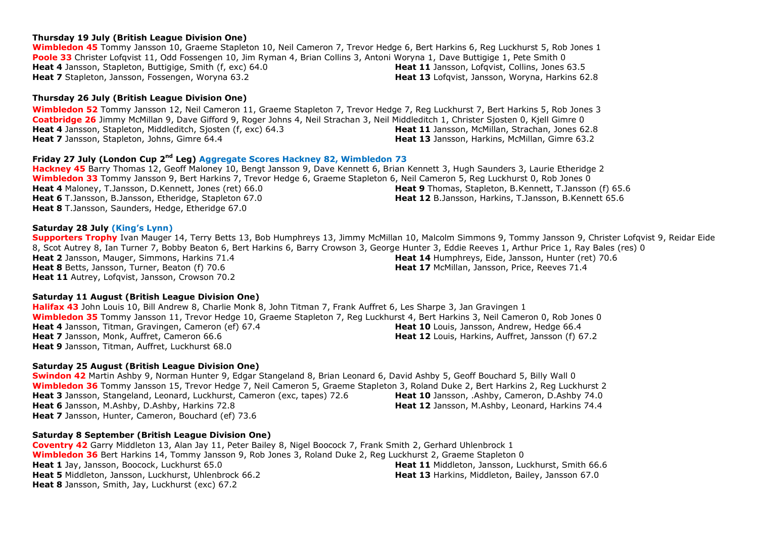#### **Thursday 19 July (British League Division One)**

**Wimbledon 45** Tommy Jansson 10, Graeme Stapleton 10, Neil Cameron 7, Trevor Hedge 6, Bert Harkins 6, Reg Luckhurst 5, Rob Jones 1 **Poole 33** Christer Lofqvist 11, Odd Fossengen 10, Jim Ryman 4, Brian Collins 3, Antoni Woryna 1, Dave Buttigige 1, Pete Smith 0 **Heat 4** Jansson, Stapleton, Buttigige, Smith (f, exc) 64.0 **Heat 7** Stapleton, Jansson, Fossengen, Woryna 63.2 Heat 11 Jansson, Lofqvist, Collins, Jones 63.5 **Heat 13** Lofqvist, Jansson, Worvna, Harkins 62.8

#### **Thursday 26 July (British League Division One)**

**Wimbledon 52** Tommy Jansson 12, Neil Cameron 11, Graeme Stapleton 7, Trevor Hedge 7, Reg Luckhurst 7, Bert Harkins 5, Rob Jones 3 **Coatbridge 26** Jimmy McMillan 9, Dave Gifford 9, Roger Johns 4, Neil Strachan 3, Neil Middleditch 1, Christer Sjosten 0, Kjell Gimre 0 **Heat 4** Jansson, Stapleton, Middleditch, Sjosten (f, exc) 64.3 **Heat 7** Jansson, Stapleton, Johns, Gimre 64.4 **Heat 11** Jansson, McMillan, Strachan, Jones 62.8 **Heat 13** Jansson, Harkins, McMillan, Gimre 63.2

## **Friday 27 July (London Cup 2<sup>nd</sup> Leg) Aggregate Scores Hackney 82, Wimbledon 73**

**Hackney 45** Barry Thomas 12, Geoff Maloney 10, Bengt Jansson 9, Dave Kennett 6, Brian Kennett 3, Hugh Saunders 3, Laurie Etheridge 2 **Wimbledon 33** Tommy Jansson 9, Bert Harkins 7, Trevor Hedge 6, Graeme Stapleton 6, Neil Cameron 5, Reg Luckhurst 0, Rob Jones 0 **Heat 4** Maloney, T.Jansson, D.Kennett, Jones (ret) 66.0 **Heat 6** T.Jansson, B.Jansson, Etheridge, Stapleton 67.0 **Heat 8** T.Jansson, Saunders, Hedge, Etheridge 67.0 **Heat 9** Thomas, Stapleton, B.Kennett, T.Jansson (f) 65.6 **Heat 12** B.Jansson, Harkins, T.Jansson, B.Kennett 65.6

#### **Saturday 28 July (King's Lynn)**

**Supporters Trophy** Ivan Mauger 14, Terry Betts 13, Bob Humphreys 13, Jimmy McMillan 10, Malcolm Simmons 9, Tommy Jansson 9, Christer Lofqvist 9, Reidar Eide 8, Scot Autrey 8, Ian Turner 7, Bobby Beaton 6, Bert Harkins 6, Barry Crowson 3, George Hunter 3, Eddie Reeves 1, Arthur Price 1, Ray Bales (res) 0 **Heat 2** Jansson, Mauger, Simmons, Harkins 71.4 **Heat 8** Betts, Jansson, Turner, Beaton (f) 70.6 **Heat 11** Autrey, Lofqvist, Jansson, Crowson 70.2 **Heat 14** Humphreys, Eide, Jansson, Hunter (ret) 70.6 **Heat 17** McMillan, Jansson, Price, Reeves 71.4

#### **Saturday 11 August (British League Division One)**

**Halifax 43** John Louis 10, Bill Andrew 8, Charlie Monk 8, John Titman 7, Frank Auffret 6, Les Sharpe 3, Jan Gravingen 1 **Wimbledon 35** Tommy Jansson 11, Trevor Hedge 10, Graeme Stapleton 7, Reg Luckhurst 4, Bert Harkins 3, Neil Cameron 0, Rob Jones 0 **Heat 4** Jansson, Titman, Gravingen, Cameron (ef) 67.4 **Heat 7** Jansson, Monk, Auffret, Cameron 66.6 **Heat 9** Jansson, Titman, Auffret, Luckhurst 68.0 **Heat 10** Louis, Jansson, Andrew, Hedge 66.4 **Heat 12** Louis, Harkins, Auffret, Jansson (f) 67.2

#### **Saturday 25 August (British League Division One)**

**Swindon 42** Martin Ashby 9, Norman Hunter 9, Edgar Stangeland 8, Brian Leonard 6, David Ashby 5, Geoff Bouchard 5, Billy Wall 0 **Wimbledon 36** Tommy Jansson 15, Trevor Hedge 7, Neil Cameron 5, Graeme Stapleton 3, Roland Duke 2, Bert Harkins 2, Reg Luckhurst 2 **Heat 3** Jansson, Stangeland, Leonard, Luckhurst, Cameron (exc, tapes) 72.6 **Heat 6** Jansson, M.Ashby, D.Ashby, Harkins 72.8 **Heat 7** Jansson, Hunter, Cameron, Bouchard (ef) 73.6 **Heat 10** Jansson, .Ashby, Cameron, D.Ashby 74.0 **Heat 12** Jansson, M.Ashby, Leonard, Harkins 74.4

#### **Saturday 8 September (British League Division One)**

**Coventry 42** Garry Middleton 13, Alan Jay 11, Peter Bailey 8, Nigel Boocock 7, Frank Smith 2, Gerhard Uhlenbrock 1 **Wimbledon 36** Bert Harkins 14, Tommy Jansson 9, Rob Jones 3, Roland Duke 2, Reg Luckhurst 2, Graeme Stapleton 0 **Heat 1** Jay, Jansson, Boocock, Luckhurst 65.0 **Heat 5** Middleton, Jansson, Luckhurst, Uhlenbrock 66.2 **Heat 8** Jansson, Smith, Jay, Luckhurst (exc) 67.2 **Heat 11** Middleton, Jansson, Luckhurst, Smith 66.6 **Heat 13** Harkins, Middleton, Bailey, Jansson 67.0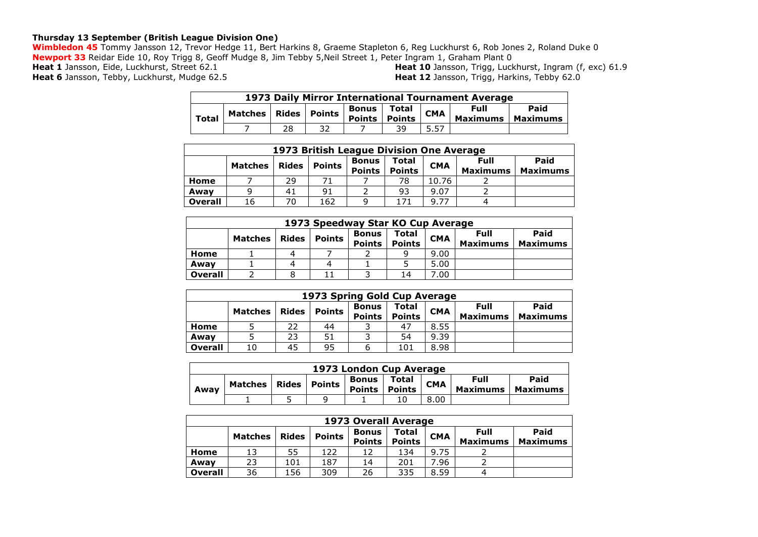## **Thursday 13 September (British League Division One)**

**Wimbledon 45** Tommy Jansson 12, Trevor Hedge 11, Bert Harkins 8, Graeme Stapleton 6, Reg Luckhurst 6, Rob Jones 2, Roland Duke 0 **Newport 33** Reidar Eide 10, Roy Trigg 8, Geoff Mudge 8, Jim Tebby 5,Neil Street 1, Peter Ingram 1, Graham Plant 0

**Heat 1** Jansson, Eide, Luckhurst, Street 62.1

Heat 6 Jansson, Tebby, Luckhurst, Mudge 62.5

Heat 10 Jansson, Trigg, Luckhurst, Ingram (f, exc) 61.9 Heat 12 Jansson, Trigg, Harkins, Tebby 62.0

|              | 1973 Daily Mirror International Tournament Average |    |                |                        |                        |            |                         |                         |  |  |  |
|--------------|----------------------------------------------------|----|----------------|------------------------|------------------------|------------|-------------------------|-------------------------|--|--|--|
| <b>Total</b> | Matches                                            |    | Rides   Points | Bonus<br><b>Points</b> | Total<br><b>Points</b> | <b>CMA</b> | Full<br><b>Maximums</b> | Paid<br><b>Maximums</b> |  |  |  |
|              |                                                    | 28 | 32             |                        | 39                     | 5.57       |                         |                         |  |  |  |

|                | 1973 British League Division One Average |              |               |                               |                        |            |                                |                         |  |  |  |  |
|----------------|------------------------------------------|--------------|---------------|-------------------------------|------------------------|------------|--------------------------------|-------------------------|--|--|--|--|
|                | <b>Matches</b>                           | <b>Rides</b> | <b>Points</b> | <b>Bonus</b><br><b>Points</b> | Total<br><b>Points</b> | <b>CMA</b> | <b>Full</b><br><b>Maximums</b> | Paid<br><b>Maximums</b> |  |  |  |  |
| Home           |                                          | 29           | 71            |                               | 78                     | 10.76      |                                |                         |  |  |  |  |
| Away           | a                                        | 41           | 91            |                               | 93                     | 9.07       |                                |                         |  |  |  |  |
| <b>Overall</b> | 16                                       | 70           | 162           | a                             | 171                    | 9.77       | 4                              |                         |  |  |  |  |

|                | 1973 Speedway Star KO Cup Average |              |               |                               |                        |            |                                |                         |  |  |  |  |
|----------------|-----------------------------------|--------------|---------------|-------------------------------|------------------------|------------|--------------------------------|-------------------------|--|--|--|--|
|                | <b>Matches</b>                    | <b>Rides</b> | <b>Points</b> | <b>Bonus</b><br><b>Points</b> | Total<br><b>Points</b> | <b>CMA</b> | <b>Full</b><br><b>Maximums</b> | Paid<br><b>Maximums</b> |  |  |  |  |
| Home           |                                   | 4            |               |                               | a                      | 9.00       |                                |                         |  |  |  |  |
| Awav           |                                   | 4            |               |                               |                        | 5.00       |                                |                         |  |  |  |  |
| <b>Overall</b> |                                   |              |               |                               | 14                     | 7.00       |                                |                         |  |  |  |  |

|                | 1973 Spring Gold Cup Average |              |               |                               |                               |            |                         |                         |  |  |  |  |
|----------------|------------------------------|--------------|---------------|-------------------------------|-------------------------------|------------|-------------------------|-------------------------|--|--|--|--|
|                | <b>Matches</b>               | <b>Rides</b> | <b>Points</b> | <b>Bonus</b><br><b>Points</b> | <b>Total</b><br><b>Points</b> | <b>CMA</b> | Full<br><b>Maximums</b> | Paid<br><b>Maximums</b> |  |  |  |  |
| Home           |                              | 22.          | 44            |                               | 47                            | 8.55       |                         |                         |  |  |  |  |
| Awav           |                              | 23           | 51            |                               | 54                            | 9.39       |                         |                         |  |  |  |  |
| <b>Overall</b> | 10                           | 45           | 95            | h                             | 101                           | 8.98       |                         |                         |  |  |  |  |

|      | 1973 London Cup Average |  |                |                               |                        |            |                         |                         |  |  |
|------|-------------------------|--|----------------|-------------------------------|------------------------|------------|-------------------------|-------------------------|--|--|
| Away | Matches                 |  | Rides   Points | <b>Bonus</b><br><b>Points</b> | Total<br><b>Points</b> | <b>CMA</b> | Full<br><b>Maximums</b> | Paid<br><b>Maximums</b> |  |  |
|      |                         |  |                |                               | 10                     | 8.00       |                         |                         |  |  |

|                | 1973 Overall Average |              |               |                               |                               |            |                                |                         |  |  |  |
|----------------|----------------------|--------------|---------------|-------------------------------|-------------------------------|------------|--------------------------------|-------------------------|--|--|--|
|                | <b>Matches</b>       | <b>Rides</b> | <b>Points</b> | <b>Bonus</b><br><b>Points</b> | <b>Total</b><br><b>Points</b> | <b>CMA</b> | <b>Full</b><br><b>Maximums</b> | Paid<br><b>Maximums</b> |  |  |  |
| Home           |                      | 55           | 122           | 12                            | 134                           | 9.75       |                                |                         |  |  |  |
| Awav           | 23                   | 101          | 187           | 14                            | 201                           | 7.96       |                                |                         |  |  |  |
| <b>Overall</b> | 36                   | 156          | 309           | 26                            | 335                           | 8.59       | 4                              |                         |  |  |  |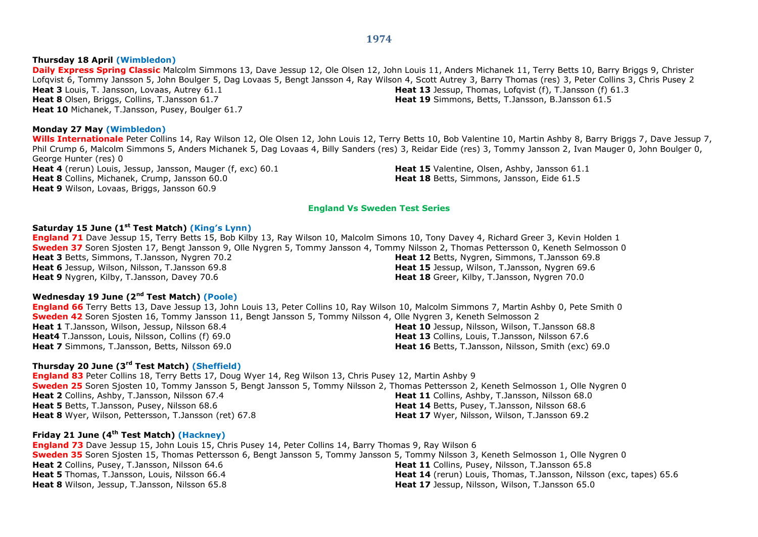#### **Thursday 18 April (Wimbledon)**

**Daily Express Spring Classic** Malcolm Simmons 13, Dave Jessup 12, Ole Olsen 12, John Louis 11, Anders Michanek 11, Terry Betts 10, Barry Briggs 9, Christer Lofqvist 6, Tommy Jansson 5, John Boulger 5, Dag Lovaas 5, Bengt Jansson 4, Ray Wilson 4, Scott Autrey 3, Barry Thomas (res) 3, Peter Collins 3, Chris Pusey 2 **Heat 3** Louis, T. Jansson, Lovaas, Autrey 61.1 **Heat 8** Olsen, Briggs, Collins, T.Jansson 61.7 **Heat 10** Michanek, T.Jansson, Pusey, Boulger 61.7 **Heat 13** Jessup, Thomas, Lofqvist (f), T.Jansson (f) 61.3 **Heat 19** Simmons, Betts, T.Jansson, B.Jansson 61.5

## **Monday 27 May (Wimbledon)**

**Wills Internationale** Peter Collins 14, Ray Wilson 12, Ole Olsen 12, John Louis 12, Terry Betts 10, Bob Valentine 10, Martin Ashby 8, Barry Briggs 7, Dave Jessup 7, Phil Crump 6, Malcolm Simmons 5, Anders Michanek 5, Dag Lovaas 4, Billy Sanders (res) 3, Reidar Eide (res) 3, Tommy Jansson 2, Ivan Mauger 0, John Boulger 0, George Hunter (res) 0 **Heat 4** (rerun) Louis, Jessup, Jansson, Mauger (f, exc) 60.1 **Heat 8** Collins, Michanek, Crump, Jansson 60.0 **Heat 15** Valentine, Olsen, Ashby, Jansson 61.1 **Heat 18** Betts, Simmons, Jansson, Eide 61.5

**England Vs Sweden Test Series**

#### **Saturday 15 June (1st Test Match) (King's Lynn)**

**Heat 9** Wilson, Lovaas, Briggs, Jansson 60.9

**England 71** Dave Jessup 15, Terry Betts 15, Bob Kilby 13, Ray Wilson 10, Malcolm Simons 10, Tony Davey 4, Richard Greer 3, Kevin Holden 1 **Sweden 37** Soren Sjosten 17, Bengt Jansson 9, Olle Nygren 5, Tommy Jansson 4, Tommy Nilsson 2, Thomas Pettersson 0, Keneth Selmosson 0 **Heat 3** Betts, Simmons, T.Jansson, Nygren 70.2 **Heat 6** Jessup, Wilson, Nilsson, T.Jansson 69.8 **Heat 9** Nygren, Kilby, T.Jansson, Davey 70.6 **Heat 12** Betts, Nygren, Simmons, T.Jansson 69.8 **Heat 15** Jessup, Wilson, T.Jansson, Nygren 69.6 **Heat 18** Greer, Kilby, T.Jansson, Nygren 70.0

## **Wednesday 19 June (2nd Test Match) (Poole)**

**England 66** Terry Betts 13, Dave Jessup 13, John Louis 13, Peter Collins 10, Ray Wilson 10, Malcolm Simmons 7, Martin Ashby 0, Pete Smith 0 **Sweden 42** Soren Sjosten 16, Tommy Jansson 11, Bengt Jansson 5, Tommy Nilsson 4, Olle Nygren 3, Keneth Selmosson 2 **Heat 1** T.Jansson, Wilson, Jessup, Nilsson 68.4 **Heat4** T.Jansson, Louis, Nilsson, Collins (f) 69.0 **Heat 7** Simmons, T.Jansson, Betts, Nilsson 69.0 **Heat 10** Jessup, Nilsson, Wilson, T.Jansson 68.8 **Heat 13** Collins, Louis, T.Jansson, Nilsson 67.6 **Heat 16** Betts, T.Jansson, Nilsson, Smith (exc) 69.0

## **Thursday 20 June (3rd Test Match) (Sheffield)**

**England 83** Peter Collins 18, Terry Betts 17, Doug Wyer 14, Reg Wilson 13, Chris Pusey 12, Martin Ashby 9 **Sweden 25** Soren Sjosten 10, Tommy Jansson 5, Bengt Jansson 5, Tommy Nilsson 2, Thomas Pettersson 2, Keneth Selmosson 1, Olle Nygren 0 **Heat 2** Collins, Ashby, T.Jansson, Nilsson 67.4 **Heat 5** Betts, T.Jansson, Pusey, Nilsson 68.6 **Heat 8** Wyer, Wilson, Pettersson, T.Jansson (ret) 67.8 **Heat 11** Collins, Ashby, T.Jansson, Nilsson 68.0 **Heat 14** Betts, Pusey, T.Jansson, Nilsson 68.6 **Heat 17** Wyer, Nilsson, Wilson, T.Jansson 69.2

## **Friday 21 June (4th Test Match) (Hackney)**

**England 73** Dave Jessup 15, John Louis 15, Chris Pusey 14, Peter Collins 14, Barry Thomas 9, Ray Wilson 6 **Sweden 35** Soren Sjosten 15, Thomas Pettersson 6, Bengt Jansson 5, Tommy Jansson 5, Tommy Nilsson 3, Keneth Selmosson 1, Olle Nygren 0 **Heat 2** Collins, Pusey, T.Jansson, Nilsson 64.6 **Heat 5** Thomas, T.Jansson, Louis, Nilsson 66.4 **Heat 8** Wilson, Jessup, T.Jansson, Nilsson 65.8 **Heat 11** Collins, Pusey, Nilsson, T.Jansson 65.8 **Heat 14** (rerun) Louis, Thomas, T.Jansson, Nilsson (exc, tapes) 65.6 **Heat 17** Jessup, Nilsson, Wilson, T.Jansson 65.0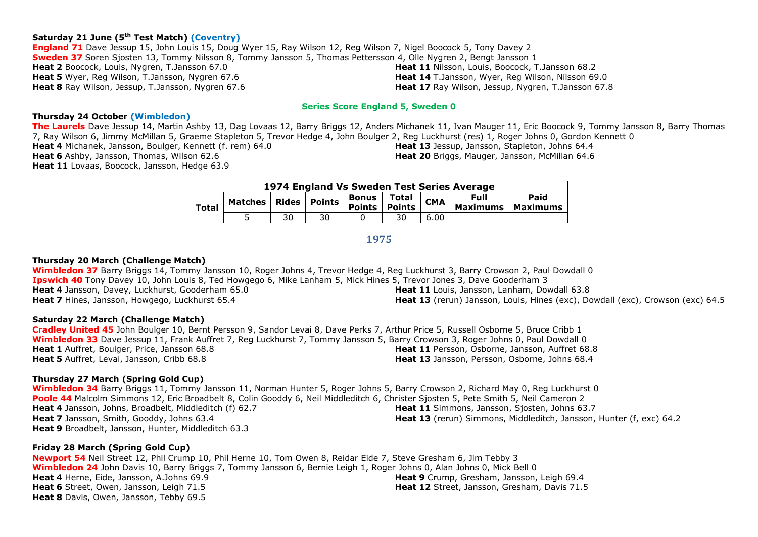## **Saturday 21 June (5th Test Match) (Coventry)**

**England 71** Dave Jessup 15, John Louis 15, Doug Wyer 15, Ray Wilson 12, Reg Wilson 7, Nigel Boocock 5, Tony Davey 2 **Sweden 37** Soren Sjosten 13, Tommy Nilsson 8, Tommy Jansson 5, Thomas Pettersson 4, Olle Nygren 2, Bengt Jansson 1 **Heat 2** Boocock, Louis, Nygren, T.Jansson 67.0 **Heat 5** Wyer, Reg Wilson, T.Jansson, Nygren 67.6 **Heat 8** Ray Wilson, Jessup, T.Jansson, Nygren 67.6 **Heat 11** Nilsson, Louis, Boocock, T.Jansson 68.2 **Heat 14** T.Jansson, Wyer, Reg Wilson, Nilsson 69.0 **Heat 17** Ray Wilson, Jessup, Nygren, T.Jansson 67.8

#### **Series Score England 5, Sweden 0**

#### **Thursday 24 October (Wimbledon)**

**The Laurels** Dave Jessup 14, Martin Ashby 13, Dag Lovaas 12, Barry Briggs 12, Anders Michanek 11, Ivan Mauger 11, Eric Boocock 9, Tommy Jansson 8, Barry Thomas 7, Ray Wilson 6, Jimmy McMillan 5, Graeme Stapleton 5, Trevor Hedge 4, John Boulger 2, Reg Luckhurst (res) 1, Roger Johns 0, Gordon Kennett 0

**Heat 4** Michanek, Jansson, Boulger, Kennett (f. rem) 64.0 **Heat 6** Ashby, Jansson, Thomas, Wilson 62.6 **Heat 11** Lovaas, Boocock, Jansson, Hedge 63.9

**Heat 13** Jessup, Jansson, Stapleton, Johns 64.4 **Heat 20** Briggs, Mauger, Jansson, McMillan 64.6

| 1974 England Vs Sweden Test Series Average |                                                                  |    |    |  |    |            |                                |                    |  |  |
|--------------------------------------------|------------------------------------------------------------------|----|----|--|----|------------|--------------------------------|--------------------|--|--|
| <b>Total</b>                               | .   Matches   Rides   Points   Points   Points   C <sup>pr</sup> |    |    |  |    | <b>CMA</b> | <b>Full</b><br><b>Maximums</b> | Paid<br>  Maximums |  |  |
|                                            |                                                                  | 30 | 30 |  | 30 | 6.00       |                                |                    |  |  |

## **1975**

#### **Thursday 20 March (Challenge Match)**

**Wimbledon 37** Barry Briggs 14, Tommy Jansson 10, Roger Johns 4, Trevor Hedge 4, Reg Luckhurst 3, Barry Crowson 2, Paul Dowdall 0 **Ipswich 40** Tony Davey 10, John Louis 8, Ted Howgego 6, Mike Lanham 5, Mick Hines 5, Trevor Jones 3, Dave Gooderham 3 **Heat 4** Jansson, Davey, Luckhurst, Gooderham 65.0 **Heat 7** Hines, Jansson, Howgego, Luckhurst 65.4 **Heat 11** Louis, Jansson, Lanham, Dowdall 63.8 **Heat 13** (rerun) Jansson, Louis, Hines (exc), Dowdall (exc), Crowson (exc) 64.5

#### **Saturday 22 March (Challenge Match)**

**Cradley United 45** John Boulger 10, Bernt Persson 9, Sandor Levai 8, Dave Perks 7, Arthur Price 5, Russell Osborne 5, Bruce Cribb 1 **Wimbledon 33** Dave Jessup 11, Frank Auffret 7, Reg Luckhurst 7, Tommy Jansson 5, Barry Crowson 3, Roger Johns 0, Paul Dowdall 0 **Heat 1** Auffret, Boulger, Price, Jansson 68.8 **Heat 5** Auffret, Levai, Jansson, Cribb 68.8 **Heat 11** Persson, Osborne, Jansson, Auffret 68.8 **Heat 13** Jansson, Persson, Osborne, Johns 68.4

#### **Thursday 27 March (Spring Gold Cup)**

**Wimbledon 34** Barry Briggs 11, Tommy Jansson 11, Norman Hunter 5, Roger Johns 5, Barry Crowson 2, Richard May 0, Reg Luckhurst 0 **Poole 44** Malcolm Simmons 12, Eric Broadbelt 8, Colin Gooddy 6, Neil Middleditch 6, Christer Sjosten 5, Pete Smith 5, Neil Cameron 2 **Heat 4** Jansson, Johns, Broadbelt, Middleditch (f) 62.7 **Heat 7** Jansson, Smith, Gooddy, Johns 63.4 **Heat 9** Broadbelt, Jansson, Hunter, Middleditch 63.3 **Heat 11** Simmons, Jansson, Sjosten, Johns 63.7 **Heat 13** (rerun) Simmons, Middleditch, Jansson, Hunter (f, exc) 64.2

#### **Friday 28 March (Spring Gold Cup)**

**Newport 54** Neil Street 12, Phil Crump 10, Phil Herne 10, Tom Owen 8, Reidar Eide 7, Steve Gresham 6, Jim Tebby 3 **Wimbledon 24** John Davis 10, Barry Briggs 7, Tommy Jansson 6, Bernie Leigh 1, Roger Johns 0, Alan Johns 0, Mick Bell 0 **Heat 4** Herne, Eide, Jansson, A.Johns 69.9 **Heat 6** Street, Owen, Jansson, Leigh 71.5 **Heat 8** Davis, Owen, Jansson, Tebby 69.5 **Heat 9** Crump, Gresham, Jansson, Leigh 69.4 **Heat 12** Street, Jansson, Gresham, Davis 71.5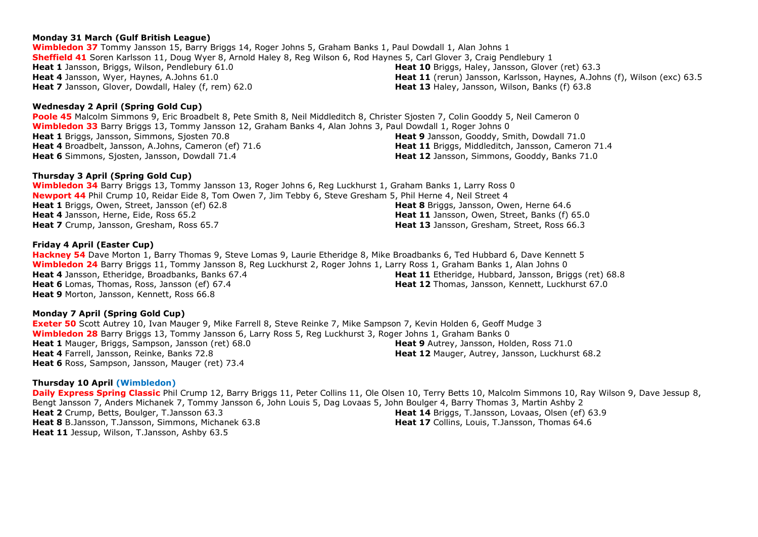## **Monday 31 March (Gulf British League)**

**Wimbledon 37** Tommy Jansson 15, Barry Briggs 14, Roger Johns 5, Graham Banks 1, Paul Dowdall 1, Alan Johns 1 **Sheffield 41** Soren Karlsson 11, Doug Wyer 8, Arnold Haley 8, Reg Wilson 6, Rod Haynes 5, Carl Glover 3, Craig Pendlebury 1 **Heat 1** Jansson, Briggs, Wilson, Pendlebury 61.0 **Heat 4** Jansson, Wyer, Haynes, A.Johns 61.0 **Heat 7** Jansson, Glover, Dowdall, Haley (f, rem) 62.0 **Heat 10** Briggs, Haley, Jansson, Glover (ret) 63.3 **Heat 13** Haley, Jansson, Wilson, Banks (f) 63.8

## **Wednesday 2 April (Spring Gold Cup)**

**Poole 45** Malcolm Simmons 9, Eric Broadbelt 8, Pete Smith 8, Neil Middleditch 8, Christer Sjosten 7, Colin Gooddy 5, Neil Cameron 0 **Wimbledon 33** Barry Briggs 13, Tommy Jansson 12, Graham Banks 4, Alan Johns 3, Paul Dowdall 1, Roger Johns 0 **Heat 1** Briggs, Jansson, Simmons, Sjosten 70.8 **Heat 4** Broadbelt, Jansson, A.Johns, Cameron (ef) 71.6 **Heat 6** Simmons, Sjosten, Jansson, Dowdall 71.4 **Heat 9** Jansson, Gooddy, Smith, Dowdall 71.0

## **Thursday 3 April (Spring Gold Cup)**

**Wimbledon 34** Barry Briggs 13, Tommy Jansson 13, Roger Johns 6, Reg Luckhurst 1, Graham Banks 1, Larry Ross 0 **Newport 44** Phil Crump 10, Reidar Eide 8, Tom Owen 7, Jim Tebby 6, Steve Gresham 5, Phil Herne 4, Neil Street 4 **Heat 1** Briggs, Owen, Street, Jansson (ef) 62.8 **Heat 4** Jansson, Herne, Eide, Ross 65.2 **Heat 7** Crump, Jansson, Gresham, Ross 65.7 **Heat 8** Briggs, Jansson, Owen, Herne 64.6 **Heat 11** Jansson, Owen, Street, Banks (f) 65.0

## **Friday 4 April (Easter Cup)**

**Hackney 54** Dave Morton 1, Barry Thomas 9, Steve Lomas 9, Laurie Etheridge 8, Mike Broadbanks 6, Ted Hubbard 6, Dave Kennett 5 **Wimbledon 24** Barry Briggs 11, Tommy Jansson 8, Reg Luckhurst 2, Roger Johns 1, Larry Ross 1, Graham Banks 1, Alan Johns 0 **Heat 4** Jansson, Etheridge, Broadbanks, Banks 67.4 **Heat 6** Lomas, Thomas, Ross, Jansson (ef) 67.4 **Heat 9** Morton, Jansson, Kennett, Ross 66.8 **Heat 11** Etheridge, Hubbard, Jansson, Briggs (ret) 68.8 **Heat 12** Thomas, Jansson, Kennett, Luckhurst 67.0

## **Monday 7 April (Spring Gold Cup)**

**Exeter 50** Scott Autrey 10, Ivan Mauger 9, Mike Farrell 8, Steve Reinke 7, Mike Sampson 7, Kevin Holden 6, Geoff Mudge 3 **Wimbledon 28** Barry Briggs 13, Tommy Jansson 6, Larry Ross 5, Reg Luckhurst 3, Roger Johns 1, Graham Banks 0 **Heat 1** Mauger, Briggs, Sampson, Jansson (ret) 68.0 **Heat 4** Farrell, Jansson, Reinke, Banks 72.8 **Heat 6** Ross, Sampson, Jansson, Mauger (ret) 73.4 **Heat 9** Autrey, Jansson, Holden, Ross 71.0 **Heat 12** Mauger, Autrey, Jansson, Luckhurst 68.2

## **Thursday 10 April (Wimbledon)**

**Daily Express Spring Classic** Phil Crump 12, Barry Briggs 11, Peter Collins 11, Ole Olsen 10, Terry Betts 10, Malcolm Simmons 10, Ray Wilson 9, Dave Jessup 8, Bengt Jansson 7, Anders Michanek 7, Tommy Jansson 6, John Louis 5, Dag Lovaas 5, John Boulger 4, Barry Thomas 3, Martin Ashby 2 **Heat 2** Crump, Betts, Boulger, T.Jansson 63.3 **Heat 8** B.Jansson, T.Jansson, Simmons, Michanek 63.8 **Heat 11** Jessup, Wilson, T.Jansson, Ashby 63.5 **Heat 14** Briggs, T.Jansson, Lovaas, Olsen (ef) 63.9 **Heat 17** Collins, Louis, T.Jansson, Thomas 64.6

**Heat 11** (rerun) Jansson, Karlsson, Haynes, A.Johns (f), Wilson (exc) 63.5

**Heat 11** Briggs, Middleditch, Jansson, Cameron 71.4 **Heat 12** Jansson, Simmons, Gooddy, Banks 71.0

**Heat 13** Jansson, Gresham, Street, Ross 66.3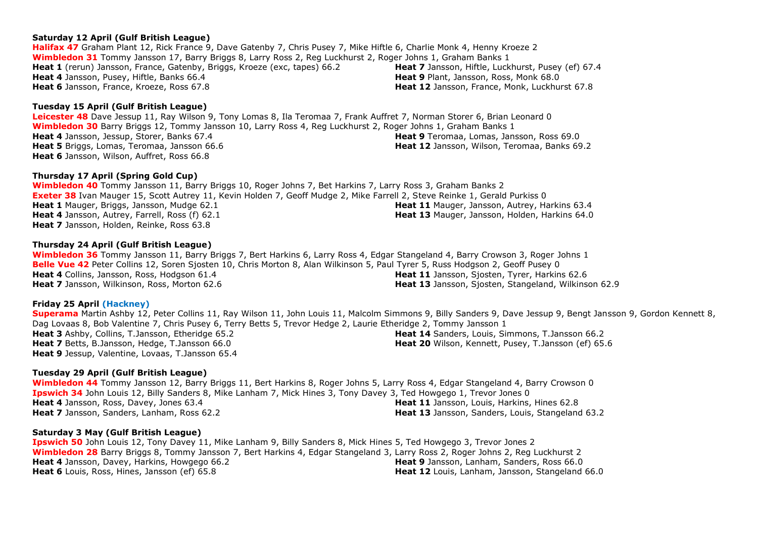## **Saturday 12 April (Gulf British League)**

**Halifax 47** Graham Plant 12, Rick France 9, Dave Gatenby 7, Chris Pusey 7, Mike Hiftle 6, Charlie Monk 4, Henny Kroeze 2 **Wimbledon 31** Tommy Jansson 17, Barry Briggs 8, Larry Ross 2, Reg Luckhurst 2, Roger Johns 1, Graham Banks 1 **Heat 1** (rerun) Jansson, France, Gatenby, Briggs, Kroeze (exc, tapes) 66.2 **Heat 4** Jansson, Pusey, Hiftle, Banks 66.4 **Heat 6** Jansson, France, Kroeze, Ross 67.8 **Heat 7** Jansson, Hiftle, Luckhurst, Pusey (ef) 67.4 **Heat 9** Plant, Jansson, Ross, Monk 68.0 **Heat 12** Jansson, France, Monk, Luckhurst 67.8

## **Tuesday 15 April (Gulf British League)**

**Leicester 48** Dave Jessup 11, Ray Wilson 9, Tony Lomas 8, Ila Teromaa 7, Frank Auffret 7, Norman Storer 6, Brian Leonard 0 **Wimbledon 30** Barry Briggs 12, Tommy Jansson 10, Larry Ross 4, Reg Luckhurst 2, Roger Johns 1, Graham Banks 1 **Heat 4** Jansson, Jessup, Storer, Banks 67.4 **Heat 5** Briggs, Lomas, Teromaa, Jansson 66.6 **Heat 6** Jansson, Wilson, Auffret, Ross 66.8 **Heat 9** Teromaa, Lomas, Jansson, Ross 69.0 **Heat 12** Jansson, Wilson, Teromaa, Banks 69.2

## **Thursday 17 April (Spring Gold Cup)**

**Wimbledon 40** Tommy Jansson 11, Barry Briggs 10, Roger Johns 7, Bet Harkins 7, Larry Ross 3, Graham Banks 2 **Exeter 38** Ivan Mauger 15, Scott Autrey 11, Kevin Holden 7, Geoff Mudge 2, Mike Farrell 2, Steve Reinke 1, Gerald Purkiss 0 **Heat 1** Mauger, Briggs, Jansson, Mudge 62.1 **Heat 4** Jansson, Autrey, Farrell, Ross (f) 62.1 **Heat 7** Jansson, Holden, Reinke, Ross 63.8 **Heat 11** Mauger, Jansson, Autrey, Harkins 63.4 **Heat 13** Mauger, Jansson, Holden, Harkins 64.0

## **Thursday 24 April (Gulf British League)**

**Wimbledon 36** Tommy Jansson 11, Barry Briggs 7, Bert Harkins 6, Larry Ross 4, Edgar Stangeland 4, Barry Crowson 3, Roger Johns 1 **Belle Vue 42** Peter Collins 12, Soren Sjosten 10, Chris Morton 8, Alan Wilkinson 5, Paul Tyrer 5, Russ Hodgson 2, Geoff Pusey 0 **Heat 4** Collins, Jansson, Ross, Hodgson 61.4 **Heat 7** Jansson, Wilkinson, Ross, Morton 62.6 **Heat 11** Jansson, Sjosten, Tyrer, Harkins 62.6 **Heat 13** Jansson, Sjosten, Stangeland, Wilkinson 62.9

## **Friday 25 April (Hackney)**

**Superama** Martin Ashby 12, Peter Collins 11, Ray Wilson 11, John Louis 11, Malcolm Simmons 9, Billy Sanders 9, Dave Jessup 9, Bengt Jansson 9, Gordon Kennett 8, Dag Lovaas 8, Bob Valentine 7, Chris Pusey 6, Terry Betts 5, Trevor Hedge 2, Laurie Etheridge 2, Tommy Jansson 1 **Heat 3** Ashby, Collins, T.Jansson, Etheridge 65.2 **Heat 7** Betts, B.Jansson, Hedge, T.Jansson 66.0 **Heat 9** Jessup, Valentine, Lovaas, T.Jansson 65.4 **Heat 14** Sanders, Louis, Simmons, T.Jansson 66.2 **Heat 20** Wilson, Kennett, Pusey, T.Jansson (ef) 65.6

## **Tuesday 29 April (Gulf British League)**

**Wimbledon 44** Tommy Jansson 12, Barry Briggs 11, Bert Harkins 8, Roger Johns 5, Larry Ross 4, Edgar Stangeland 4, Barry Crowson 0 **Ipswich 34** John Louis 12, Billy Sanders 8, Mike Lanham 7, Mick Hines 3, Tony Davey 3, Ted Howgego 1, Trevor Jones 0 **Heat 4** Jansson, Ross, Davey, Jones 63.4 **Heat 7** Jansson, Sanders, Lanham, Ross 62.2 **Heat 11** Jansson, Louis, Harkins, Hines 62.8 **Heat 13** Jansson, Sanders, Louis, Stangeland 63.2

## **Saturday 3 May (Gulf British League)**

**Ipswich 50** John Louis 12, Tony Davey 11, Mike Lanham 9, Billy Sanders 8, Mick Hines 5, Ted Howgego 3, Trevor Jones 2 **Wimbledon 28** Barry Briggs 8, Tommy Jansson 7, Bert Harkins 4, Edgar Stangeland 3, Larry Ross 2, Roger Johns 2, Reg Luckhurst 2 **Heat 4** Jansson, Davey, Harkins, Howgego 66.2 **Heat 6** Louis, Ross, Hines, Jansson (ef) 65.8 **Heat 9** Jansson, Lanham, Sanders, Ross 66.0 **Heat 12** Louis, Lanham, Jansson, Stangeland 66.0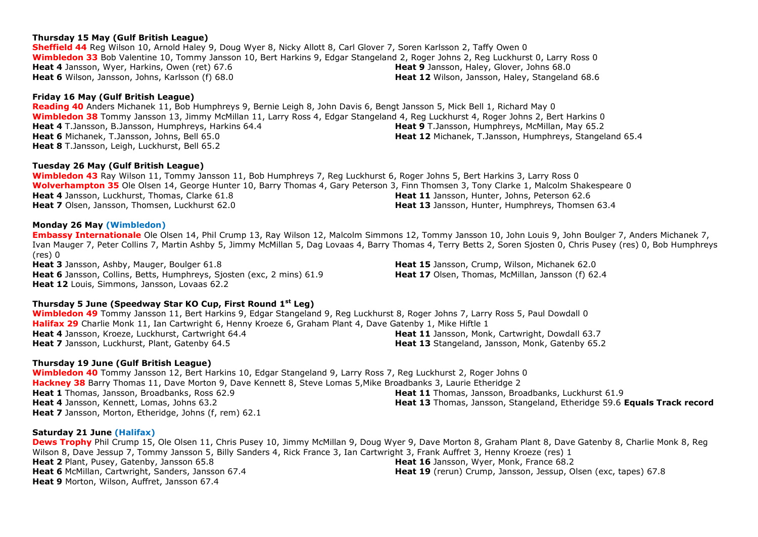## **Thursday 15 May (Gulf British League)**

**Sheffield 44** Reg Wilson 10, Arnold Haley 9, Doug Wyer 8, Nicky Allott 8, Carl Glover 7, Soren Karlsson 2, Taffy Owen 0 **Wimbledon 33** Bob Valentine 10, Tommy Jansson 10, Bert Harkins 9, Edgar Stangeland 2, Roger Johns 2, Reg Luckhurst 0, Larry Ross 0 **Heat 4** Jansson, Wyer, Harkins, Owen (ret) 67.6 **Heat 6** Wilson, Jansson, Johns, Karlsson (f) 68.0 **Heat 9** Jansson, Haley, Glover, Johns 68.0 Heat 12 Wilson, Jansson, Haley, Stangeland 68.6

## **Friday 16 May (Gulf British League)**

**Reading 40** Anders Michanek 11, Bob Humphreys 9, Bernie Leigh 8, John Davis 6, Bengt Jansson 5, Mick Bell 1, Richard May 0 **Wimbledon 38** Tommy Jansson 13, Jimmy McMillan 11, Larry Ross 4, Edgar Stangeland 4, Reg Luckhurst 4, Roger Johns 2, Bert Harkins 0 **Heat 4** T.Jansson, B.Jansson, Humphreys, Harkins 64.4 **Heat 6** Michanek, T.Jansson, Johns, Bell 65.0 **Heat 8** T.Jansson, Leigh, Luckhurst, Bell 65.2 **Heat 9** T.Jansson, Humphreys, McMillan, May 65.2 **Heat 12** Michanek, T.Jansson, Humphreys, Stangeland 65.4

## **Tuesday 26 May (Gulf British League)**

**Wimbledon 43** Ray Wilson 11, Tommy Jansson 11, Bob Humphreys 7, Reg Luckhurst 6, Roger Johns 5, Bert Harkins 3, Larry Ross 0 **Wolverhampton 35** Ole Olsen 14, George Hunter 10, Barry Thomas 4, Gary Peterson 3, Finn Thomsen 3, Tony Clarke 1, Malcolm Shakespeare 0 **Heat 4** Jansson, Luckhurst, Thomas, Clarke 61.8 **Heat 7** Olsen, Jansson, Thomsen, Luckhurst 62.0 **Heat 11** Jansson, Hunter, Johns, Peterson 62.6 **Heat 13** Jansson, Hunter, Humphreys, Thomsen 63.4

## **Monday 26 May (Wimbledon)**

**Embassy Internationale** Ole Olsen 14, Phil Crump 13, Ray Wilson 12, Malcolm Simmons 12, Tommy Jansson 10, John Louis 9, John Boulger 7, Anders Michanek 7, Ivan Mauger 7, Peter Collins 7, Martin Ashby 5, Jimmy McMillan 5, Dag Lovaas 4, Barry Thomas 4, Terry Betts 2, Soren Sjosten 0, Chris Pusey (res) 0, Bob Humphreys (res) 0

**Heat 3** Jansson, Ashby, Mauger, Boulger 61.8 **Heat 6** Jansson, Collins, Betts, Humphreys, Sjosten (exc, 2 mins) 61.9 **Heat 12** Louis, Simmons, Jansson, Lovaas 62.2

**Thursday 5 June (Speedway Star KO Cup, First Round 1st Leg)**

**Wimbledon 49** Tommy Jansson 11, Bert Harkins 9, Edgar Stangeland 9, Reg Luckhurst 8, Roger Johns 7, Larry Ross 5, Paul Dowdall 0 Halifax 29 Charlie Monk 11, Ian Cartwright 6, Henny Kroeze 6, Graham Plant 4, Dave Gatenby 1, Mike Hiftle 1 **Heat 4** Jansson, Kroeze, Luckhurst, Cartwright 64.4 **Heat 7** Jansson, Luckhurst, Plant, Gatenby 64.5 **Heat 11** Jansson, Monk, Cartwright, Dowdall 63.7 **Heat 13** Stangeland, Jansson, Monk, Gatenby 65.2

## **Thursday 19 June (Gulf British League)**

**Wimbledon 40** Tommy Jansson 12, Bert Harkins 10, Edgar Stangeland 9, Larry Ross 7, Reg Luckhurst 2, Roger Johns 0 **Hackney 38** Barry Thomas 11, Dave Morton 9, Dave Kennett 8, Steve Lomas 5,Mike Broadbanks 3, Laurie Etheridge 2 **Heat 1** Thomas, Jansson, Broadbanks, Ross 62.9 **Heat 4** Jansson, Kennett, Lomas, Johns 63.2 **Heat 7** Jansson, Morton, Etheridge, Johns (f, rem) 62.1 **Heat 11** Thomas, Jansson, Broadbanks, Luckhurst 61.9 **Heat 13** Thomas, Jansson, Stangeland, Etheridge 59.6 **Equals Track record**

## **Saturday 21 June (Halifax)**

**Dews Trophy** Phil Crump 15, Ole Olsen 11, Chris Pusey 10, Jimmy McMillan 9, Doug Wyer 9, Dave Morton 8, Graham Plant 8, Dave Gatenby 8, Charlie Monk 8, Reg Wilson 8, Dave Jessup 7, Tommy Jansson 5, Billy Sanders 4, Rick France 3, Ian Cartwright 3, Frank Auffret 3, Henny Kroeze (res) 1 **Heat 2** Plant, Pusey, Gatenby, Jansson 65.8 **Heat 6** McMillan, Cartwright, Sanders, Jansson 67.4 **Heat 9** Morton, Wilson, Auffret, Jansson 67.4 **Heat 16** Jansson, Wyer, Monk, France 68.2 **Heat 19** (rerun) Crump, Jansson, Jessup, Olsen (exc, tapes) 67.8

**Heat 15** Jansson, Crump, Wilson, Michanek 62.0 **Heat 17** Olsen, Thomas, McMillan, Jansson (f) 62.4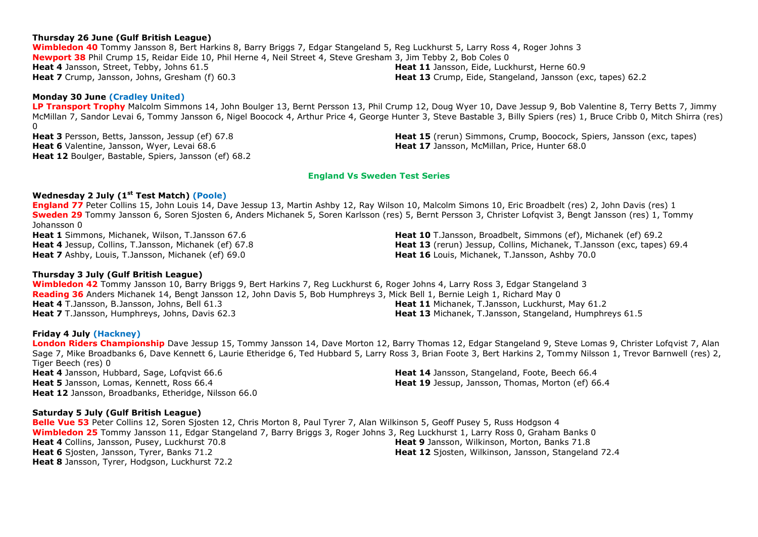#### **Thursday 26 June (Gulf British League)**

**Wimbledon 40** Tommy Jansson 8, Bert Harkins 8, Barry Briggs 7, Edgar Stangeland 5, Reg Luckhurst 5, Larry Ross 4, Roger Johns 3 **Newport 38** Phil Crump 15, Reidar Eide 10, Phil Herne 4, Neil Street 4, Steve Gresham 3, Jim Tebby 2, Bob Coles 0 **Heat 4** Jansson, Street, Tebby, Johns 61.5 **Heat 7** Crump, Jansson, Johns, Gresham (f) 60.3 **Heat 11** Jansson, Eide, Luckhurst, Herne 60.9 **Heat 13** Crump, Eide, Stangeland, Jansson (exc, tapes) 62.2

#### **Monday 30 June (Cradley United)**

**LP Transport Trophy** Malcolm Simmons 14, John Boulger 13, Bernt Persson 13, Phil Crump 12, Doug Wyer 10, Dave Jessup 9, Bob Valentine 8, Terry Betts 7, Jimmy McMillan 7, Sandor Levai 6, Tommy Jansson 6, Nigel Boocock 4, Arthur Price 4, George Hunter 3, Steve Bastable 3, Billy Spiers (res) 1, Bruce Cribb 0, Mitch Shirra (res)  $\Omega$ 

**Heat 3** Persson, Betts, Jansson, Jessup (ef) 67.8 **Heat 6** Valentine, Jansson, Wyer, Levai 68.6 **Heat 12** Boulger, Bastable, Spiers, Jansson (ef) 68.2 **Heat 15** (rerun) Simmons, Crump, Boocock, Spiers, Jansson (exc, tapes) **Heat 17** Jansson, McMillan, Price, Hunter 68.0

#### **England Vs Sweden Test Series**

## **Wednesday 2 July (1st Test Match) (Poole)**

**England 77** Peter Collins 15, John Louis 14, Dave Jessup 13, Martin Ashby 12, Ray Wilson 10, Malcolm Simons 10, Eric Broadbelt (res) 2, John Davis (res) 1 **Sweden 29** Tommy Jansson 6, Soren Sjosten 6, Anders Michanek 5, Soren Karlsson (res) 5, Bernt Persson 3, Christer Lofqvist 3, Bengt Jansson (res) 1, Tommy Johansson 0

**Heat 1** Simmons, Michanek, Wilson, T.Jansson 67.6 **Heat 4** Jessup, Collins, T.Jansson, Michanek (ef) 67.8 **Heat 7** Ashby, Louis, T.Jansson, Michanek (ef) 69.0

#### **Thursday 3 July (Gulf British League)**

**Wimbledon 42** Tommy Jansson 10, Barry Briggs 9, Bert Harkins 7, Reg Luckhurst 6, Roger Johns 4, Larry Ross 3, Edgar Stangeland 3 **Reading 36** Anders Michanek 14, Bengt Jansson 12, John Davis 5, Bob Humphreys 3, Mick Bell 1, Bernie Leigh 1, Richard May 0 **Heat 4** T.Jansson, B.Jansson, Johns, Bell 61.3 **Heat 7** T.Jansson, Humphreys, Johns, Davis 62.3 **Heat 11** Michanek, T.Jansson, Luckhurst, May 61.2 **Heat 13** Michanek, T.Jansson, Stangeland, Humphreys 61.5

#### **Friday 4 July (Hackney)**

**London Riders Championship** Dave Jessup 15, Tommy Jansson 14, Dave Morton 12, Barry Thomas 12, Edgar Stangeland 9, Steve Lomas 9, Christer Lofqvist 7, Alan Sage 7, Mike Broadbanks 6, Dave Kennett 6, Laurie Etheridge 6, Ted Hubbard 5, Larry Ross 3, Brian Foote 3, Bert Harkins 2, Tommy Nilsson 1, Trevor Barnwell (res) 2, Tiger Beech (res) 0 **Heat 4** Jansson, Hubbard, Sage, Lofqvist 66.6 **Heat 5** Jansson, Lomas, Kennett, Ross 66.4 **Heat 12** Jansson, Broadbanks, Etheridge, Nilsson 66.0 **Heat 14** Jansson, Stangeland, Foote, Beech 66.4 **Heat 19** Jessup, Jansson, Thomas, Morton (ef) 66.4

#### **Saturday 5 July (Gulf British League)**

**Belle Vue 53** Peter Collins 12, Soren Sjosten 12, Chris Morton 8, Paul Tyrer 7, Alan Wilkinson 5, Geoff Pusey 5, Russ Hodgson 4 **Wimbledon 25** Tommy Jansson 11, Edgar Stangeland 7, Barry Briggs 3, Roger Johns 3, Reg Luckhurst 1, Larry Ross 0, Graham Banks 0 **Heat 4** Collins, Jansson, Pusey, Luckhurst 70.8 **Heat 6** Sjosten, Jansson, Tyrer, Banks 71.2 **Heat 8** Jansson, Tyrer, Hodgson, Luckhurst 72.2 **Heat 9** Jansson, Wilkinson, Morton, Banks 71.8 **Heat 12** Sjosten, Wilkinson, Jansson, Stangeland 72.4

**Heat 10** T.Jansson, Broadbelt, Simmons (ef), Michanek (ef) 69.2 **Heat 13** (rerun) Jessup, Collins, Michanek, T.Jansson (exc, tapes) 69.4 **Heat 16** Louis, Michanek, T.Jansson, Ashby 70.0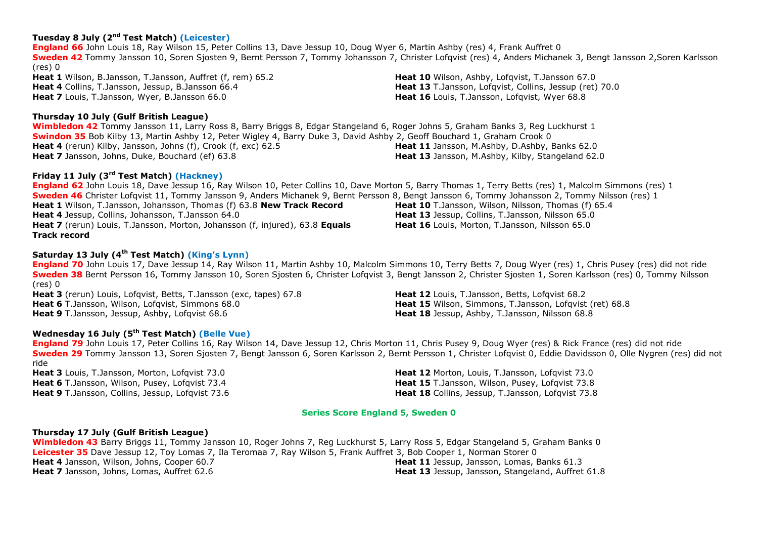## **Tuesday 8 July (2 nd Test Match) (Leicester)**

**England 66** John Louis 18, Ray Wilson 15, Peter Collins 13, Dave Jessup 10, Doug Wyer 6, Martin Ashby (res) 4, Frank Auffret 0 **Sweden 42** Tommy Jansson 10, Soren Sjosten 9, Bernt Persson 7, Tommy Johansson 7, Christer Lofqvist (res) 4, Anders Michanek 3, Bengt Jansson 2,Soren Karlsson (res) 0 **Heat 1** Wilson, B.Jansson, T.Jansson, Auffret (f, rem) 65.2 **Heat 4** Collins, T.Jansson, Jessup, B.Jansson 66.4 **Heat 10** Wilson, Ashby, Lofqvist, T.Jansson 67.0 **Heat 13** T.Jansson, Lofqvist, Collins, Jessup (ret) 70.0

**Heat 7** Louis, T.Jansson, Wyer, B.Jansson 66.0

## **Thursday 10 July (Gulf British League)**

**Wimbledon 42** Tommy Jansson 11, Larry Ross 8, Barry Briggs 8, Edgar Stangeland 6, Roger Johns 5, Graham Banks 3, Reg Luckhurst 1 **Swindon 35** Bob Kilby 13, Martin Ashby 12, Peter Wigley 4, Barry Duke 3, David Ashby 2, Geoff Bouchard 1, Graham Crook 0 **Heat 4** (rerun) Kilby, Jansson, Johns (f), Crook (f, exc) 62.5 **Heat 7** Jansson, Johns, Duke, Bouchard (ef) 63.8 **Heat 11** Jansson, M.Ashby, D.Ashby, Banks 62.0 **Heat 13** Jansson, M.Ashby, Kilby, Stangeland 62.0

## **Friday 11 July (3<sup>rd</sup> Test Match) (Hackney)**

**England 62** John Louis 18, Dave Jessup 16, Ray Wilson 10, Peter Collins 10, Dave Morton 5, Barry Thomas 1, Terry Betts (res) 1, Malcolm Simmons (res) 1 **Sweden 46** Christer Lofqvist 11, Tommy Jansson 9, Anders Michanek 9, Bernt Persson 8, Bengt Jansson 6, Tommy Johansson 2, Tommy Nilsson (res) 1 **Heat 1** Wilson, T.Jansson, Johansson, Thomas (f) 63.8 **New Track Record Heat 4** Jessup, Collins, Johansson, T.Jansson 64.0 **Heat 7** (rerun) Louis, T.Jansson, Morton, Johansson (f, injured), 63.8 **Equals Track record Heat 10** T.Jansson, Wilson, Nilsson, Thomas (f) 65.4 **Heat 13** Jessup, Collins, T.Jansson, Nilsson 65.0 **Heat 16** Louis, Morton, T.Jansson, Nilsson 65.0

## **Saturday 13 July (4 th Test Match) (King's Lynn)**

**England 70** John Louis 17, Dave Jessup 14, Ray Wilson 11, Martin Ashby 10, Malcolm Simmons 10, Terry Betts 7, Doug Wyer (res) 1, Chris Pusey (res) did not ride **Sweden 38** Bernt Persson 16, Tommy Jansson 10, Soren Sjosten 6, Christer Lofqvist 3, Bengt Jansson 2, Christer Sjosten 1, Soren Karlsson (res) 0, Tommy Nilsson (res) 0

**Heat 3** (rerun) Louis, Lofavist, Betts, T.Jansson (exc, tapes) 67.8 **Heat 6** T.Jansson, Wilson, Lofqvist, Simmons 68.0 **Heat 9** T.Jansson, Jessup, Ashby, Lofqvist 68.6

**Wednesday 16 July (5 th Test Match) (Belle Vue)**

**England 79** John Louis 17, Peter Collins 16, Ray Wilson 14, Dave Jessup 12, Chris Morton 11, Chris Pusey 9, Doug Wyer (res) & Rick France (res) did not ride **Sweden 29** Tommy Jansson 13, Soren Sjosten 7, Bengt Jansson 6, Soren Karlsson 2, Bernt Persson 1, Christer Lofqvist 0, Eddie Davidsson 0, Olle Nygren (res) did not ride

**Heat 3** Louis, T.Jansson, Morton, Lofqvist 73.0 **Heat 6** T.Jansson, Wilson, Pusey, Lofqvist 73.4 **Heat 9** T.Jansson, Collins, Jessup, Lofqvist 73.6 **Heat 12** Morton, Louis, T.Jansson, Lofqvist 73.0 **Heat 15** T.Jansson, Wilson, Pusey, Lofavist 73.8 **Heat 18** Collins, Jessup, T.Jansson, Lofqvist 73.8

## **Series Score England 5, Sweden 0**

## **Thursday 17 July (Gulf British League)**

**Wimbledon 43** Barry Briggs 11, Tommy Jansson 10, Roger Johns 7, Reg Luckhurst 5, Larry Ross 5, Edgar Stangeland 5, Graham Banks 0 **Leicester 35** Dave Jessup 12, Toy Lomas 7, Ila Teromaa 7, Ray Wilson 5, Frank Auffret 3, Bob Cooper 1, Norman Storer 0 **Heat 4** Jansson, Wilson, Johns, Cooper 60.7 **Heat 7** Jansson, Johns, Lomas, Auffret 62.6 **Heat 11** Jessup, Jansson, Lomas, Banks 61.3 **Heat 13** Jessup, Jansson, Stangeland, Auffret 61.8

**Heat 16** Louis, T.Jansson, Lofavist, Wyer 68.8

**Heat 12** Louis, T.Jansson, Betts, Lofavist 68.2 **Heat 15** Wilson, Simmons, T.Jansson, Lofqvist (ret) 68.8 **Heat 18** Jessup, Ashby, T.Jansson, Nilsson 68.8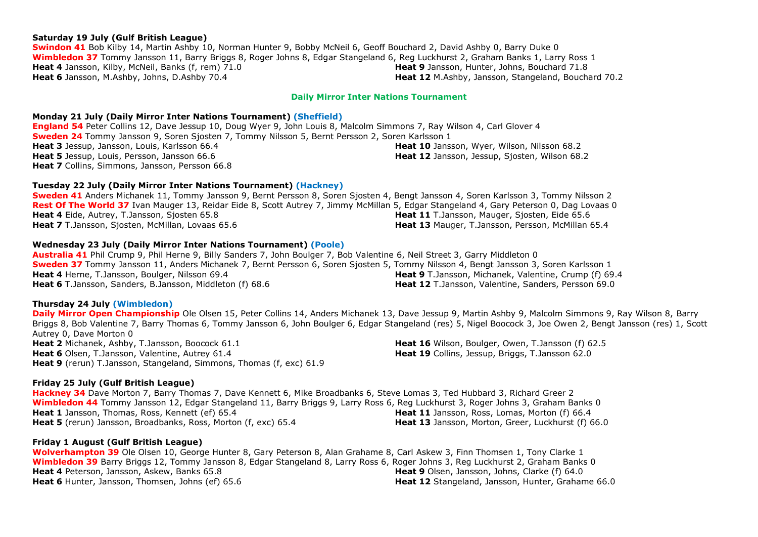#### **Saturday 19 July (Gulf British League)**

**Swindon 41** Bob Kilby 14, Martin Ashby 10, Norman Hunter 9, Bobby McNeil 6, Geoff Bouchard 2, David Ashby 0, Barry Duke 0 **Wimbledon 37** Tommy Jansson 11, Barry Briggs 8, Roger Johns 8, Edgar Stangeland 6, Reg Luckhurst 2, Graham Banks 1, Larry Ross 1 **Heat 4** Jansson, Kilby, McNeil, Banks (f, rem) 71.0 **Heat 6** Jansson, M.Ashby, Johns, D.Ashby 70.4 **Heat 9** Jansson, Hunter, Johns, Bouchard 71.8 **Heat 12** M.Ashby, Jansson, Stangeland, Bouchard 70.2

#### **Daily Mirror Inter Nations Tournament**

#### **Monday 21 July (Daily Mirror Inter Nations Tournament) (Sheffield)**

**England 54** Peter Collins 12, Dave Jessup 10, Doug Wyer 9, John Louis 8, Malcolm Simmons 7, Ray Wilson 4, Carl Glover 4 **Sweden 24** Tommy Jansson 9, Soren Sjosten 7, Tommy Nilsson 5, Bernt Persson 2, Soren Karlsson 1 **Heat 3** Jessup, Jansson, Louis, Karlsson 66.4 **Heat 5** Jessup, Louis, Persson, Jansson 66.6 **Heat 7** Collins, Simmons, Jansson, Persson 66.8 **Heat 10** Jansson, Wyer, Wilson, Nilsson 68.2 **Heat 12** Jansson, Jessup, Sjosten, Wilson 68.2

#### **Tuesday 22 July (Daily Mirror Inter Nations Tournament) (Hackney)**

**Sweden 41** Anders Michanek 11, Tommy Jansson 9, Bernt Persson 8, Soren Sjosten 4, Bengt Jansson 4, Soren Karlsson 3, Tommy Nilsson 2 **Rest Of The World 37** Ivan Mauger 13, Reidar Eide 8, Scott Autrey 7, Jimmy McMillan 5, Edgar Stangeland 4, Gary Peterson 0, Dag Lovaas 0 **Heat 4** Eide, Autrey, T.Jansson, Sjosten 65.8 **Heat 7** T.Jansson, Sjosten, McMillan, Lovaas 65.6 Heat 11 T.Jansson, Mauger, Siosten, Eide 65.6 **Heat 13** Mauger, T.Jansson, Persson, McMillan 65.4

#### **Wednesday 23 July (Daily Mirror Inter Nations Tournament) (Poole)**

**Australia 41** Phil Crump 9, Phil Herne 9, Billy Sanders 7, John Boulger 7, Bob Valentine 6, Neil Street 3, Garry Middleton 0 **Sweden 37** Tommy Jansson 11, Anders Michanek 7, Bernt Persson 6, Soren Sjosten 5, Tommy Nilsson 4, Bengt Jansson 3, Soren Karlsson 1 **Heat 4** Herne, T.Jansson, Boulger, Nilsson 69.4 **Heat 6** T.Jansson, Sanders, B.Jansson, Middleton (f) 68.6 **Heat 9** T.Jansson, Michanek, Valentine, Crump (f) 69.4 **Heat 12** T.Jansson, Valentine, Sanders, Persson 69.0

#### **Thursday 24 July (Wimbledon)**

**Daily Mirror Open Championship** Ole Olsen 15, Peter Collins 14, Anders Michanek 13, Dave Jessup 9, Martin Ashby 9, Malcolm Simmons 9, Ray Wilson 8, Barry Briggs 8, Bob Valentine 7, Barry Thomas 6, Tommy Jansson 6, John Boulger 6, Edgar Stangeland (res) 5, Nigel Boocock 3, Joe Owen 2, Bengt Jansson (res) 1, Scott Autrey 0, Dave Morton 0 **Heat 2** Michanek, Ashby, T.Jansson, Boocock 61.1 **Heat 6** Olsen, T.Jansson, Valentine, Autrey 61.4 **Heat 9** (rerun) T.Jansson, Stangeland, Simmons, Thomas (f, exc) 61.9 **Heat 16** Wilson, Boulger, Owen, T.Jansson (f) 62.5 **Heat 19** Collins, Jessup, Briggs, T.Jansson 62.0

#### **Friday 25 July (Gulf British League)**

**Hackney 34** Dave Morton 7, Barry Thomas 7, Dave Kennett 6, Mike Broadbanks 6, Steve Lomas 3, Ted Hubbard 3, Richard Greer 2 **Wimbledon 44** Tommy Jansson 12, Edgar Stangeland 11, Barry Briggs 9, Larry Ross 6, Reg Luckhurst 3, Roger Johns 3, Graham Banks 0 **Heat 1** Jansson, Thomas, Ross, Kennett (ef) 65.4 **Heat 5** (rerun) Jansson, Broadbanks, Ross, Morton (f, exc) 65.4 **Heat 11** Jansson, Ross, Lomas, Morton (f) 66.4 **Heat 13** Jansson, Morton, Greer, Luckhurst (f) 66.0

#### **Friday 1 August (Gulf British League)**

**Wolverhampton 39** Ole Olsen 10, George Hunter 8, Gary Peterson 8, Alan Grahame 8, Carl Askew 3, Finn Thomsen 1, Tony Clarke 1 **Wimbledon 39** Barry Briggs 12, Tommy Jansson 8, Edgar Stangeland 8, Larry Ross 6, Roger Johns 3, Reg Luckhurst 2, Graham Banks 0 **Heat 4** Peterson, Jansson, Askew, Banks 65.8 **Heat 6** Hunter, Jansson, Thomsen, Johns (ef) 65.6 **Heat 9** Olsen, Jansson, Johns, Clarke (f) 64.0 **Heat 12** Stangeland, Jansson, Hunter, Grahame 66.0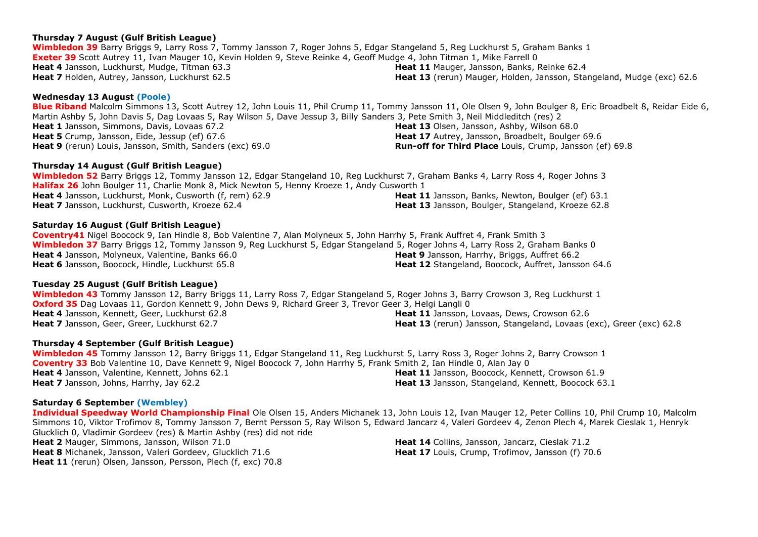## **Thursday 7 August (Gulf British League)**

**Wimbledon 39** Barry Briggs 9, Larry Ross 7, Tommy Jansson 7, Roger Johns 5, Edgar Stangeland 5, Reg Luckhurst 5, Graham Banks 1 **Exeter 39** Scott Autrey 11, Ivan Mauger 10, Kevin Holden 9, Steve Reinke 4, Geoff Mudge 4, John Titman 1, Mike Farrell 0 **Heat 4** Jansson, Luckhurst, Mudge, Titman 63.3 **Heat 7** Holden, Autrey, Jansson, Luckhurst 62.5 **Heat 11** Mauger, Jansson, Banks, Reinke 62.4

## **Wednesday 13 August (Poole)**

**Blue Riband** Malcolm Simmons 13, Scott Autrey 12, John Louis 11, Phil Crump 11, Tommy Jansson 11, Ole Olsen 9, John Boulger 8, Eric Broadbelt 8, Reidar Eide 6, Martin Ashby 5, John Davis 5, Dag Lovaas 5, Ray Wilson 5, Dave Jessup 3, Billy Sanders 3, Pete Smith 3, Neil Middleditch (res) 2 **Heat 1** Jansson, Simmons, Davis, Lovaas 67.2 **Heat 5** Crump, Jansson, Eide, Jessup (ef) 67.6 **Heat 9** (rerun) Louis, Jansson, Smith, Sanders (exc) 69.0 **Heat 13** Olsen, Jansson, Ashby, Wilson 68.0 **Heat 17** Autrey, Jansson, Broadbelt, Boulger 69.6 **Run-off for Third Place** Louis, Crump, Jansson (ef) 69.8

## **Thursday 14 August (Gulf British League)**

**Wimbledon 52** Barry Briggs 12, Tommy Jansson 12, Edgar Stangeland 10, Reg Luckhurst 7, Graham Banks 4, Larry Ross 4, Roger Johns 3 **Halifax 26** John Boulger 11, Charlie Monk 8, Mick Newton 5, Henny Kroeze 1, Andy Cusworth 1 **Heat 4** Jansson, Luckhurst, Monk, Cusworth (f, rem) 62.9 **Heat 7** Jansson, Luckhurst, Cusworth, Kroeze 62.4 **Heat 11** Jansson, Banks, Newton, Boulger (ef) 63.1 **Heat 13** Jansson, Boulger, Stangeland, Kroeze 62.8

## **Saturday 16 August (Gulf British League)**

**Coventry41** Nigel Boocock 9, Ian Hindle 8, Bob Valentine 7, Alan Molyneux 5, John Harrhy 5, Frank Auffret 4, Frank Smith 3 **Wimbledon 37** Barry Briggs 12, Tommy Jansson 9, Reg Luckhurst 5, Edgar Stangeland 5, Roger Johns 4, Larry Ross 2, Graham Banks 0 **Heat 4** Jansson, Molyneux, Valentine, Banks 66.0 **Heat 6** Jansson, Boocock, Hindle, Luckhurst 65.8 **Heat 9** Jansson, Harrhy, Briggs, Auffret 66.2 **Heat 12** Stangeland, Boocock, Auffret, Jansson 64.6

## **Tuesday 25 August (Gulf British League)**

**Wimbledon 43** Tommy Jansson 12, Barry Briggs 11, Larry Ross 7, Edgar Stangeland 5, Roger Johns 3, Barry Crowson 3, Reg Luckhurst 1 **Oxford 35** Dag Lovaas 11, Gordon Kennett 9, John Dews 9, Richard Greer 3, Trevor Geer 3, Helgi Langli 0 **Heat 4** Jansson, Kennett, Geer, Luckhurst 62.8 **Heat 7** Jansson, Geer, Greer, Luckhurst 62.7 **Heat 11** Jansson, Lovaas, Dews, Crowson 62.6 **Heat 13** (rerun) Jansson, Stangeland, Lovaas (exc), Greer (exc) 62.8

## **Thursday 4 September (Gulf British League)**

**Wimbledon 45** Tommy Jansson 12, Barry Briggs 11, Edgar Stangeland 11, Reg Luckhurst 5, Larry Ross 3, Roger Johns 2, Barry Crowson 1 **Coventry 33** Bob Valentine 10, Dave Kennett 9, Nigel Boocock 7, John Harrhy 5, Frank Smith 2, Ian Hindle 0, Alan Jay 0 **Heat 4** Jansson, Valentine, Kennett, Johns 62.1 **Heat 7** Jansson, Johns, Harrhy, Jay 62.2 Heat 11 Jansson, Boocock, Kennett, Crowson 61.9 **Heat 13** Jansson, Stangeland, Kennett, Boocock 63.1

## **Saturday 6 September (Wembley)**

**Individual Speedway World Championship Final** Ole Olsen 15, Anders Michanek 13, John Louis 12, Ivan Mauger 12, Peter Collins 10, Phil Crump 10, Malcolm Simmons 10, Viktor Trofimov 8, Tommy Jansson 7, Bernt Persson 5, Ray Wilson 5, Edward Jancarz 4, Valeri Gordeev 4, Zenon Plech 4, Marek Cieslak 1, Henryk Glucklich 0, Vladimir Gordeev (res) & Martin Ashby (res) did not ride

**Heat 2** Mauger, Simmons, Jansson, Wilson 71.0 **Heat 8** Michanek, Jansson, Valeri Gordeev, Glucklich 71.6 Heat 11 (rerun) Olsen, Jansson, Persson, Plech (f, exc) 70.8

**Heat 14** Collins, Jansson, Jancarz, Cieslak 71.2 Heat 17 Louis, Crump, Trofimov, Jansson (f) 70.6

**Heat 13** (rerun) Mauger, Holden, Jansson, Stangeland, Mudge (exc) 62.6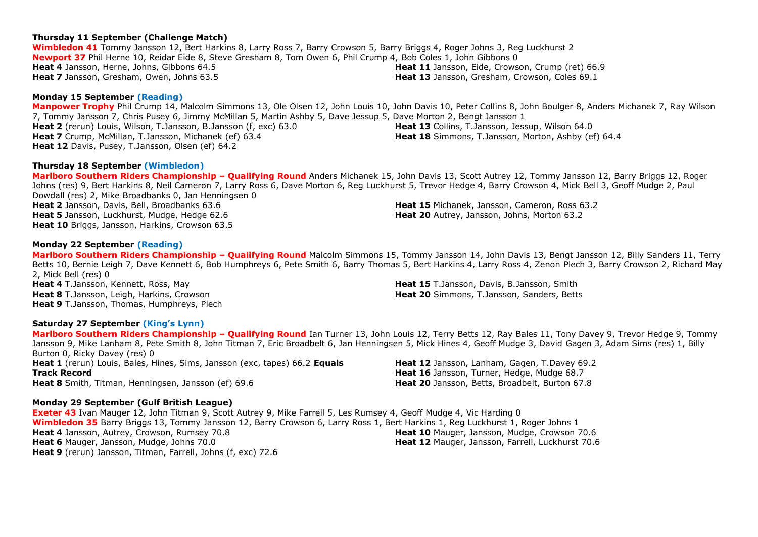## **Thursday 11 September (Challenge Match)**

**Wimbledon 41** Tommy Jansson 12, Bert Harkins 8, Larry Ross 7, Barry Crowson 5, Barry Briggs 4, Roger Johns 3, Reg Luckhurst 2 **Newport 37** Phil Herne 10, Reidar Eide 8, Steve Gresham 8, Tom Owen 6, Phil Crump 4, Bob Coles 1, John Gibbons 0 **Heat 4** Jansson, Herne, Johns, Gibbons 64.5 **Heat 7** Jansson, Gresham, Owen, Johns 63.5

## **Monday 15 September (Reading)**

**Manpower Trophy** Phil Crump 14, Malcolm Simmons 13, Ole Olsen 12, John Louis 10, John Davis 10, Peter Collins 8, John Boulger 8, Anders Michanek 7, Ray Wilson 7, Tommy Jansson 7, Chris Pusey 6, Jimmy McMillan 5, Martin Ashby 5, Dave Jessup 5, Dave Morton 2, Bengt Jansson 1 **Heat 2** (rerun) Louis, Wilson, T**.**Jansson, B.Jansson (f, exc) 63.0 **Heat 7** Crump, McMillan, T.Jansson, Michanek (ef) 63.4 **Heat 12** Davis, Pusey, T.Jansson, Olsen (ef) 64.2 **Heat 13** Collins, T.Jansson, Jessup, Wilson 64.0 **Heat 18** Simmons, T.Jansson, Morton, Ashby (ef) 64.4

#### **Thursday 18 September (Wimbledon)**

**Marlboro Southern Riders Championship – Qualifying Round** Anders Michanek 15, John Davis 13, Scott Autrey 12, Tommy Jansson 12, Barry Briggs 12, Roger Johns (res) 9, Bert Harkins 8, Neil Cameron 7, Larry Ross 6, Dave Morton 6, Reg Luckhurst 5, Trevor Hedge 4, Barry Crowson 4, Mick Bell 3, Geoff Mudge 2, Paul Dowdall (res) 2, Mike Broadbanks 0, Jan Henningsen 0 **Heat 2** Jansson, Davis, Bell, Broadbanks 63.6 **Heat 5** Jansson, Luckhurst, Mudge, Hedge 62.6 **Heat 10** Briggs, Jansson, Harkins, Crowson 63.5 **Heat 15** Michanek, Jansson, Cameron, Ross 63.2 **Heat 20** Autrey, Jansson, Johns, Morton 63.2

## **Monday 22 September (Reading)**

**Marlboro Southern Riders Championship – Qualifying Round** Malcolm Simmons 15, Tommy Jansson 14, John Davis 13, Bengt Jansson 12, Billy Sanders 11, Terry Betts 10, Bernie Leigh 7, Dave Kennett 6, Bob Humphreys 6, Pete Smith 6, Barry Thomas 5, Bert Harkins 4, Larry Ross 4, Zenon Plech 3, Barry Crowson 2, Richard May 2, Mick Bell (res) 0

**Heat 4** T.Jansson, Kennett, Ross, May **Heat 8** T.Jansson, Leigh, Harkins, Crowson **Heat 9** T.Jansson, Thomas, Humphreys, Plech **Heat 15** T.Jansson, Davis, B.Jansson, Smith **Heat 20** Simmons, T.Jansson, Sanders, Betts

**Heat 20** Jansson, Betts, Broadbelt, Burton 67.8

#### **Saturday 27 September (King's Lynn)**

**Marlboro Southern Riders Championship – Qualifying Round** Ian Turner 13, John Louis 12, Terry Betts 12, Ray Bales 11, Tony Davey 9, Trevor Hedge 9, Tommy Jansson 9, Mike Lanham 8, Pete Smith 8, John Titman 7, Eric Broadbelt 6, Jan Henningsen 5, Mick Hines 4, Geoff Mudge 3, David Gagen 3, Adam Sims (res) 1, Billy Burton 0, Ricky Davey (res) 0 **Heat 1** (rerun) Louis, Bales, Hines, Sims, Jansson (exc, tapes) 66.2 **Equals Track Record Heat 12** Jansson, Lanham, Gagen, T.Davey 69.2 **Heat 16** Jansson, Turner, Hedge, Mudge 68.7

**Heat 8** Smith, Titman, Henningsen, Jansson (ef) 69.6

#### **Monday 29 September (Gulf British League)**

**Exeter 43** Ivan Mauger 12, John Titman 9, Scott Autrey 9, Mike Farrell 5, Les Rumsey 4, Geoff Mudge 4, Vic Harding 0 **Wimbledon 35** Barry Briggs 13, Tommy Jansson 12, Barry Crowson 6, Larry Ross 1, Bert Harkins 1, Reg Luckhurst 1, Roger Johns 1 **Heat 4** Jansson, Autrey, Crowson, Rumsey 70.8 **Heat 6** Mauger, Jansson, Mudge, Johns 70.0 **Heat 9** (rerun) Jansson, Titman, Farrell, Johns (f, exc) 72.6 **Heat 10** Mauger, Jansson, Mudge, Crowson 70.6 **Heat 12** Mauger, Jansson, Farrell, Luckhurst 70.6

**Heat 11** Jansson, Eide, Crowson, Crump (ret) 66.9 **Heat 13** Jansson, Gresham, Crowson, Coles 69.1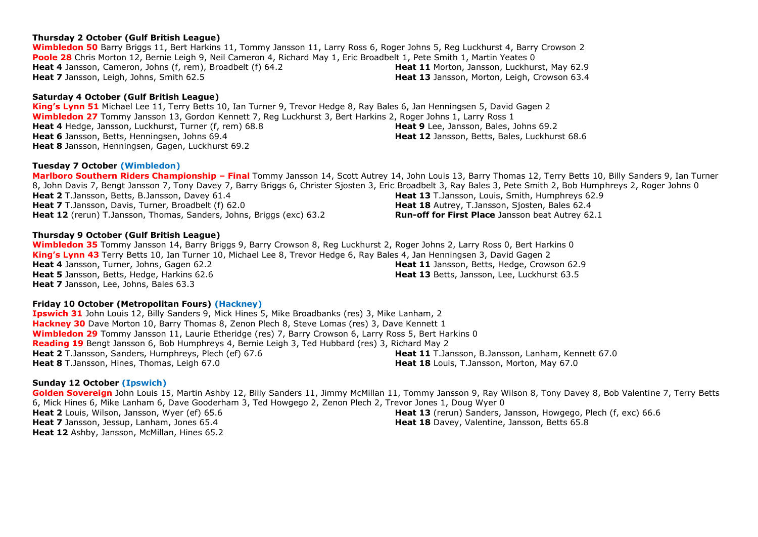## **Thursday 2 October (Gulf British League)**

**Wimbledon 50** Barry Briggs 11, Bert Harkins 11, Tommy Jansson 11, Larry Ross 6, Roger Johns 5, Reg Luckhurst 4, Barry Crowson 2 **Poole 28** Chris Morton 12, Bernie Leigh 9, Neil Cameron 4, Richard May 1, Eric Broadbelt 1, Pete Smith 1, Martin Yeates 0 **Heat 4** Jansson, Cameron, Johns (f, rem), Broadbelt (f) 64.2 **Heat 7** Jansson, Leigh, Johns, Smith 62.5 **Heat 11** Morton, Jansson, Luckhurst, May 62.9 **Heat 13** Jansson, Morton, Leigh, Crowson 63.4

## **Saturday 4 October (Gulf British League)**

**King's Lynn 51** Michael Lee 11, Terry Betts 10, Ian Turner 9, Trevor Hedge 8, Ray Bales 6, Jan Henningsen 5, David Gagen 2 **Wimbledon 27** Tommy Jansson 13, Gordon Kennett 7, Reg Luckhurst 3, Bert Harkins 2, Roger Johns 1, Larry Ross 1 **Heat 4** Hedge, Jansson, Luckhurst, Turner (f, rem) 68.8 **Heat 6** Jansson, Betts, Henningsen, Johns 69.4 **Heat 8** Jansson, Henningsen, Gagen, Luckhurst 69.2 **Heat 9** Lee, Jansson, Bales, Johns 69.2 **Heat 12** Jansson, Betts, Bales, Luckhurst 68.6

## **Tuesday 7 October (Wimbledon)**

**Marlboro Southern Riders Championship – Final** Tommy Jansson 14, Scott Autrey 14, John Louis 13, Barry Thomas 12, Terry Betts 10, Billy Sanders 9, Ian Turner 8, John Davis 7, Bengt Jansson 7, Tony Davey 7, Barry Briggs 6, Christer Sjosten 3, Eric Broadbelt 3, Ray Bales 3, Pete Smith 2, Bob Humphreys 2, Roger Johns 0 **Heat 2** T.Jansson, Betts, B.Jansson, Davey 61.4 **Heat 7** T.Jansson, Davis, Turner, Broadbelt (f) 62.0 **Heat 12** (rerun) T.Jansson, Thomas, Sanders, Johns, Briggs (exc) 63.2 **Heat 13** T.Jansson, Louis, Smith, Humphreys 62.9 **Heat 18** Autrey, T.Jansson, Sjosten, Bales 62.4 **Run-off for First Place** Jansson beat Autrey 62.1

## **Thursday 9 October (Gulf British League)**

**Wimbledon 35** Tommy Jansson 14, Barry Briggs 9, Barry Crowson 8, Reg Luckhurst 2, Roger Johns 2, Larry Ross 0, Bert Harkins 0 **King's Lynn 43** Terry Betts 10, Ian Turner 10, Michael Lee 8, Trevor Hedge 6, Ray Bales 4, Jan Henningsen 3, David Gagen 2 **Heat 4** Jansson, Turner, Johns, Gagen 62.2 **Heat 5** Jansson, Betts, Hedge, Harkins 62.6 **Heat 7** Jansson, Lee, Johns, Bales 63.3 **Heat 11** Jansson, Betts, Hedge, Crowson 62.9 **Heat 13** Betts, Jansson, Lee, Luckhurst 63.5

## **Friday 10 October (Metropolitan Fours) (Hackney)**

**Ipswich 31** John Louis 12, Billy Sanders 9, Mick Hines 5, Mike Broadbanks (res) 3, Mike Lanham, 2 **Hackney 30** Dave Morton 10, Barry Thomas 8, Zenon Plech 8, Steve Lomas (res) 3, Dave Kennett 1 **Wimbledon 29** Tommy Jansson 11, Laurie Etheridge (res) 7, Barry Crowson 6, Larry Ross 5, Bert Harkins 0 **Reading 19** Bengt Jansson 6, Bob Humphreys 4, Bernie Leigh 3, Ted Hubbard (res) 3, Richard May 2 **Heat 2** T.Jansson, Sanders, Humphreys, Plech (ef) 67.6 **Heat 8** T.Jansson, Hines, Thomas, Leigh 67.0 **Heat 11** T.Jansson, B.Jansson, Lanham, Kennett 67.0 **Heat 18** Louis, T.Jansson, Morton, May 67.0

## **Sunday 12 October (Ipswich)**

**Golden Sovereign** John Louis 15, Martin Ashby 12, Billy Sanders 11, Jimmy McMillan 11, Tommy Jansson 9, Ray Wilson 8, Tony Davey 8, Bob Valentine 7, Terry Betts 6, Mick Hines 6, Mike Lanham 6, Dave Gooderham 3, Ted Howgego 2, Zenon Plech 2, Trevor Jones 1, Doug Wyer 0 **Heat 2** Louis, Wilson, Jansson, Wyer (ef) 65.6 **Heat 7** Jansson, Jessup, Lanham, Jones 65.4 **Heat 12** Ashby, Jansson, McMillan, Hines 65.2 **Heat 13** (rerun) Sanders, Jansson, Howgego, Plech (f, exc) 66.6 **Heat 18** Davey, Valentine, Jansson, Betts 65.8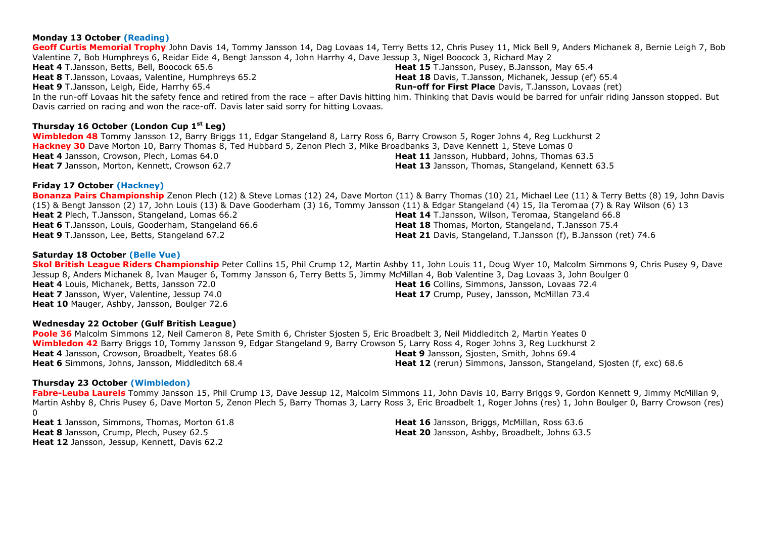#### **Geoff Curtis Memorial Trophy** John Davis 14, Tommy Jansson 14, Dag Lovaas 14, Terry Betts 12, Chris Pusey 11, Mick Bell 9, Anders Michanek 8, Bernie Leigh 7, Bob Valentine 7, Bob Humphreys 6, Reidar Eide 4, Bengt Jansson 4, John Harrhy 4, Dave Jessup 3, Nigel Boocock 3, Richard May 2 **Heat 4** T.Jansson, Betts, Bell, Boocock 65.6 **Heat 8** T.Jansson, Lovaas, Valentine, Humphreys 65.2 **Heat 9** T.Jansson, Leigh, Eide, Harrhy 65.4 **Heat 15** T.Jansson, Pusey, B.Jansson, May 65.4 **Heat 18** Davis, T.Jansson, Michanek, Jessup (ef) 65.4 **Run-off for First Place** Davis, T.Jansson, Lovaas (ret) In the run-off Lovaas hit the safety fence and retired from the race – after Davis hitting him. Thinking that Davis would be barred for unfair riding Jansson stopped. But Davis carried on racing and won the race-off. Davis later said sorry for hitting Lovaas.

## **Thursday 16 October (London Cup 1st Leg)**

**Wimbledon 48** Tommy Jansson 12, Barry Briggs 11, Edgar Stangeland 8, Larry Ross 6, Barry Crowson 5, Roger Johns 4, Reg Luckhurst 2 **Hackney 30** Dave Morton 10, Barry Thomas 8, Ted Hubbard 5, Zenon Plech 3, Mike Broadbanks 3, Dave Kennett 1, Steve Lomas 0 **Heat 4** Jansson, Crowson, Plech, Lomas 64.0 **Heat 7** Jansson, Morton, Kennett, Crowson 62.7 **Heat 11** Jansson, Hubbard, Johns, Thomas 63.5 **Heat 13** Jansson, Thomas, Stangeland, Kennett 63.5

## **Friday 17 October (Hackney)**

**Monday 13 October (Reading)**

**Bonanza Pairs Championship** Zenon Plech (12) & Steve Lomas (12) 24, Dave Morton (11) & Barry Thomas (10) 21, Michael Lee (11) & Terry Betts (8) 19, John Davis (15) & Bengt Jansson (2) 17, John Louis (13) & Dave Gooderham (3) 16, Tommy Jansson (11) & Edgar Stangeland (4) 15, Ila Teromaa (7) & Ray Wilson (6) 13 **Heat 2** Plech, T.Jansson, Stangeland, Lomas 66.2 **Heat 6** T.Jansson, Louis, Gooderham, Stangeland 66.6 **Heat 9** T.Jansson, Lee, Betts, Stangeland 67.2 **Heat 14** T.Jansson, Wilson, Teromaa, Stangeland 66.8 **Heat 18** Thomas, Morton, Stangeland, T.Jansson 75.4 **Heat 21** Davis, Stangeland, T.Jansson (f), B.Jansson (ret) 74.6

## **Saturday 18 October (Belle Vue)**

**Skol British League Riders Championship** Peter Collins 15, Phil Crump 12, Martin Ashby 11, John Louis 11, Doug Wyer 10, Malcolm Simmons 9, Chris Pusey 9, Dave Jessup 8, Anders Michanek 8, Ivan Mauger 6, Tommy Jansson 6, Terry Betts 5, Jimmy McMillan 4, Bob Valentine 3, Dag Lovaas 3, John Boulger 0 **Heat 4** Louis, Michanek, Betts, Jansson 72.0 **Heat 7** Jansson, Wyer, Valentine, Jessup 74.0 **Heat 10** Mauger, Ashby, Jansson, Boulger 72.6 **Heat 16** Collins, Simmons, Jansson, Lovaas 72.4 **Heat 17** Crump, Pusey, Jansson, McMillan 73.4

## **Wednesday 22 October (Gulf British League)**

**Poole 36** Malcolm Simmons 12, Neil Cameron 8, Pete Smith 6, Christer Sjosten 5, Eric Broadbelt 3, Neil Middleditch 2, Martin Yeates 0 **Wimbledon 42** Barry Briggs 10, Tommy Jansson 9, Edgar Stangeland 9, Barry Crowson 5, Larry Ross 4, Roger Johns 3, Reg Luckhurst 2 **Heat 4** Jansson, Crowson, Broadbelt, Yeates 68.6 **Heat 6** Simmons, Johns, Jansson, Middleditch 68.4 **Heat 9** Jansson, Sjosten, Smith, Johns 69.4 **Heat 12** (rerun) Simmons, Jansson, Stangeland, Sjosten (f, exc) 68.6

## **Thursday 23 October (Wimbledon)**

**Fabre-Leuba Laurels** Tommy Jansson 15, Phil Crump 13, Dave Jessup 12, Malcolm Simmons 11, John Davis 10, Barry Briggs 9, Gordon Kennett 9, Jimmy McMillan 9, Martin Ashby 8, Chris Pusey 6, Dave Morton 5, Zenon Plech 5, Barry Thomas 3, Larry Ross 3, Eric Broadbelt 1, Roger Johns (res) 1, John Boulger 0, Barry Crowson (res)  $\Omega$ 

**Heat 1** Jansson, Simmons, Thomas, Morton 61.8 **Heat 8** Jansson, Crump, Plech, Pusey 62.5 **Heat 12** Jansson, Jessup, Kennett, Davis 62.2

**Heat 16** Jansson, Briggs, McMillan, Ross 63.6 **Heat 20** Jansson, Ashby, Broadbelt, Johns 63.5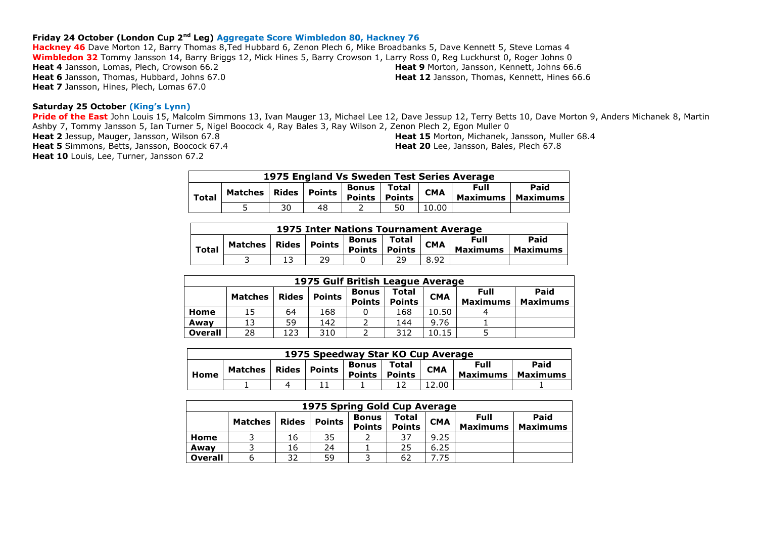## **Friday 24 October (London Cup 2nd Leg) Aggregate Score Wimbledon 80, Hackney 76**

**Hackney 46** Dave Morton 12, Barry Thomas 8,Ted Hubbard 6, Zenon Plech 6, Mike Broadbanks 5, Dave Kennett 5, Steve Lomas 4 **Wimbledon 32** Tommy Jansson 14, Barry Briggs 12, Mick Hines 5, Barry Crowson 1, Larry Ross 0, Reg Luckhurst 0, Roger Johns 0 **Heat 4** Jansson, Lomas, Plech, Crowson 66.2 **Heat 6** Jansson, Thomas, Hubbard, Johns 67.0 **Heat 7** Jansson, Hines, Plech, Lomas 67.0 **Heat 9** Morton, Jansson, Kennett, Johns 66.6 **Heat 12** Jansson, Thomas, Kennett, Hines 66.6

#### **Saturday 25 October (King's Lynn)**

**Pride of the East** John Louis 15, Malcolm Simmons 13, Ivan Mauger 13, Michael Lee 12, Dave Jessup 12, Terry Betts 10, Dave Morton 9, Anders Michanek 8, Martin Ashby 7, Tommy Jansson 5, Ian Turner 5, Nigel Boocock 4, Ray Bales 3, Ray Wilson 2, Zenon Plech 2, Egon Muller 0

**Heat 2** Jessup, Mauger, Jansson, Wilson 67.8 **Heat 5** Simmons, Betts, Jansson, Boocock 67.4

Heat 10 Louis, Lee, Turner, Jansson 67.2

**Heat 15** Morton, Michanek, Jansson, Muller 68.4 **Heat 20** Lee, Jansson, Bales, Plech 67.8

| 1975 England Vs Sweden Test Series Average |         |    |                |                                |                        |            |                         |                  |  |
|--------------------------------------------|---------|----|----------------|--------------------------------|------------------------|------------|-------------------------|------------------|--|
| <b>Total</b>                               | Matches |    | Rides   Points | <b>Bonus</b><br>$ $ Points $ $ | Total<br><b>Points</b> | <b>CMA</b> | Full<br><b>Maximums</b> | Paid<br>Maximums |  |
|                                            |         | 30 | 48             |                                | 50                     | 10.00      |                         |                  |  |

|              | 1975 Inter Nations Tournament Average |  |    |                                                                                                                            |  |      |  |  |  |  |
|--------------|---------------------------------------|--|----|----------------------------------------------------------------------------------------------------------------------------|--|------|--|--|--|--|
| <b>Total</b> | Matches   Rides   Points              |  |    | Paid<br><b>Full</b><br>Bonus   Total<br><b>CMA</b><br><b>Points</b><br><b>Maximums</b><br><b>Points</b><br><b>Maximums</b> |  |      |  |  |  |  |
|              |                                       |  | 29 |                                                                                                                            |  | 8.92 |  |  |  |  |

|                | 1975 Gulf British League Average |                 |                 |              |       |            |             |      |  |  |  |  |
|----------------|----------------------------------|-----------------|-----------------|--------------|-------|------------|-------------|------|--|--|--|--|
|                | Matches                          | <b>Rides</b>    | <b>Points</b>   | <b>Bonus</b> | Total | <b>CMA</b> | <b>Full</b> | Paid |  |  |  |  |
|                | <b>Points</b><br><b>Points</b>   | <b>Maximums</b> | <b>Maximums</b> |              |       |            |             |      |  |  |  |  |
| Home           | 15                               | 64              | 168             |              | 168   | 10.50      |             |      |  |  |  |  |
| Awav           | 13                               | 59              | 142             |              | 144   | 9.76       |             |      |  |  |  |  |
| <b>Overall</b> | 28                               | 123             | 310             |              | 312   | 10.15      |             |      |  |  |  |  |

| 1975 Speedway Star KO Cup Average |         |  |                |                        |                        |            |                                |                         |  |
|-----------------------------------|---------|--|----------------|------------------------|------------------------|------------|--------------------------------|-------------------------|--|
| Home                              | Matches |  | Rides   Points | Bonus<br><b>Points</b> | Total<br><b>Points</b> | <b>CMA</b> | <b>Full</b><br><b>Maximums</b> | Paid<br><b>Maximums</b> |  |
|                                   |         |  |                |                        |                        | .2.00      |                                |                         |  |

|                | 1975 Spring Gold Cup Average |              |               |                               |                        |            |                                |                         |  |  |  |  |
|----------------|------------------------------|--------------|---------------|-------------------------------|------------------------|------------|--------------------------------|-------------------------|--|--|--|--|
|                | <b>Matches</b>               | <b>Rides</b> | <b>Points</b> | <b>Bonus</b><br><b>Points</b> | Total<br><b>Points</b> | <b>CMA</b> | <b>Full</b><br><b>Maximums</b> | Paid<br><b>Maximums</b> |  |  |  |  |
| Home           |                              | 16           | 35            |                               | 37                     | 9.25       |                                |                         |  |  |  |  |
| Awav           |                              | 16           | 24            |                               | 25                     | 6.25       |                                |                         |  |  |  |  |
| <b>Overall</b> |                              | 32           | 59            |                               | 62                     | 7.75       |                                |                         |  |  |  |  |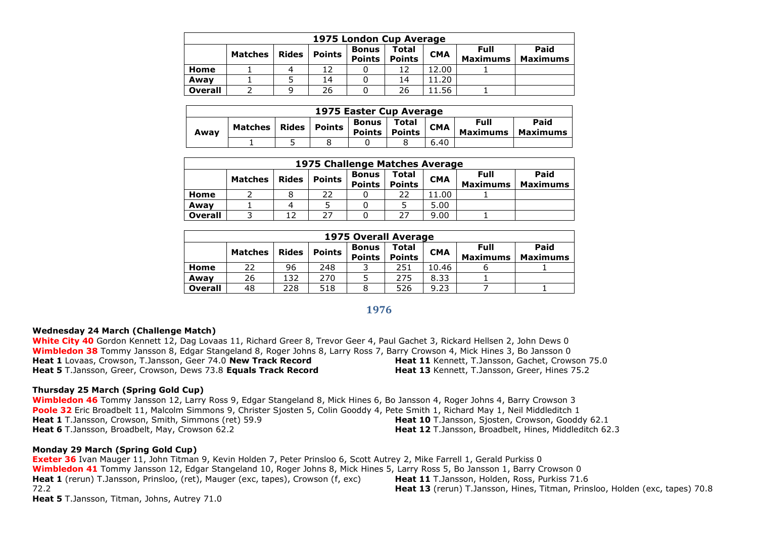|                | 1975 London Cup Average |              |        |                               |                        |            |                                |                         |  |  |  |
|----------------|-------------------------|--------------|--------|-------------------------------|------------------------|------------|--------------------------------|-------------------------|--|--|--|
|                | <b>Matches</b>          | <b>Rides</b> | Points | <b>Bonus</b><br><b>Points</b> | Total<br><b>Points</b> | <b>CMA</b> | <b>Full</b><br><b>Maximums</b> | Paid<br><b>Maximums</b> |  |  |  |
| Home           |                         | 4            | 12     |                               | 12                     | 12.00      |                                |                         |  |  |  |
| Awav           |                         |              | 14     |                               | 14                     | 11.20      |                                |                         |  |  |  |
| <b>Overall</b> |                         | 9            | 26     |                               | 26                     | 11.56      |                                |                         |  |  |  |

|      | 1975 Easter Cup Average |       |        |                        |                 |            |                         |                  |  |  |  |
|------|-------------------------|-------|--------|------------------------|-----------------|------------|-------------------------|------------------|--|--|--|
| Away | <b>Matches</b>          | Rides | Points | Bonus<br><b>Points</b> | Total<br>Points | <b>CMA</b> | Full<br><b>Maximums</b> | Paid<br>Maximums |  |  |  |
|      |                         |       |        |                        |                 | 6.40       |                         |                  |  |  |  |

|                | 1975 Challenge Matches Average |              |        |                               |                        |            |                  |                         |  |  |  |  |
|----------------|--------------------------------|--------------|--------|-------------------------------|------------------------|------------|------------------|-------------------------|--|--|--|--|
|                | <b>Matches</b>                 | <b>Rides</b> | Points | <b>Bonus</b><br><b>Points</b> | Total<br><b>Points</b> | <b>CMA</b> | Full<br>Maximums | Paid<br><b>Maximums</b> |  |  |  |  |
| Home           |                                |              | 22     |                               | 22                     | 11.00      |                  |                         |  |  |  |  |
| Awav           |                                | 4            |        |                               |                        | 5.00       |                  |                         |  |  |  |  |
| <b>Overall</b> |                                |              | 27     |                               | 27                     | 9.00       |                  |                         |  |  |  |  |

|                | <b>1975 Overall Average</b> |              |               |                               |                        |            |                                |                         |  |  |  |  |
|----------------|-----------------------------|--------------|---------------|-------------------------------|------------------------|------------|--------------------------------|-------------------------|--|--|--|--|
|                | <b>Matches</b>              | <b>Rides</b> | <b>Points</b> | <b>Bonus</b><br><b>Points</b> | Total<br><b>Points</b> | <b>CMA</b> | <b>Full</b><br><b>Maximums</b> | Paid<br><b>Maximums</b> |  |  |  |  |
| Home           | 22                          | 96           | 248           |                               | 251                    | 10.46      |                                |                         |  |  |  |  |
| Awav           | 26                          | 132          | 270           |                               | 275                    | 8.33       |                                |                         |  |  |  |  |
| <b>Overall</b> | 48                          | 228          | 518           |                               | 526                    | 9.23       |                                |                         |  |  |  |  |

## **1976**

#### **Wednesday 24 March (Challenge Match)**

**White City 40** Gordon Kennett 12, Dag Lovaas 11, Richard Greer 8, Trevor Geer 4, Paul Gachet 3, Rickard Hellsen 2, John Dews 0 **Wimbledon 38** Tommy Jansson 8, Edgar Stangeland 8, Roger Johns 8, Larry Ross 7, Barry Crowson 4, Mick Hines 3, Bo Jansson 0 **Heat 1** Lovaas, Crowson, T.Jansson, Geer 74.0 **New Track Record Heat 5** T.Jansson, Greer, Crowson, Dews 73.8 **Equals Track Record Heat 11** Kennett, T.Jansson, Gachet, Crowson 75.0 **Heat 13** Kennett, T.Jansson, Greer, Hines 75.2

#### **Thursday 25 March (Spring Gold Cup)**

**Wimbledon 46** Tommy Jansson 12, Larry Ross 9, Edgar Stangeland 8, Mick Hines 6, Bo Jansson 4, Roger Johns 4, Barry Crowson 3 **Poole 32** Eric Broadbelt 11, Malcolm Simmons 9, Christer Sjosten 5, Colin Gooddy 4, Pete Smith 1, Richard May 1, Neil Middleditch 1 **Heat 1** T.Jansson, Crowson, Smith, Simmons (ret) 59.9 **Heat 6** T.Jansson, Broadbelt, May, Crowson 62.2 **Heat 10** T.Jansson, Sjosten, Crowson, Gooddy 62.1 **Heat 12** T.Jansson, Broadbelt, Hines, Middleditch 62.3

#### **Monday 29 March (Spring Gold Cup)**

**Exeter 36** Ivan Mauger 11, John Titman 9, Kevin Holden 7, Peter Prinsloo 6, Scott Autrey 2, Mike Farrell 1, Gerald Purkiss 0 **Wimbledon 41** Tommy Jansson 12, Edgar Stangeland 10, Roger Johns 8, Mick Hines 5, Larry Ross 5, Bo Jansson 1, Barry Crowson 0 **Heat 1** (rerun) T.Jansson, Prinsloo, (ret), Mauger (exc, tapes), Crowson (f, exc) 72.2 **Heat 5** T.Jansson, Titman, Johns, Autrey 71.0 **Heat 11** T.Jansson, Holden, Ross, Purkiss 71.6 **Heat 13** (rerun) T.Jansson, Hines, Titman, Prinsloo, Holden (exc, tapes) 70.8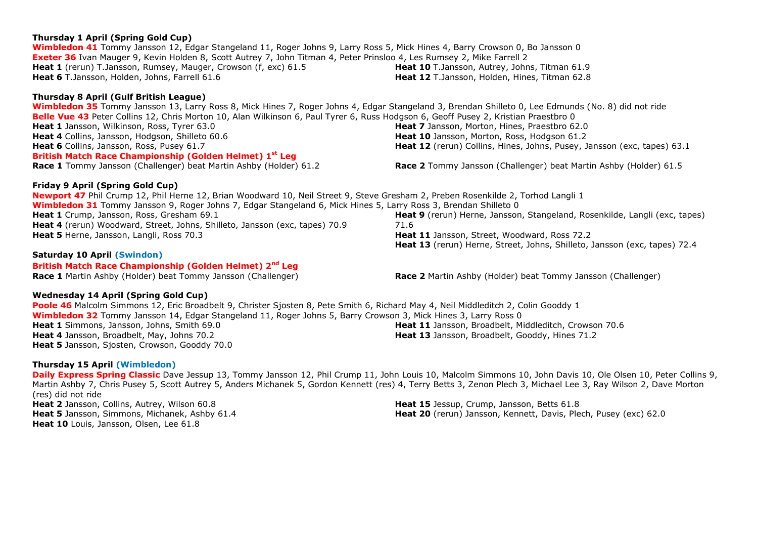## **Thursday 1 April (Spring Gold Cup)**

**Wimbledon 41** Tommy Jansson 12, Edgar Stangeland 11, Roger Johns 9, Larry Ross 5, Mick Hines 4, Barry Crowson 0, Bo Jansson 0 **Exeter 36** Ivan Mauger 9, Kevin Holden 8, Scott Autrey 7, John Titman 4, Peter Prinsloo 4, Les Rumsey 2, Mike Farrell 2 **Heat 1** (rerun) T.Jansson, Rumsey, Mauger, Crowson (f, exc) 61.5 **Heat 6** T.Jansson, Holden, Johns, Farrell 61.6

## **Thursday 8 April (Gulf British League)**

**Wimbledon 35** Tommy Jansson 13, Larry Ross 8, Mick Hines 7, Roger Johns 4, Edgar Stangeland 3, Brendan Shilleto 0, Lee Edmunds (No. 8) did not ride **Belle Vue 43** Peter Collins 12, Chris Morton 10, Alan Wilkinson 6, Paul Tyrer 6, Russ Hodgson 6, Geoff Pusey 2, Kristian Praestbro 0 **Heat 1** Jansson, Wilkinson, Ross, Tyrer 63.0 **Heat 4** Collins, Jansson, Hodgson, Shilleto 60.6 **Heat 6** Collins, Jansson, Ross, Pusey 61.7 **Heat 7** Jansson, Morton, Hines, Praestbro 62.0 **Heat 10** Jansson, Morton, Ross, Hodgson 61.2 **British Match Race Championship (Golden Helmet) 1 st Leg Race 1** Tommy Jansson (Challenger) beat Martin Ashby (Holder) 61.2 **Race 2** Tommy Jansson (Challenger) beat Martin Ashby (Holder) 61.5

## **Friday 9 April (Spring Gold Cup)**

**Newport 47** Phil Crump 12, Phil Herne 12, Brian Woodward 10, Neil Street 9, Steve Gresham 2, Preben Rosenkilde 2, Torhod Langli 1 **Wimbledon 31** Tommy Jansson 9, Roger Johns 7, Edgar Stangeland 6, Mick Hines 5, Larry Ross 3, Brendan Shilleto 0 **Heat 1** Crump, Jansson, Ross, Gresham 69.1 **Heat 4** (rerun) Woodward, Street, Johns, Shilleto, Jansson (exc, tapes) 70.9 **Heat 5** Herne, Jansson, Langli, Ross 70.3 71.6 **Heat 11** Jansson, Street, Woodward, Ross 72.2

## **Saturday 10 April (Swindon)**

## **British Match Race Championship (Golden Helmet) 2nd Leg**

**Race 1** Martin Ashby (Holder) beat Tommy Jansson (Challenger) **Race 2** Martin Ashby (Holder) beat Tommy Jansson (Challenger)

## **Wednesday 14 April (Spring Gold Cup)**

**Poole 46** Malcolm Simmons 12, Eric Broadbelt 9, Christer Sjosten 8, Pete Smith 6, Richard May 4, Neil Middleditch 2, Colin Gooddy 1 **Wimbledon 32** Tommy Jansson 14, Edgar Stangeland 11, Roger Johns 5, Barry Crowson 3, Mick Hines 3, Larry Ross 0 **Heat 1** Simmons, Jansson, Johns, Smith 69.0 **Heat 4** Jansson, Broadbelt, May, Johns 70.2 **Heat 5** Jansson, Sjosten, Crowson, Gooddy 70.0 **Heat 11** Jansson, Broadbelt, Middleditch, Crowson 70.6 **Heat 13** Jansson, Broadbelt, Gooddy, Hines 71.2

## **Thursday 15 April (Wimbledon)**

**Daily Express Spring Classic** Dave Jessup 13, Tommy Jansson 12, Phil Crump 11, John Louis 10, Malcolm Simmons 10, John Davis 10, Ole Olsen 10, Peter Collins 9, Martin Ashby 7, Chris Pusey 5, Scott Autrey 5, Anders Michanek 5, Gordon Kennett (res) 4, Terry Betts 3, Zenon Plech 3, Michael Lee 3, Ray Wilson 2, Dave Morton (res) did not ride **Heat 2** Jansson, Collins, Autrey, Wilson 60.8 **Heat 15** Jessup, Crump, Jansson, Betts 61.8

**Heat 5** Jansson, Simmons, Michanek, Ashby 61.4 **Heat 10** Louis, Jansson, Olsen, Lee 61.8

**Heat 10** T.Jansson, Autrey, Johns, Titman 61.9 **Heat 12** T.Jansson, Holden, Hines, Titman 62.8

**Heat 12** (rerun) Collins, Hines, Johns, Pusey, Jansson (exc, tapes) 63.1

**Heat 9** (rerun) Herne, Jansson, Stangeland, Rosenkilde, Langli (exc, tapes) **Heat 13** (rerun) Herne, Street, Johns, Shilleto, Jansson (exc, tapes) 72.4

**Heat 20** (rerun) Jansson, Kennett, Davis, Plech, Pusey (exc) 62.0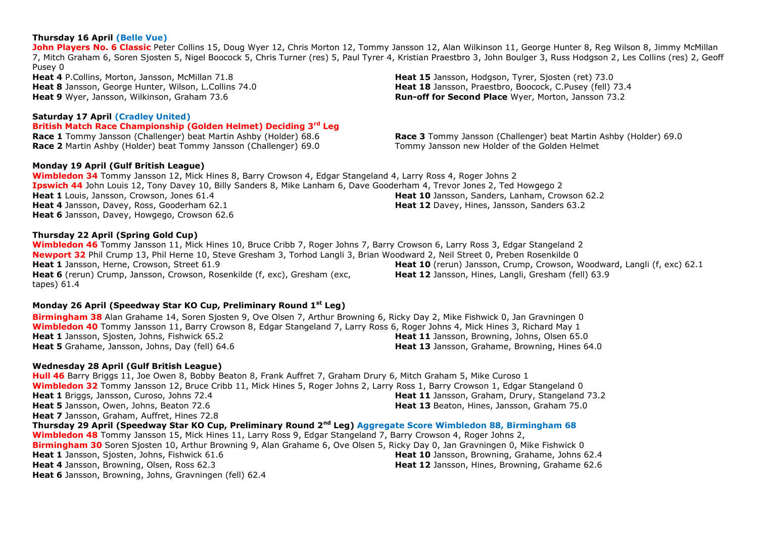#### **Thursday 16 April (Belle Vue)**

**John Players No. 6 Classic** Peter Collins 15, Doug Wyer 12, Chris Morton 12, Tommy Jansson 12, Alan Wilkinson 11, George Hunter 8, Reg Wilson 8, Jimmy McMillan 7, Mitch Graham 6, Soren Sjosten 5, Nigel Boocock 5, Chris Turner (res) 5, Paul Tyrer 4, Kristian Praestbro 3, John Boulger 3, Russ Hodgson 2, Les Collins (res) 2, Geoff Pusey 0

**Heat 4** P.Collins, Morton, Jansson, McMillan 71.8 **Heat 8** Jansson, George Hunter, Wilson, L.Collins 74.0 **Heat 9** Wyer, Jansson, Wilkinson, Graham 73.6

#### **Saturday 17 April (Cradley United)**

#### **British Match Race Championship (Golden Helmet) Deciding 3rd Leg**

**Race 1** Tommy Jansson (Challenger) beat Martin Ashby (Holder) 68.6 **Race 2** Martin Ashby (Holder) beat Tommy Jansson (Challenger) 69.0

#### **Monday 19 April (Gulf British League)**

**Wimbledon 34** Tommy Jansson 12, Mick Hines 8, Barry Crowson 4, Edgar Stangeland 4, Larry Ross 4, Roger Johns 2 **Ipswich 44** John Louis 12, Tony Davey 10, Billy Sanders 8, Mike Lanham 6, Dave Gooderham 4, Trevor Jones 2, Ted Howgego 2 **Heat 1** Louis, Jansson, Crowson, Jones 61.4 **Heat 4** Jansson, Davey, Ross, Gooderham 62.1 **Heat 6** Jansson, Davey, Howgego, Crowson 62.6 **Heat 10** Jansson, Sanders, Lanham, Crowson 62.2 **Heat 12** Davey, Hines, Jansson, Sanders 63.2

#### **Thursday 22 April (Spring Gold Cup)**

**Wimbledon 46** Tommy Jansson 11, Mick Hines 10, Bruce Cribb 7, Roger Johns 7, Barry Crowson 6, Larry Ross 3, Edgar Stangeland 2 **Newport 32** Phil Crump 13, Phil Herne 10, Steve Gresham 3, Torhod Langli 3, Brian Woodward 2, Neil Street 0, Preben Rosenkilde 0 **Heat 1** Jansson, Herne, Crowson, Street 61.9 **Heat 6** (rerun) Crump, Jansson, Crowson, Rosenkilde (f, exc), Gresham (exc, tapes) 61.4 Heat 10 (rerun) Jansson, Crump, Crowson, Woodward, Langli (f, exc) 62.1 **Heat 12** Jansson, Hines, Langli, Gresham (fell) 63.9

## **Monday 26 April (Speedway Star KO Cup, Preliminary Round 1st Leg)**

**Birmingham 38** Alan Grahame 14, Soren Sjosten 9, Ove Olsen 7, Arthur Browning 6, Ricky Day 2, Mike Fishwick 0, Jan Gravningen 0 **Wimbledon 40** Tommy Jansson 11, Barry Crowson 8, Edgar Stangeland 7, Larry Ross 6, Roger Johns 4, Mick Hines 3, Richard May 1 **Heat 1** Jansson, Sjosten, Johns, Fishwick 65.2 **Heat 5** Grahame, Jansson, Johns, Day (fell) 64.6 **Heat 11** Jansson, Browning, Johns, Olsen 65.0 **Heat 13** Jansson, Grahame, Browning, Hines 64.0

#### **Wednesday 28 April (Gulf British League)**

**Hull 46** Barry Briggs 11, Joe Owen 8, Bobby Beaton 8, Frank Auffret 7, Graham Drury 6, Mitch Graham 5, Mike Curoso 1 **Wimbledon 32** Tommy Jansson 12, Bruce Cribb 11, Mick Hines 5, Roger Johns 2, Larry Ross 1, Barry Crowson 1, Edgar Stangeland 0 **Heat 1** Briggs, Jansson, Curoso, Johns 72.4 **Heat 5** Jansson, Owen, Johns, Beaton 72.6 **Heat 7** Jansson, Graham, Auffret, Hines 72.8 **Heat 11** Jansson, Graham, Drury, Stangeland 73.2 **Heat 13** Beaton, Hines, Jansson, Graham 75.0

**Thursday 29 April (Speedway Star KO Cup, Preliminary Round 2nd Leg) Aggregate Score Wimbledon 88, Birmingham 68 Wimbledon 48** Tommy Jansson 15, Mick Hines 11, Larry Ross 9, Edgar Stangeland 7, Barry Crowson 4, Roger Johns 2, **Birmingham 30** Soren Sjosten 10, Arthur Browning 9, Alan Grahame 6, Ove Olsen 5, Ricky Day 0, Jan Gravningen 0, Mike Fishwick 0 **Heat 1** Jansson, Sjosten, Johns, Fishwick 61.6 **Heat 4** Jansson, Browning, Olsen, Ross 62.3 **Heat 6** Jansson, Browning, Johns, Gravningen (fell) 62.4 **Heat 10** Jansson, Browning, Grahame, Johns 62.4 **Heat 12** Jansson, Hines, Browning, Grahame 62.6

**Heat 15** Jansson, Hodgson, Tyrer, Siosten (ret) 73.0 **Heat 18** Jansson, Praestbro, Boocock, C.Pusey (fell) 73.4 **Run-off for Second Place** Wyer, Morton, Jansson 73.2

**Race 3** Tommy Jansson (Challenger) beat Martin Ashby (Holder) 69.0 Tommy Jansson new Holder of the Golden Helmet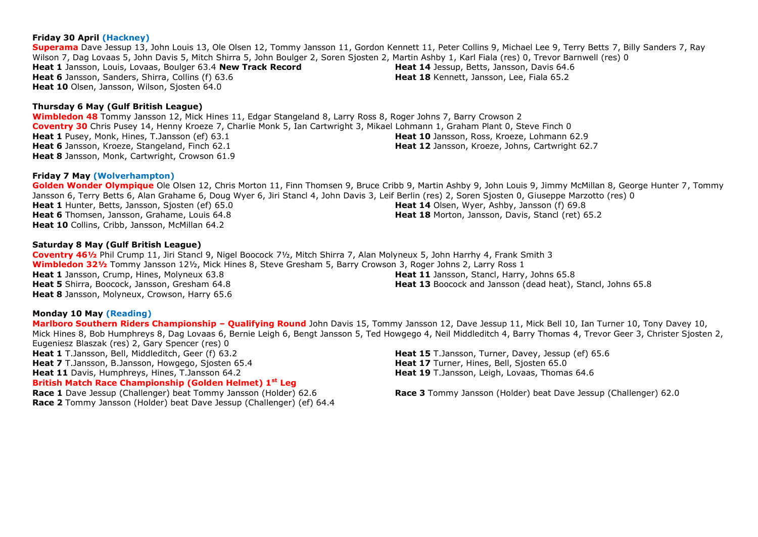## **Friday 30 April (Hackney)**

**Superama** Dave Jessup 13, John Louis 13, Ole Olsen 12, Tommy Jansson 11, Gordon Kennett 11, Peter Collins 9, Michael Lee 9, Terry Betts 7, Billy Sanders 7, Ray Wilson 7, Dag Lovaas 5, John Davis 5, Mitch Shirra 5, John Boulger 2, Soren Sjosten 2, Martin Ashby 1, Karl Fiala (res) 0, Trevor Barnwell (res) 0 **Heat 1** Jansson, Louis, Lovaas, Boulger 63.4 **New Track Record Heat 6** Jansson, Sanders, Shirra, Collins (f) 63.6 **Heat 10** Olsen, Jansson, Wilson, Sjosten 64.0 **Heat 14** Jessup, Betts, Jansson, Davis 64.6 **Heat 18** Kennett, Jansson, Lee, Fiala 65.2

#### **Thursday 6 May (Gulf British League)**

**Wimbledon 48** Tommy Jansson 12, Mick Hines 11, Edgar Stangeland 8, Larry Ross 8, Roger Johns 7, Barry Crowson 2 **Coventry 30** Chris Pusey 14, Henny Kroeze 7, Charlie Monk 5, Ian Cartwright 3, Mikael Lohmann 1, Graham Plant 0, Steve Finch 0 **Heat 1** Pusey, Monk, Hines, T.Jansson (ef) 63.1 **Heat 6** Jansson, Kroeze, Stangeland, Finch 62.1 **Heat 8** Jansson, Monk, Cartwright, Crowson 61.9 **Heat 10** Jansson, Ross, Kroeze, Lohmann 62.9 **Heat 12** Jansson, Kroeze, Johns, Cartwright 62.7

#### **Friday 7 May (Wolverhampton)**

**Golden Wonder Olympique** Ole Olsen 12, Chris Morton 11, Finn Thomsen 9, Bruce Cribb 9, Martin Ashby 9, John Louis 9, Jimmy McMillan 8, George Hunter 7, Tommy Jansson 6, Terry Betts 6, Alan Grahame 6, Doug Wyer 6, Jiri Stancl 4, John Davis 3, Leif Berlin (res) 2, Soren Sjosten 0, Giuseppe Marzotto (res) 0 **Heat 1** Hunter, Betts, Jansson, Siosten (ef) 65.0 **Heat 6** Thomsen, Jansson, Grahame, Louis 64.8 **Heat 10** Collins, Cribb, Jansson, McMillan 64.2 **Heat 14** Olsen, Wyer, Ashby, Jansson (f) 69.8 **Heat 18** Morton, Jansson, Davis, Stancl (ret) 65.2

#### **Saturday 8 May (Gulf British League)**

**Coventry 46½** Phil Crump 11, Jiri Stancl 9, Nigel Boocock 7½, Mitch Shirra 7, Alan Molyneux 5, John Harrhy 4, Frank Smith 3 **Wimbledon 32½** Tommy Jansson 12½, Mick Hines 8, Steve Gresham 5, Barry Crowson 3, Roger Johns 2, Larry Ross 1 **Heat 1** Jansson, Crump, Hines, Molyneux 63.8 **Heat 5** Shirra, Boocock, Jansson, Gresham 64.8 **Heat 8** Jansson, Molyneux, Crowson, Harry 65.6 **Heat 11** Jansson, Stancl, Harry, Johns 65.8 **Heat 13** Boocock and Jansson (dead heat), Stancl, Johns 65.8

#### **Monday 10 May (Reading)**

**Marlboro Southern Riders Championship – Qualifying Round** John Davis 15, Tommy Jansson 12, Dave Jessup 11, Mick Bell 10, Ian Turner 10, Tony Davey 10, Mick Hines 8, Bob Humphreys 8, Dag Lovaas 6, Bernie Leigh 6, Bengt Jansson 5, Ted Howgego 4, Neil Middleditch 4, Barry Thomas 4, Trevor Geer 3, Christer Siosten 2, Eugeniesz Blaszak (res) 2, Gary Spencer (res) 0 **Heat 1** T.Jansson, Bell, Middleditch, Geer (f) 63.2 **Heat 7** T.Jansson, B.Jansson, Howgego, Siosten 65.4 **Heat 11** Davis, Humphreys, Hines, T.Jansson 64.2 **Heat 15** T.Jansson, Turner, Davey, Jessup (ef) 65.6 Heat 17 Turner, Hines, Bell, Sjosten 65.0 **Heat 19** T.Jansson, Leigh, Lovaas, Thomas 64.6 **British Match Race Championship (Golden Helmet) 1st Leg Race 1** Dave Jessup (Challenger) beat Tommy Jansson (Holder) 62.6 **Race 3** Tommy Jansson (Holder) beat Dave Jessup (Challenger) 62.0

**Race 2** Tommy Jansson (Holder) beat Dave Jessup (Challenger) (ef) 64.4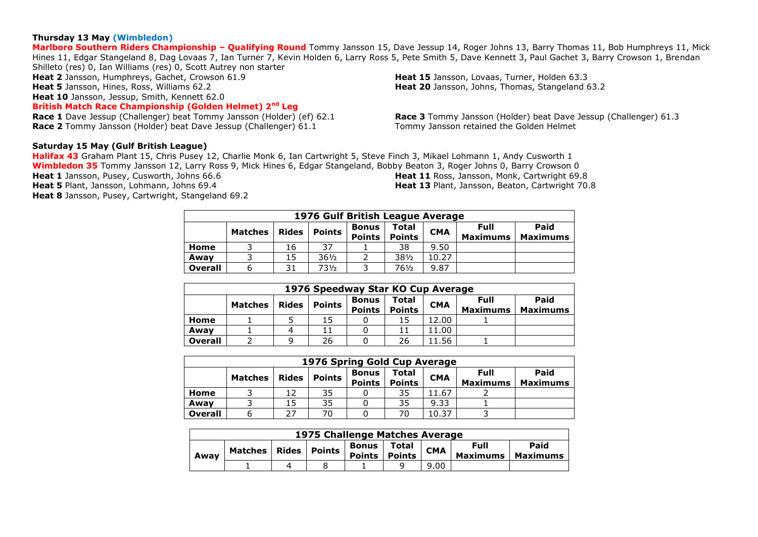#### **Thursday 13 May (Wimbledon)**

**Marlboro Southern Riders Championship – Qualifying Round** Tommy Jansson 15, Dave Jessup 14, Roger Johns 13, Barry Thomas 11, Bob Humphreys 11, Mick Hines 11, Edgar Stangeland 8, Dag Lovaas 7, Ian Turner 7, Kevin Holden 6, Larry Ross 5, Pete Smith 5, Dave Kennett 3, Paul Gachet 3, Barry Crowson 1, Brendan Shilleto (res) 0, Ian Williams (res) 0, Scott Autrey non starter

**Heat 2** Jansson, Humphreys, Gachet, Crowson 61.9 **Heat 5** Jansson, Hines, Ross, Williams 62.2 **Heat 10** Jansson, Jessup, Smith, Kennett 62.0 **British Match Race Championship (Golden Helmet) 2nd Leg**

**Heat 15** Jansson, Lovaas, Turner, Holden 63.3 **Heat 20** Jansson, Johns, Thomas, Stangeland 63.2

**Race 1** Dave Jessup (Challenger) beat Tommy Jansson (Holder) (ef) 62.1 **Race 2** Tommy Jansson (Holder) beat Dave Jessup (Challenger) 61.1

**Race 3** Tommy Jansson (Holder) beat Dave Jessup (Challenger) 61.3 Tommy Jansson retained the Golden Helmet

#### **Saturday 15 May (Gulf British League)**

**Halifax 43** Graham Plant 15, Chris Pusey 12, Charlie Monk 6, Ian Cartwright 5, Steve Finch 3, Mikael Lohmann 1, Andy Cusworth 1 **Wimbledon 35** Tommy Jansson 12, Larry Ross 9, Mick Hines 6, Edgar Stangeland, Bobby Beaton 3, Roger Johns 0, Barry Crowson 0 **Heat 1** Jansson, Pusey, Cusworth, Johns 66.6 **Heat 5** Plant, Jansson, Lohmann, Johns 69.4 **Heat 8** Jansson, Pusey, Cartwright, Stangeland 69.2 **Heat 11** Ross, Jansson, Monk, Cartwright 69.8 **Heat 13** Plant, Jansson, Beaton, Cartwright 70.8

|                | 1976 Gulf British League Average |              |                 |                               |                               |            |                         |                         |  |  |  |  |
|----------------|----------------------------------|--------------|-----------------|-------------------------------|-------------------------------|------------|-------------------------|-------------------------|--|--|--|--|
|                | <b>Matches</b>                   | <b>Rides</b> | <b>Points</b>   | <b>Bonus</b><br><b>Points</b> | <b>Total</b><br><b>Points</b> | <b>CMA</b> | Full<br><b>Maximums</b> | Paid<br><b>Maximums</b> |  |  |  |  |
| Home           |                                  | 16           | 37              |                               | 38                            | 9.50       |                         |                         |  |  |  |  |
| Awav           |                                  | 15           | $36\frac{1}{2}$ |                               | $38\frac{1}{2}$               | 10.27      |                         |                         |  |  |  |  |
| <b>Overall</b> | b                                | 31           | 73½             |                               | 76½                           | 9.87       |                         |                         |  |  |  |  |

|                | 1976 Speedway Star KO Cup Average                                                                                                                                      |   |    |  |    |       |  |  |  |  |  |
|----------------|------------------------------------------------------------------------------------------------------------------------------------------------------------------------|---|----|--|----|-------|--|--|--|--|--|
|                | Full<br>Total<br><b>Bonus</b><br><b>CMA</b><br><b>Points</b><br><b>Rides</b><br><b>Matches</b><br><b>Points</b><br><b>Points</b><br><b>Maximums</b><br><b>Maximums</b> |   |    |  |    |       |  |  |  |  |  |
| Home           |                                                                                                                                                                        |   | 15 |  | 15 | 12.00 |  |  |  |  |  |
| Awav           |                                                                                                                                                                        | 4 |    |  | 11 | 11.00 |  |  |  |  |  |
| <b>Overall</b> |                                                                                                                                                                        |   | 26 |  | 26 | 11.56 |  |  |  |  |  |

|                                                                                                                                                            | 1976 Spring Gold Cup Average |    |    |  |    |       |  |                         |  |  |  |  |
|------------------------------------------------------------------------------------------------------------------------------------------------------------|------------------------------|----|----|--|----|-------|--|-------------------------|--|--|--|--|
| <b>Full</b><br>Total<br><b>Bonus</b><br><b>CMA</b><br><b>Points</b><br><b>Rides</b><br><b>Matches</b><br><b>Points</b><br><b>Points</b><br><b>Maximums</b> |                              |    |    |  |    |       |  | Paid<br><b>Maximums</b> |  |  |  |  |
| Home                                                                                                                                                       |                              |    | 35 |  | 35 | 11.67 |  |                         |  |  |  |  |
| Awav                                                                                                                                                       |                              | 15 | 35 |  | 35 | 9.33  |  |                         |  |  |  |  |
| <b>Overall</b>                                                                                                                                             |                              | דר | 70 |  | 70 | 10.37 |  |                         |  |  |  |  |

| 1975 Challenge Matches Average |         |  |                |                               |                        |            |                                             |  |  |  |
|--------------------------------|---------|--|----------------|-------------------------------|------------------------|------------|---------------------------------------------|--|--|--|
| Awav                           | Matches |  | Rides   Points | <b>Bonus</b><br><b>Points</b> | Total<br><b>Points</b> | <b>CMA</b> | Paid<br>Full<br><b>Maximums</b><br>Maximums |  |  |  |
|                                |         |  |                |                               |                        | 9.00       |                                             |  |  |  |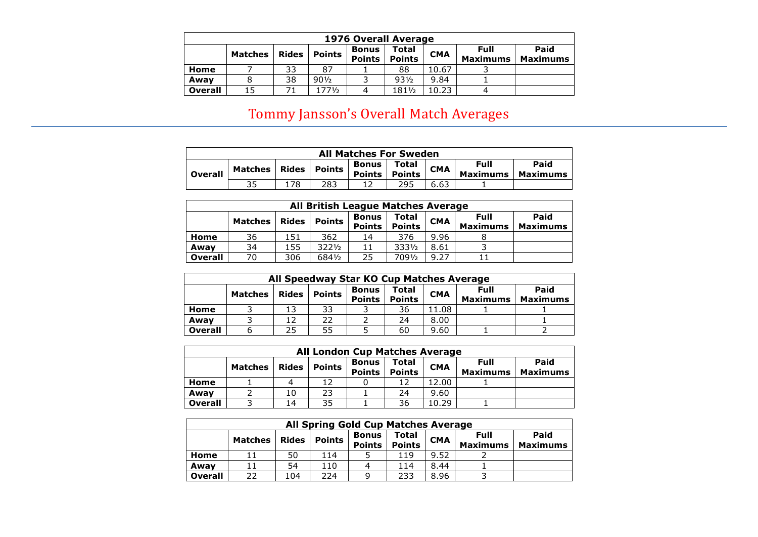|                | 1976 Overall Average |              |                 |                               |                        |            |                         |                         |  |  |  |  |
|----------------|----------------------|--------------|-----------------|-------------------------------|------------------------|------------|-------------------------|-------------------------|--|--|--|--|
|                | Matches              | <b>Rides</b> | <b>Points</b>   | <b>Bonus</b><br><b>Points</b> | Total<br><b>Points</b> | <b>CMA</b> | Full<br><b>Maximums</b> | Paid<br><b>Maximums</b> |  |  |  |  |
| Home           |                      | 33           | 87              |                               | 88                     | 10.67      |                         |                         |  |  |  |  |
| Awav           |                      | 38           | $90\frac{1}{2}$ |                               | $93\frac{1}{2}$        | 9.84       |                         |                         |  |  |  |  |
| <b>Overall</b> | 15                   |              | 1771/2          | 4                             | 1811/2                 | 10.23      | 4                       |                         |  |  |  |  |

# Tommy Jansson's Overall Match Averages

|                | <b>All Matches For Sweden</b> |       |        |                               |                        |            |                         |                         |  |  |  |
|----------------|-------------------------------|-------|--------|-------------------------------|------------------------|------------|-------------------------|-------------------------|--|--|--|
| <b>Overall</b> | <b>Matches</b>                | Rides | Points | <b>Bonus</b><br><b>Points</b> | Total<br><b>Points</b> | <b>CMA</b> | Full<br><b>Maximums</b> | Paid<br><b>Maximums</b> |  |  |  |
|                | 35                            |       | 283    |                               | 295                    | 6.63       |                         |                         |  |  |  |

|                | <b>All British League Matches Average</b> |              |               |                               |                        |            |                                |                         |  |  |  |  |
|----------------|-------------------------------------------|--------------|---------------|-------------------------------|------------------------|------------|--------------------------------|-------------------------|--|--|--|--|
|                | <b>Matches</b>                            | <b>Rides</b> | <b>Points</b> | <b>Bonus</b><br><b>Points</b> | Total<br><b>Points</b> | <b>CMA</b> | <b>Full</b><br><b>Maximums</b> | Paid<br><b>Maximums</b> |  |  |  |  |
| Home           | 36                                        | 151          | 362           | 14                            | 376                    | 9.96       |                                |                         |  |  |  |  |
| Awav           | 34                                        | 155          | 3221/2        | 11                            | 3331/2                 | 8.61       |                                |                         |  |  |  |  |
| <b>Overall</b> | 70                                        | 306          | 6841/2        | 25                            | 7091/2                 | 9.27       |                                |                         |  |  |  |  |

| All Speedway Star KO Cup Matches Average                                                                                                     |  |    |    |  |    |       |  |                         |  |  |  |
|----------------------------------------------------------------------------------------------------------------------------------------------|--|----|----|--|----|-------|--|-------------------------|--|--|--|
| Full<br>Total<br>Bonus<br><b>CMA</b><br><b>Points</b><br><b>Rides</b><br><b>Matches</b><br><b>Points</b><br><b>Points</b><br><b>Maximums</b> |  |    |    |  |    |       |  | Paid<br><b>Maximums</b> |  |  |  |
| Home                                                                                                                                         |  |    | 33 |  | 36 | 11.08 |  |                         |  |  |  |
| Away                                                                                                                                         |  |    | 22 |  | 24 | 8.00  |  |                         |  |  |  |
| <b>Overall</b>                                                                                                                               |  | 25 | 55 |  | 60 | 9.60  |  |                         |  |  |  |

|                | <b>All London Cup Matches Average</b>                                                                                                                           |    |    |  |    |       |  |  |  |  |  |  |
|----------------|-----------------------------------------------------------------------------------------------------------------------------------------------------------------|----|----|--|----|-------|--|--|--|--|--|--|
|                | <b>Full</b><br>Total<br>Bonus<br><b>CMA</b><br><b>Points</b><br>Rides<br><b>Matches</b><br><b>Points</b><br><b>Maximums</b><br><b>Points</b><br><b>Maximums</b> |    |    |  |    |       |  |  |  |  |  |  |
| Home           |                                                                                                                                                                 | 4  |    |  |    | 12.00 |  |  |  |  |  |  |
| Awav           |                                                                                                                                                                 | 10 | 23 |  | 24 | 9.60  |  |  |  |  |  |  |
| <b>Overall</b> |                                                                                                                                                                 | 14 | 35 |  | 36 | 10.29 |  |  |  |  |  |  |

|                | <b>All Spring Gold Cup Matches Average</b> |              |               |                               |                        |            |                                |                         |  |  |  |  |
|----------------|--------------------------------------------|--------------|---------------|-------------------------------|------------------------|------------|--------------------------------|-------------------------|--|--|--|--|
|                | <b>Matches</b>                             | <b>Rides</b> | <b>Points</b> | <b>Bonus</b><br><b>Points</b> | Total<br><b>Points</b> | <b>CMA</b> | <b>Full</b><br><b>Maximums</b> | Paid<br><b>Maximums</b> |  |  |  |  |
| Home           |                                            | 50           | 114           |                               | 119                    | 9.52       |                                |                         |  |  |  |  |
| Awav           |                                            | 54           | 110           |                               | 114                    | 8.44       |                                |                         |  |  |  |  |
| <b>Overall</b> | つつ                                         | 104          | 224           |                               | 233                    | 8.96       |                                |                         |  |  |  |  |